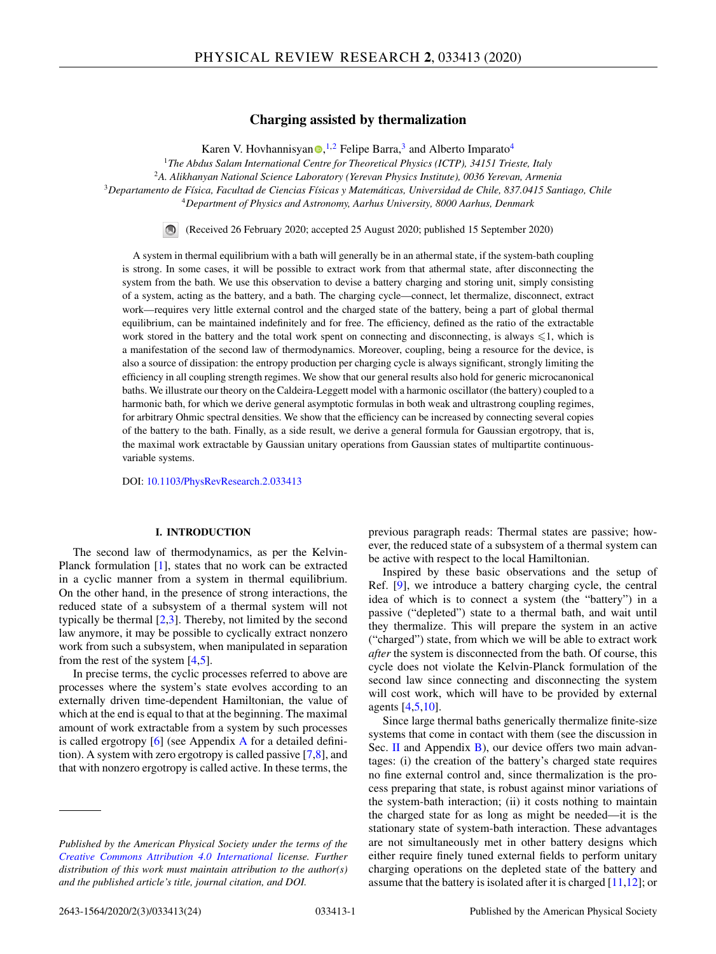# **Charging assisted by thermalization**

Kare[n](https://orcid.org/0000-0001-5034-4328) V. Hovhannisyan <sup>(1,2</sup> Felipe Barra,<sup>3</sup> and Alberto Imparato<sup>4</sup>

<sup>1</sup>*The Abdus Salam International Centre for Theoretical Physics (ICTP), 34151 Trieste, Italy*

<sup>2</sup>*A. Alikhanyan National Science Laboratory (Yerevan Physics Institute), 0036 Yerevan, Armenia*

<sup>3</sup>*Departamento de Física, Facultad de Ciencias Físicas y Matemáticas, Universidad de Chile, 837.0415 Santiago, Chile*

<sup>4</sup>*Department of Physics and Astronomy, Aarhus University, 8000 Aarhus, Denmark*

In.

(Received 26 February 2020; accepted 25 August 2020; published 15 September 2020)

A system in thermal equilibrium with a bath will generally be in an athermal state, if the system-bath coupling is strong. In some cases, it will be possible to extract work from that athermal state, after disconnecting the system from the bath. We use this observation to devise a battery charging and storing unit, simply consisting of a system, acting as the battery, and a bath. The charging cycle—connect, let thermalize, disconnect, extract work—requires very little external control and the charged state of the battery, being a part of global thermal equilibrium, can be maintained indefinitely and for free. The efficiency, defined as the ratio of the extractable work stored in the battery and the total work spent on connecting and disconnecting, is always  $\leq 1$ , which is a manifestation of the second law of thermodynamics. Moreover, coupling, being a resource for the device, is also a source of dissipation: the entropy production per charging cycle is always significant, strongly limiting the efficiency in all coupling strength regimes. We show that our general results also hold for generic microcanonical baths. We illustrate our theory on the Caldeira-Leggett model with a harmonic oscillator (the battery) coupled to a harmonic bath, for which we derive general asymptotic formulas in both weak and ultrastrong coupling regimes, for arbitrary Ohmic spectral densities. We show that the efficiency can be increased by connecting several copies of the battery to the bath. Finally, as a side result, we derive a general formula for Gaussian ergotropy, that is, the maximal work extractable by Gaussian unitary operations from Gaussian states of multipartite continuousvariable systems.

DOI: [10.1103/PhysRevResearch.2.033413](https://doi.org/10.1103/PhysRevResearch.2.033413)

# **I. INTRODUCTION**

The second law of thermodynamics, as per the Kelvin-Planck formulation [\[1\]](#page-21-0), states that no work can be extracted in a cyclic manner from a system in thermal equilibrium. On the other hand, in the presence of strong interactions, the reduced state of a subsystem of a thermal system will not typically be thermal  $[2,3]$ . Thereby, not limited by the second law anymore, it may be possible to cyclically extract nonzero work from such a subsystem, when manipulated in separation from the rest of the system  $[4,5]$ .

In precise terms, the cyclic processes referred to above are processes where the system's state evolves according to an externally driven time-dependent Hamiltonian, the value of which at the end is equal to that at the beginning. The maximal amount of work extractable from a system by such processes is called ergotropy [\[6\]](#page-21-0) (see Appendix [A](#page-9-0) for a detailed definition). A system with zero ergotropy is called passive [\[7,8\]](#page-21-0), and that with nonzero ergotropy is called active. In these terms, the previous paragraph reads: Thermal states are passive; however, the reduced state of a subsystem of a thermal system can be active with respect to the local Hamiltonian.

Inspired by these basic observations and the setup of Ref. [\[9\]](#page-21-0), we introduce a battery charging cycle, the central idea of which is to connect a system (the "battery") in a passive ("depleted") state to a thermal bath, and wait until they thermalize. This will prepare the system in an active ("charged") state, from which we will be able to extract work *after* the system is disconnected from the bath. Of course, this cycle does not violate the Kelvin-Planck formulation of the second law since connecting and disconnecting the system will cost work, which will have to be provided by external agents [\[4,5,10\]](#page-21-0).

Since large thermal baths generically thermalize finite-size systems that come in contact with them (see the discussion in Sec. [II](#page-1-0) and Appendix [B\)](#page-10-0), our device offers two main advantages: (i) the creation of the battery's charged state requires no fine external control and, since thermalization is the process preparing that state, is robust against minor variations of the system-bath interaction; (ii) it costs nothing to maintain the charged state for as long as might be needed—it is the stationary state of system-bath interaction. These advantages are not simultaneously met in other battery designs which either require finely tuned external fields to perform unitary charging operations on the depleted state of the battery and assume that the battery is isolated after it is charged  $[11,12]$ ; or

*Published by the American Physical Society under the terms of the [Creative Commons Attribution 4.0 International](https://creativecommons.org/licenses/by/4.0/) license. Further distribution of this work must maintain attribution to the author(s) and the published article's title, journal citation, and DOI.*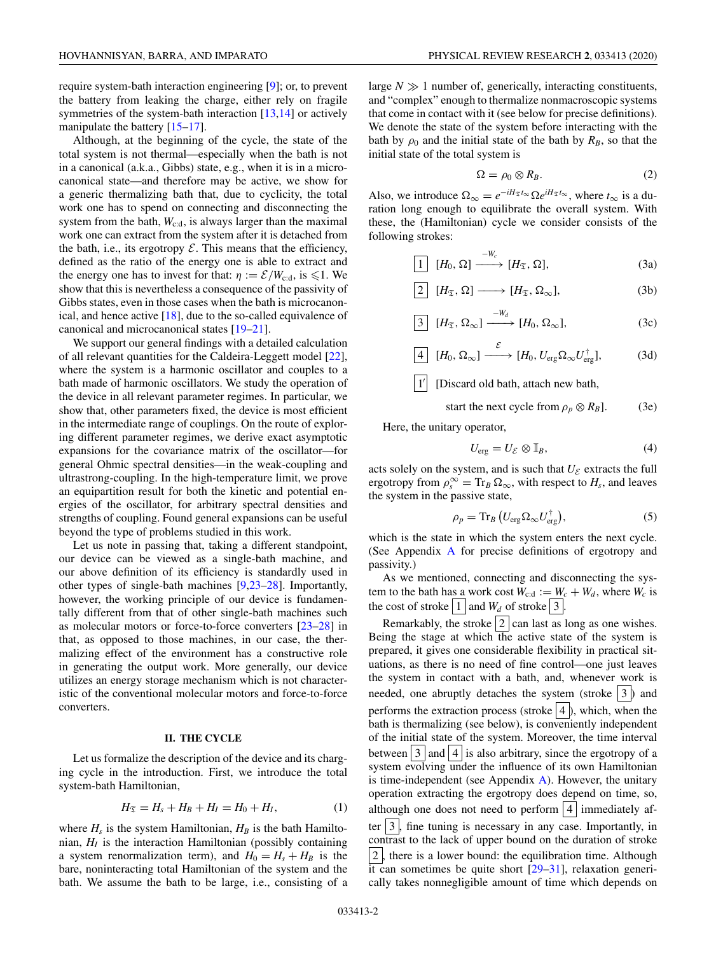<span id="page-1-0"></span>require system-bath interaction engineering [\[9\]](#page-21-0); or, to prevent the battery from leaking the charge, either rely on fragile symmetries of the system-bath interaction  $[13,14]$  or actively manipulate the battery [\[15–17\]](#page-21-0).

Although, at the beginning of the cycle, the state of the total system is not thermal—especially when the bath is not in a canonical (a.k.a., Gibbs) state, e.g., when it is in a microcanonical state—and therefore may be active, we show for a generic thermalizing bath that, due to cyclicity, the total work one has to spend on connecting and disconnecting the system from the bath,  $W_{\text{c:d}}$ , is always larger than the maximal work one can extract from the system after it is detached from the bath, i.e., its ergotropy  $\mathcal E$ . This means that the efficiency, defined as the ratio of the energy one is able to extract and the energy one has to invest for that:  $\eta := \mathcal{E}/W_{\text{c:d}}$ , is  $\leq 1$ . We show that this is nevertheless a consequence of the passivity of Gibbs states, even in those cases when the bath is microcanonical, and hence active [\[18\]](#page-21-0), due to the so-called equivalence of canonical and microcanonical states [\[19–21\]](#page-21-0).

We support our general findings with a detailed calculation of all relevant quantities for the Caldeira-Leggett model [\[22\]](#page-21-0), where the system is a harmonic oscillator and couples to a bath made of harmonic oscillators. We study the operation of the device in all relevant parameter regimes. In particular, we show that, other parameters fixed, the device is most efficient in the intermediate range of couplings. On the route of exploring different parameter regimes, we derive exact asymptotic expansions for the covariance matrix of the oscillator—for general Ohmic spectral densities—in the weak-coupling and ultrastrong-coupling. In the high-temperature limit, we prove an equipartition result for both the kinetic and potential energies of the oscillator, for arbitrary spectral densities and strengths of coupling. Found general expansions can be useful beyond the type of problems studied in this work.

Let us note in passing that, taking a different standpoint, our device can be viewed as a single-bath machine, and our above definition of its efficiency is standardly used in other types of single-bath machines [\[9,23–28\]](#page-21-0). Importantly, however, the working principle of our device is fundamentally different from that of other single-bath machines such as molecular motors or force-to-force converters [\[23–28\]](#page-21-0) in that, as opposed to those machines, in our case, the thermalizing effect of the environment has a constructive role in generating the output work. More generally, our device utilizes an energy storage mechanism which is not characteristic of the conventional molecular motors and force-to-force converters.

## **II. THE CYCLE**

Let us formalize the description of the device and its charging cycle in the introduction. First, we introduce the total system-bath Hamiltonian,

$$
H_{\mathfrak{T}} = H_s + H_B + H_I = H_0 + H_I, \tag{1}
$$

where  $H_s$  is the system Hamiltonian,  $H_B$  is the bath Hamiltonian,  $H_I$  is the interaction Hamiltonian (possibly containing a system renormalization term), and  $H_0 = H_s + H_B$  is the bare, noninteracting total Hamiltonian of the system and the bath. We assume the bath to be large, i.e., consisting of a

large  $N \gg 1$  number of, generically, interacting constituents, and "complex" enough to thermalize nonmacroscopic systems that come in contact with it (see below for precise definitions). We denote the state of the system before interacting with the bath by  $\rho_0$  and the initial state of the bath by  $R_B$ , so that the initial state of the total system is

$$
\Omega = \rho_0 \otimes R_B. \tag{2}
$$

Also, we introduce  $\Omega_{\infty} = e^{-iH_{\mathfrak{T}}t_{\infty}} \Omega e^{iH_{\mathfrak{T}}t_{\infty}}$ , where  $t_{\infty}$  is a duration long enough to equilibrate the overall system. With these, the (Hamiltonian) cycle we consider consists of the following strokes:

$$
\boxed{1} \quad [H_0, \Omega] \xrightarrow{-W_c} [H_{\mathfrak{T}}, \Omega], \tag{3a}
$$

$$
\boxed{2} \quad [H_{\mathfrak{T}}, \Omega] \longrightarrow [H_{\mathfrak{T}}, \Omega_{\infty}], \tag{3b}
$$

$$
\boxed{3} \quad [H_{\mathfrak{T}}, \Omega_{\infty}] \xrightarrow{-W_d} [H_0, \Omega_{\infty}], \tag{3c}
$$

$$
\boxed{4} \quad [H_0, \Omega_{\infty}] \xrightarrow{\varepsilon} [H_0, U_{\text{erg}} \Omega_{\infty} U_{\text{erg}}^{\dagger}], \tag{3d}
$$

[Discard old bath, attach new bath,

start the next cycle from 
$$
\rho_p \otimes R_B
$$
. (3e)

Here, the unitary operator,

$$
U_{\rm erg} = U_{\mathcal{E}} \otimes \mathbb{I}_B, \tag{4}
$$

acts solely on the system, and is such that  $U_{\mathcal{E}}$  extracts the full ergotropy from  $\rho_s^{\infty} = \text{Tr}_B \Omega_{\infty}$ , with respect to  $H_s$ , and leaves the system in the passive state,

$$
\rho_p = \text{Tr}_B \left( U_{\text{erg}} \Omega_\infty U_{\text{erg}}^\dagger \right),\tag{5}
$$

which is the state in which the system enters the next cycle. (See Appendix [A](#page-9-0) for precise definitions of ergotropy and passivity.)

As we mentioned, connecting and disconnecting the system to the bath has a work cost  $W_{c:d} := \underline{W}_c + W_d$ , where  $W_c$  is the cost of stroke  $\boxed{1}$  and  $W_d$  of stroke  $\boxed{3}$ .

Remarkably, the stroke  $2$  can last as long as one wishes. Being the stage at which the active state of the system is prepared, it gives one considerable flexibility in practical situations, as there is no need of fine control—one just leaves the system in contact with a bath, and, whenever work is needed, one abruptly detaches the system (stroke  $\vert 3 \vert$ ) and performs the extraction process (stroke  $\vert 4 \vert$ ), which, when the bath is thermalizing (see below), is conveniently independent of the initial state of the system. Moreover, the time interval between  $\vert 3 \vert$  and  $\vert 4 \vert$  is also arbitrary, since the ergotropy of a system evolving under the influence of its own Hamiltonian is time-independent (see Appendix [A\)](#page-9-0). However, the unitary operation extracting the ergotropy does depend on time, so, although one does not need to perform  $|4|$  immediately after  $\vert 3 \vert$ , fine tuning is necessary in any case. Importantly, in contrast to the lack of upper bound on the duration of stroke  $|2|$ , there is a lower bound: the equilibration time. Although it can sometimes be quite short  $[29-31]$  $[29-31]$ , relaxation generically takes nonnegligible amount of time which depends on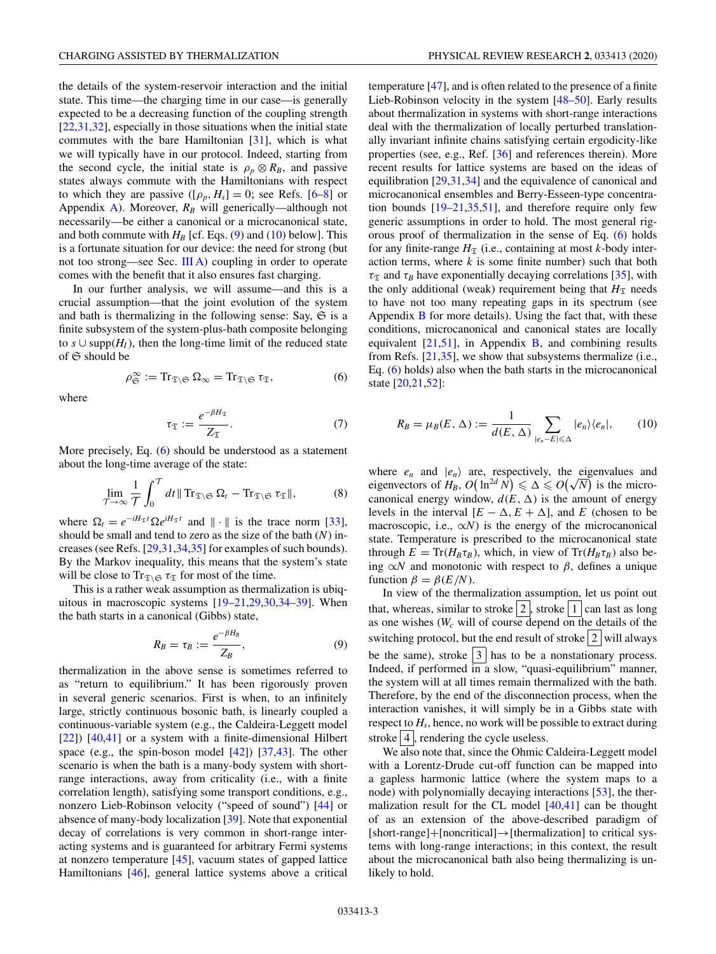<span id="page-2-0"></span>the details of the system-reservoir interaction and the initial state. This time—the charging time in our case—is generally expected to be a decreasing function of the coupling strength [\[22](#page-21-0)[,31,32\]](#page-22-0), especially in those situations when the initial state commutes with the bare Hamiltonian [\[31\]](#page-22-0), which is what we will typically have in our protocol. Indeed, starting from the second cycle, the initial state is  $\rho_p \otimes R_B$ , and passive states always commute with the Hamiltonians with respect to which they are passive  $([\rho_p, H_s] = 0$ ; see Refs. [\[6–8\]](#page-21-0) or Appendix [A\)](#page-9-0). Moreover,  $R_B$  will generically—although not necessarily—be either a canonical or a microcanonical state, and both commute with  $H_B$  [cf. Eqs. (9) and (10) below]. This is a fortunate situation for our device: the need for strong (but not too strong—see Sec. [III A\)](#page-6-0) coupling in order to operate comes with the benefit that it also ensures fast charging.

In our further analysis, we will assume—and this is a crucial assumption—that the joint evolution of the system and bath is thermalizing in the following sense: Say,  $\mathfrak{S}$  is a finite subsystem of the system-plus-bath composite belonging to  $s \cup \text{supp}(H_I)$ , then the long-time limit of the reduced state of  $\mathfrak S$  should be

$$
\rho_{\mathfrak{S}}^{\infty} := \mathrm{Tr}_{\mathfrak{T} \setminus \mathfrak{S}} \Omega_{\infty} = \mathrm{Tr}_{\mathfrak{T} \setminus \mathfrak{S}} \tau_{\mathfrak{T}}, \tag{6}
$$

where

$$
\tau_{\mathfrak{T}} := \frac{e^{-\beta H_{\mathfrak{T}}}}{Z_{\mathfrak{T}}}.
$$
\n(7)

More precisely, Eq. (6) should be understood as a statement about the long-time average of the state:

$$
\lim_{\mathcal{T}\to\infty}\frac{1}{\mathcal{T}}\int_0^{\mathcal{T}}dt\,\|\operatorname{Tr}_{\mathfrak{T}\setminus\mathfrak{S}}\Omega_t-\operatorname{Tr}_{\mathfrak{T}\setminus\mathfrak{S}}\tau_{\mathfrak{T}}\|,\tag{8}
$$

where  $\Omega_t = e^{-iH_\mathfrak{T}t} \Omega e^{iH_\mathfrak{T}t}$  and  $\|\cdot\|$  is the trace norm [\[33\]](#page-22-0), should be small and tend to zero as the size of the bath (*N*) increases (see Refs. [\[29,](#page-21-0)[31,34,35\]](#page-22-0) for examples of such bounds). By the Markov inequality, this means that the system's state will be close to  $\text{Tr}_{\mathfrak{T}\setminus\mathfrak{S}}\tau_{\mathfrak{T}}$  for most of the time.

This is a rather weak assumption as thermalization is ubiquitous in macroscopic systems [\[19–21,29,30](#page-21-0)[,34–39\]](#page-22-0). When the bath starts in a canonical (Gibbs) state,

$$
R_B = \tau_B := \frac{e^{-\beta H_B}}{Z_B},\tag{9}
$$

thermalization in the above sense is sometimes referred to as "return to equilibrium." It has been rigorously proven in several generic scenarios. First is when, to an infinitely large, strictly continuous bosonic bath, is linearly coupled a continuous-variable system (e.g., the Caldeira-Leggett model [\[22\]](#page-21-0)) [\[40,41\]](#page-22-0) or a system with a finite-dimensional Hilbert space (e.g., the spin-boson model [\[42\]](#page-22-0)) [\[37,43\]](#page-22-0). The other scenario is when the bath is a many-body system with shortrange interactions, away from criticality (i.e., with a finite correlation length), satisfying some transport conditions, e.g., nonzero Lieb-Robinson velocity ("speed of sound") [\[44\]](#page-22-0) or absence of many-body localization [\[39\]](#page-22-0). Note that exponential decay of correlations is very common in short-range interacting systems and is guaranteed for arbitrary Fermi systems at nonzero temperature [\[45\]](#page-22-0), vacuum states of gapped lattice Hamiltonians [\[46\]](#page-22-0), general lattice systems above a critical

temperature [\[47\]](#page-22-0), and is often related to the presence of a finite Lieb-Robinson velocity in the system [\[48–50\]](#page-22-0). Early results about thermalization in systems with short-range interactions deal with the thermalization of locally perturbed translationally invariant infinite chains satisfying certain ergodicity-like properties (see, e.g., Ref. [\[36\]](#page-22-0) and references therein). More recent results for lattice systems are based on the ideas of equilibration [\[29](#page-21-0)[,31,34\]](#page-22-0) and the equivalence of canonical and microcanonical ensembles and Berry-Esseen-type concentration bounds  $[19-21,35,51]$  $[19-21,35,51]$ , and therefore require only few generic assumptions in order to hold. The most general rigorous proof of thermalization in the sense of Eq. (6) holds for any finite-range  $H_{\mathfrak{T}}$  (i.e., containing at most *k*-body interaction terms, where *k* is some finite number) such that both  $\tau_{\mathfrak{T}}$  and  $\tau_B$  have exponentially decaying correlations [\[35\]](#page-22-0), with the only additional (weak) requirement being that  $H<sub>T</sub>$  needs to have not too many repeating gaps in its spectrum (see Appendix  $\bf{B}$  $\bf{B}$  $\bf{B}$  for more details). Using the fact that, with these conditions, microcanonical and canonical states are locally equivalent  $[21,51]$  $[21,51]$ , in Appendix [B,](#page-10-0) and combining results from Refs. [\[21,](#page-21-0)[35\]](#page-22-0), we show that subsystems thermalize (i.e., Eq. (6) holds) also when the bath starts in the microcanonical state [\[20,21,](#page-21-0)[52\]](#page-22-0):

$$
R_B = \mu_B(E, \Delta) := \frac{1}{d(E, \Delta)} \sum_{|e_n - E| \leq \Delta} |e_n\rangle \langle e_n|, \qquad (10)
$$

where  $e_n$  and  $|e_n\rangle$  are, respectively, the eigenvalues and where  $e_n$  and  $|e_n\rangle$  are, respectively, the eigenvalues and eigenvectors of  $H_B$ ,  $O(\ln^{2d} N) \le \Delta \le O(\sqrt{N})$  is the microcanonical energy window,  $d(E, \Delta)$  is the amount of energy levels in the interval  $[E - \Delta, E + \Delta]$ , and *E* (chosen to be macroscopic, i.e.,  $\alpha N$ ) is the energy of the microcanonical state. Temperature is prescribed to the microcanonical state through  $E = \text{Tr}(H_B \tau_B)$ , which, in view of  $\text{Tr}(H_B \tau_B)$  also being  $\alpha N$  and monotonic with respect to  $\beta$ , defines a unique function  $\beta = \beta(E/N)$ .

In view of the thermalization assumption, let us point out that, whereas, similar to stroke  $2$ , stroke  $1$  can last as long as one wishes  $(W_c$  will of course depend on the details of the switching protocol, but the end result of stroke  $2 \vert$  will always be the same), stroke  $\begin{vmatrix} 3 \end{vmatrix}$  has to be a nonstationary process. Indeed, if performed in a slow, "quasi-equilibrium" manner, the system will at all times remain thermalized with the bath. Therefore, by the end of the disconnection process, when the interaction vanishes, it will simply be in a Gibbs state with respect to *Hs*, hence, no work will be possible to extract during stroke  $\vert 4 \vert$ , rendering the cycle useless.

We also note that, since the Ohmic Caldeira-Leggett model with a Lorentz-Drude cut-off function can be mapped into a gapless harmonic lattice (where the system maps to a node) with polynomially decaying interactions [\[53\]](#page-22-0), the thermalization result for the CL model [\[40,41\]](#page-22-0) can be thought of as an extension of the above-described paradigm of [short-range]+[noncritical]→[thermalization] to critical systems with long-range interactions; in this context, the result about the microcanonical bath also being thermalizing is unlikely to hold.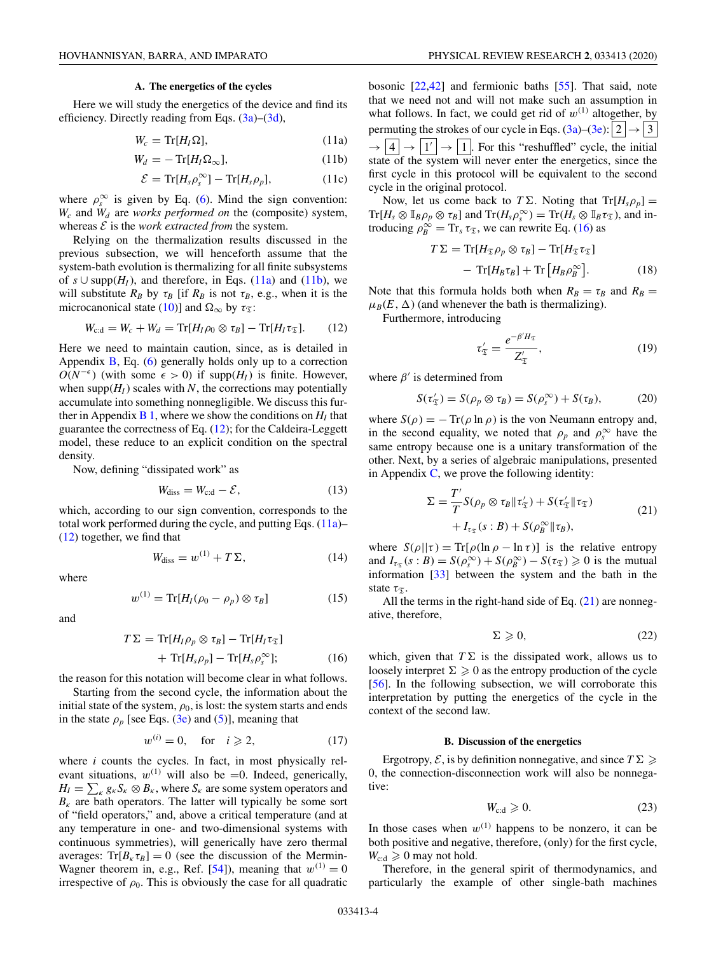### **A. The energetics of the cycles**

<span id="page-3-0"></span>Here we will study the energetics of the device and find its efficiency. Directly reading from Eqs.  $(3a)$ – $(3d)$ ,

$$
W_c = \text{Tr}[H_I \Omega],\tag{11a}
$$

$$
W_d = -\operatorname{Tr}[H_I \Omega_\infty],\tag{11b}
$$

$$
\mathcal{E} = \text{Tr}[H_s \rho_s^{\infty}] - \text{Tr}[H_s \rho_p], \qquad (11c)
$$

where  $\rho_s^{\infty}$  is given by Eq. [\(6\)](#page-2-0). Mind the sign convention: *Wc* and *Wd* are *works performed on* the (composite) system, whereas  $\mathcal E$  is the *work extracted from* the system.

Relying on the thermalization results discussed in the previous subsection, we will henceforth assume that the system-bath evolution is thermalizing for all finite subsystems of  $s \cup \text{supp}(H_I)$ , and therefore, in Eqs. (11a) and (11b), we will substitute  $R_B$  by  $\tau_B$  [if  $R_B$  is not  $\tau_B$ , e.g., when it is the microcanonical state [\(10\)](#page-2-0)] and  $\Omega_{\infty}$  by  $\tau_{\mathfrak{T}}$ :

$$
W_{\rm c:d} = W_c + W_d = \text{Tr}[H_I \rho_0 \otimes \tau_B] - \text{Tr}[H_I \tau_{\mathfrak{T}}]. \tag{12}
$$

Here we need to maintain caution, since, as is detailed in Appendix  $\overline{B}$ , Eq. [\(6\)](#page-2-0) generally holds only up to a correction  $O(N^{-\epsilon})$  (with some  $\epsilon > 0$ ) if supp(*H<sub>I</sub>*) is finite. However, when  $\text{supp}(H_I)$  scales with *N*, the corrections may potentially accumulate into something nonnegligible. We discuss this further in Appendix  $\bf{B}$  1, where we show the conditions on  $H_I$  that guarantee the correctness of Eq. (12); for the Caldeira-Leggett model, these reduce to an explicit condition on the spectral density.

Now, defining "dissipated work" as

$$
W_{\text{diss}} = W_{\text{c:d}} - \mathcal{E},\tag{13}
$$

which, according to our sign convention, corresponds to the total work performed during the cycle, and putting Eqs.  $(11a)$ – (12) together, we find that

$$
W_{\text{diss}} = w^{(1)} + T\Sigma, \tag{14}
$$

where

$$
w^{(1)} = \text{Tr}[H_I(\rho_0 - \rho_p) \otimes \tau_B]
$$
 (15)

and

$$
T\Sigma = \text{Tr}[H_I \rho_p \otimes \tau_B] - \text{Tr}[H_I \tau_{\mathfrak{T}}]
$$
  
+ 
$$
\text{Tr}[H_s \rho_p] - \text{Tr}[H_s \rho_s^{\infty}];
$$
 (16)

the reason for this notation will become clear in what follows.

Starting from the second cycle, the information about the initial state of the system,  $\rho_0$ , is lost: the system starts and ends in the state  $\rho_p$  [see Eqs. [\(3e\)](#page-1-0) and [\(5\)](#page-1-0)], meaning that

$$
w^{(i)} = 0, \quad \text{for} \quad i \geqslant 2,\tag{17}
$$

where *i* counts the cycles. In fact, in most physically relevant situations,  $w^{(1)}$  will also be =0. Indeed, generically,  $H_I = \sum_{\kappa} g_{\kappa} S_{\kappa} \otimes B_{\kappa}$ , where  $S_{\kappa}$  are some system operators and  $B_k$  are bath operators. The latter will typically be some sort of "field operators," and, above a critical temperature (and at any temperature in one- and two-dimensional systems with continuous symmetries), will generically have zero thermal averages:  $Tr[B_{\kappa} \tau_B] = 0$  (see the discussion of the Mermin-Wagner theorem in, e.g., Ref. [\[54\]](#page-22-0)), meaning that  $w^{(1)} = 0$ irrespective of  $\rho_0$ . This is obviously the case for all quadratic bosonic [\[22,](#page-21-0)[42\]](#page-22-0) and fermionic baths [\[55\]](#page-22-0). That said, note that we need not and will not make such an assumption in what follows. In fact, we could get rid of  $w^{(1)}$  altogether, by permuting the strokes of our cycle in Eqs. [\(3a\)](#page-1-0)–[\(3e\)](#page-1-0):  $|2| \rightarrow |3|$  $\rightarrow$  |4|  $\rightarrow$  |1' |  $\rightarrow$  |1|. For this "reshuffled" cycle, the initial state of the system will never enter the energetics, since the first cycle in this protocol will be equivalent to the second cycle in the original protocol.

Now, let us come back to  $T\Sigma$ . Noting that  $Tr[H_s \rho_p] =$  $\mathrm{Tr}[H_s \otimes \mathbb{I}_B \rho_p \otimes \tau_B]$  and  $\mathrm{Tr}(H_s \rho_s^{\infty}) = \mathrm{Tr}(H_s \otimes \mathbb{I}_B \tau_{\mathfrak{T}})$ , and introducing  $\rho_B^{\dot{\infty}} = \text{Tr}_s \tau_{\mathfrak{T}}$ , we can rewrite Eq. (16) as

$$
T\Sigma = \text{Tr}[H_{\mathfrak{T}}\rho_p \otimes \tau_B] - \text{Tr}[H_{\mathfrak{T}}\tau_{\mathfrak{T}}]
$$

$$
- \text{Tr}[H_B\tau_B] + \text{Tr}[H_B\rho_B^{\infty}]. \tag{18}
$$

Note that this formula holds both when  $R_B = \tau_B$  and  $R_B =$  $\mu_B(E, \Delta)$  (and whenever the bath is thermalizing).

Furthermore, introducing

$$
\tau'_{\mathfrak{T}} = \frac{e^{-\beta'H_{\mathfrak{T}}}}{Z'_{\mathfrak{T}}},\tag{19}
$$

where  $\beta'$  is determined from

$$
S(\tau'_{\mathfrak{T}}) = S(\rho_p \otimes \tau_B) = S(\rho_s^{\infty}) + S(\tau_B), \tag{20}
$$

where  $S(\rho) = -\operatorname{Tr}(\rho \ln \rho)$  is the von Neumann entropy and, in the second equality, we noted that  $\rho_p$  and  $\rho_s^{\infty}$  have the same entropy because one is a unitary transformation of the other. Next, by a series of algebraic manipulations, presented in Appendix [C,](#page-12-0) we prove the following identity:

$$
\Sigma = \frac{T'}{T} S(\rho_p \otimes \tau_B || \tau'_{\mathfrak{T}}) + S(\tau'_{\mathfrak{T}} || \tau_{\mathfrak{T}})
$$
  
+  $I_{\tau_{\mathfrak{T}}}(s : B) + S(\rho_B^{\infty} || \tau_B),$  (21)

where  $S(\rho||\tau) = \text{Tr}[\rho(\ln \rho - \ln \tau)]$  is the relative entropy and  $I_{\tau_{\mathfrak{T}}}(s : B) = S(\rho_s^{\infty}) + S(\rho_B^{\infty}) - S(\tau_{\mathfrak{T}}) \geq 0$  is the mutual information [\[33\]](#page-22-0) between the system and the bath in the state  $\tau_{\mathcal{T}}$ .

All the terms in the right-hand side of Eq.  $(21)$  are nonnegative, therefore,

$$
\Sigma \geqslant 0,\tag{22}
$$

which, given that  $T\Sigma$  is the dissipated work, allows us to loosely interpret  $\Sigma \geq 0$  as the entropy production of the cycle [\[56\]](#page-22-0). In the following subsection, we will corroborate this interpretation by putting the energetics of the cycle in the context of the second law.

#### **B. Discussion of the energetics**

Ergotropy,  $\mathcal{E}$ , is by definition nonnegative, and since  $T \Sigma \geq$ 0, the connection-disconnection work will also be nonnegative:

$$
W_{\rm c:d} \geqslant 0. \tag{23}
$$

In those cases when  $w^{(1)}$  happens to be nonzero, it can be both positive and negative, therefore, (only) for the first cycle,  $W_{\text{c:d}} \geqslant 0$  may not hold.

Therefore, in the general spirit of thermodynamics, and particularly the example of other single-bath machines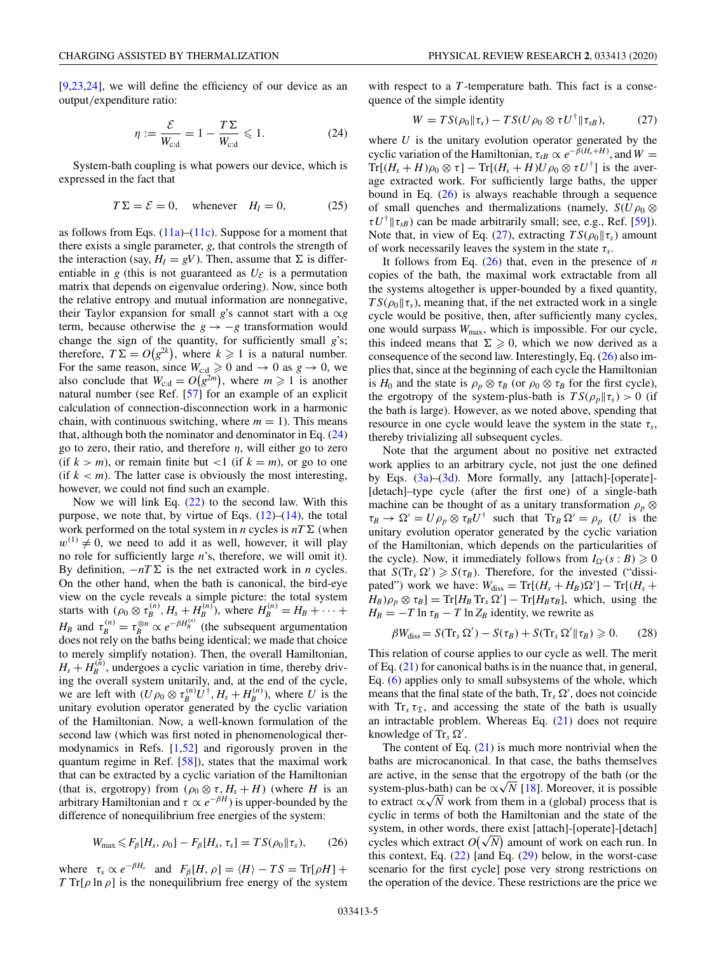<span id="page-4-0"></span>[\[9,23,24\]](#page-21-0), we will define the efficiency of our device as an output/expenditure ratio:

$$
\eta := \frac{\mathcal{E}}{W_{\text{cd}}} = 1 - \frac{T\Sigma}{W_{\text{cd}}} \leqslant 1. \tag{24}
$$

System-bath coupling is what powers our device, which is expressed in the fact that

$$
T\Sigma = \mathcal{E} = 0, \quad \text{whenever} \quad H_I = 0,
$$
 (25)

as follows from Eqs.  $(11a)$ – $(11c)$ . Suppose for a moment that there exists a single parameter, *g*, that controls the strength of the interaction (say,  $H_I = gV$ ). Then, assume that  $\Sigma$  is differentiable in *g* (this is not guaranteed as  $U_{\mathcal{E}}$  is a permutation matrix that depends on eigenvalue ordering). Now, since both the relative entropy and mutual information are nonnegative, their Taylor expansion for small *g*'s cannot start with a  $\alpha g$ term, because otherwise the  $g \rightarrow -g$  transformation would change the sign of the quantity, for sufficiently small *g*'s; therefore,  $T\Sigma = O(g^{2k})$ , where  $k \geq 1$  is a natural number. For the same reason, since  $W_{c:d} \ge 0$  and  $\rightarrow 0$  as  $g \rightarrow 0$ , we also conclude that  $W_{c:d} = O(g^{2m})$ , where  $m \ge 1$  is another natural number (see Ref. [\[57\]](#page-22-0) for an example of an explicit calculation of connection-disconnection work in a harmonic chain, with continuous switching, where  $m = 1$ ). This means that, although both the nominator and denominator in Eq.  $(24)$ go to zero, their ratio, and therefore  $\eta$ , will either go to zero (if  $k > m$ ), or remain finite but <1 (if  $k = m$ ), or go to one (if  $k < m$ ). The latter case is obviously the most interesting, however, we could not find such an example.

Now we will link Eq.  $(22)$  to the second law. With this purpose, we note that, by virtue of Eqs.  $(12)$ – $(14)$ , the total work performed on the total system in *n* cycles is  $nT\Sigma$  (when  $w^{(1)} \neq 0$ , we need to add it as well, however, it will play no role for sufficiently large *n*'s, therefore, we will omit it). By definition,  $-nT\Sigma$  is the net extracted work in *n* cycles. On the other hand, when the bath is canonical, the bird-eye view on the cycle reveals a simple picture: the total system starts with  $(\rho_0 \otimes \tau_B^{(n)}, H_s + H_B^{(n)})$ , where  $H_B^{(n)} = H_B + \cdots$ *H<sub>B</sub>* and  $\tau_B^{(n)} = \tau_B^{\otimes n} \propto e^{-\beta H_B^{(n)}}$  (the subsequent argumentation does not rely on the baths being identical; we made that choice to merely simplify notation). Then, the overall Hamiltonian,  $H_s + H_B^{(n)}$ , undergoes a cyclic variation in time, thereby driving the overall system unitarily, and, at the end of the cycle, we are left with  $(U\rho_0 \otimes \tau_B^{(n)}U^{\dagger}, H_s + H_B^{(n)})$ , where *U* is the unitary evolution operator generated by the cyclic variation of the Hamiltonian. Now, a well-known formulation of the second law (which was first noted in phenomenological thermodynamics in Refs. [\[1](#page-21-0)[,52\]](#page-22-0) and rigorously proven in the quantum regime in Ref. [\[58\]](#page-22-0)), states that the maximal work that can be extracted by a cyclic variation of the Hamiltonian (that is, ergotropy) from  $(\rho_0 \otimes \tau, H_s + H)$  (where *H* is an arbitrary Hamiltonian and  $\tau \propto e^{-\beta H}$ ) is upper-bounded by the difference of nonequilibrium free energies of the system:

$$
W_{\text{max}} \leqslant F_{\beta}[H_s, \rho_0] - F_{\beta}[H_s, \tau_s] = TS(\rho_0 \| \tau_s), \qquad (26)
$$

where  $\tau_s \propto e^{-\beta H_s}$  and  $F_\beta[H,\rho] = \langle H \rangle - TS = \text{Tr}[\rho H] +$ *T* Tr[ $\rho$  ln  $\rho$ ] is the nonequilibrium free energy of the system with respect to a *T*-temperature bath. This fact is a consequence of the simple identity

$$
W = TS(\rho_0 \| \tau_s) - TS(U\rho_0 \otimes \tau U^{\dagger} \| \tau_{sB}), \qquad (27)
$$

where  $U$  is the unitary evolution operator generated by the cyclic variation of the Hamiltonian,  $\tau_{sB} \propto e^{-\bar{\beta}(H_s + H)}$ , and  $W =$  $Tr[(H_s + H)\rho_0 \otimes \tau] - Tr[(H_s + H)U\rho_0 \otimes \tau U^{\dagger}]$  is the average extracted work. For sufficiently large baths, the upper bound in Eq. (26) is always reachable through a sequence of small quenches and thermalizations (namely,  $S(U\rho_0 \otimes$  $\tau U^{\dagger}$   $\left|\tau_{SB}\right\rangle$  can be made arbitrarily small; see, e.g., Ref. [\[59\]](#page-22-0)). Note that, in view of Eq. (27), extracting  $TS(\rho_0||\tau_s)$  amount of work necessarily leaves the system in the state τ*s*.

It follows from Eq.  $(26)$  that, even in the presence of *n* copies of the bath, the maximal work extractable from all the systems altogether is upper-bounded by a fixed quantity,  $TS(\rho_0||\tau_s)$ , meaning that, if the net extracted work in a single cycle would be positive, then, after sufficiently many cycles, one would surpass  $W_{\text{max}}$ , which is impossible. For our cycle, this indeed means that  $\Sigma \geq 0$ , which we now derived as a consequence of the second law. Interestingly, Eq. (26) also implies that, since at the beginning of each cycle the Hamiltonian is *H*<sub>0</sub> and the state is  $\rho_p \otimes \tau_B$  (or  $\rho_0 \otimes \tau_B$  for the first cycle), the ergotropy of the system-plus-bath is  $TS(\rho_p || \tau_s) > 0$  (if the bath is large). However, as we noted above, spending that resource in one cycle would leave the system in the state  $\tau_s$ , thereby trivializing all subsequent cycles.

Note that the argument about no positive net extracted work applies to an arbitrary cycle, not just the one defined by Eqs. [\(3a\)](#page-1-0)–[\(3d\)](#page-1-0). More formally, any [attach]-[operate]- [detach]–type cycle (after the first one) of a single-bath machine can be thought of as a unitary transformation  $\rho_p \otimes$  $\tau_B \to \Omega' = U \rho_p \otimes \tau_B U^{\dagger}$  such that  $Tr_B \Omega' = \rho_p$  (*U* is the unitary evolution operator generated by the cyclic variation of the Hamiltonian, which depends on the particularities of the cycle). Now, it immediately follows from  $I_{\Omega}(s : B) \ge 0$ that  $S(\text{Tr}_s \Omega') \geq S(\tau_B)$ . Therefore, for the invested ("dissipated") work we have:  $W_{\text{diss}} = \text{Tr}[(H_s + H_B) \Omega'] - \text{Tr}[(H_s + H_B) \Omega']$  $(H_B)\rho_p \otimes \tau_B$ ] = Tr[ $H_B$  Tr<sub>s</sub>  $\Omega'$ ] – Tr[ $H_B \tau_B$ ], which, using the  $H_B = -T \ln \tau_B - T \ln Z_B$  identity, we rewrite as

$$
\beta W_{\text{diss}} = S(\text{Tr}_s \Omega') - S(\tau_B) + S(\text{Tr}_s \Omega' || \tau_B) \geq 0. \tag{28}
$$

This relation of course applies to our cycle as well. The merit of Eq. [\(21\)](#page-3-0) for canonical baths is in the nuance that, in general, Eq. [\(6\)](#page-2-0) applies only to small subsystems of the whole, which means that the final state of the bath,  $Tr_s \Omega'$ , does not coincide with  $Tr_s \tau_{\mathfrak{T}}$ , and accessing the state of the bath is usually an intractable problem. Whereas Eq.  $(21)$  does not require knowledge of Tr*<sup>s</sup>* .

The content of Eq.  $(21)$  is much more nontrivial when the baths are microcanonical. In that case, the baths themselves are active, in the sense that the ergotropy of the bath (or the are active, in the sense that the ergotropy of the bath (or the system-plus-bath) can be  $\alpha\sqrt{N}$  [\[18\]](#page-21-0). Moreover, it is possible system-plus-bath) can be  $\alpha\sqrt{N}$  [18]. Moreover, it is possible<br>to extract  $\alpha\sqrt{N}$  work from them in a (global) process that is cyclic in terms of both the Hamiltonian and the state of the system, in other words, there exist [attach]-[operate]-[detach] system, in other words, there exist [attach]-[operate]-[detach]<br>cycles which extract  $O(\sqrt{N})$  amount of work on each run. In this context, Eq.  $(22)$  [and Eq.  $(29)$  below, in the worst-case scenario for the first cycle] pose very strong restrictions on the operation of the device. These restrictions are the price we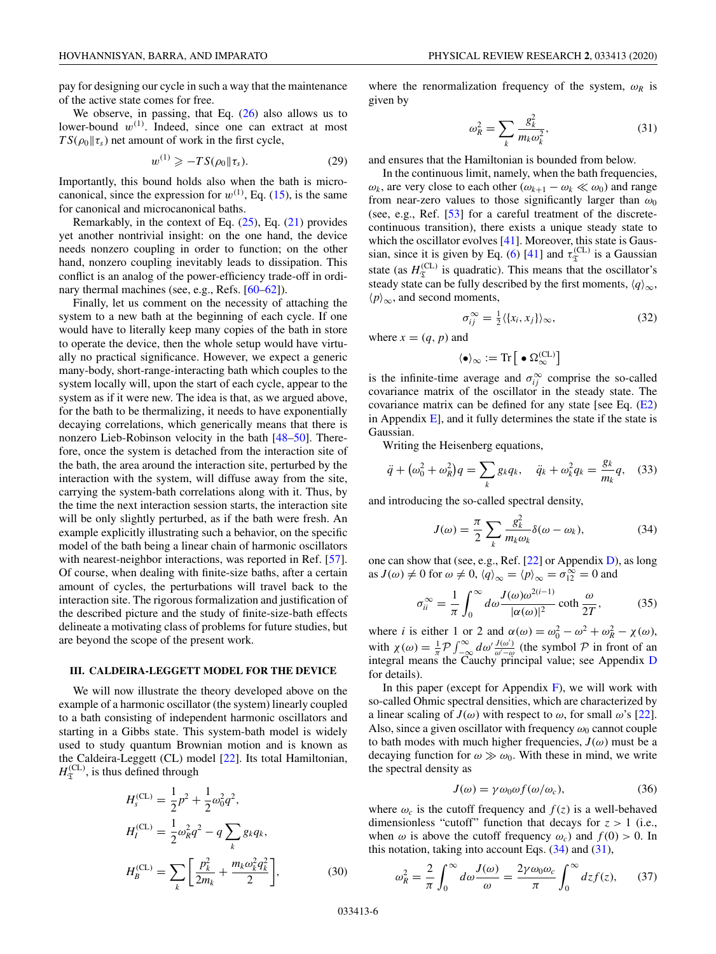<span id="page-5-0"></span>pay for designing our cycle in such a way that the maintenance of the active state comes for free.

We observe, in passing, that Eq.  $(26)$  also allows us to lower-bound  $w^{(1)}$ . Indeed, since one can extract at most  $TS(\rho_0||\tau_s)$  net amount of work in the first cycle,

$$
w^{(1)} \geqslant -TS(\rho_0 \| \tau_s). \tag{29}
$$

Importantly, this bound holds also when the bath is microcanonical, since the expression for  $w^{(1)}$ , Eq. [\(15\)](#page-3-0), is the same for canonical and microcanonical baths.

Remarkably, in the context of Eq. [\(25\)](#page-4-0), Eq. [\(21\)](#page-3-0) provides yet another nontrivial insight: on the one hand, the device needs nonzero coupling in order to function; on the other hand, nonzero coupling inevitably leads to dissipation. This conflict is an analog of the power-efficiency trade-off in ordi-nary thermal machines (see, e.g., Refs. [\[60–62\]](#page-22-0)).

Finally, let us comment on the necessity of attaching the system to a new bath at the beginning of each cycle. If one would have to literally keep many copies of the bath in store to operate the device, then the whole setup would have virtually no practical significance. However, we expect a generic many-body, short-range-interacting bath which couples to the system locally will, upon the start of each cycle, appear to the system as if it were new. The idea is that, as we argued above, for the bath to be thermalizing, it needs to have exponentially decaying correlations, which generically means that there is nonzero Lieb-Robinson velocity in the bath [\[48–50\]](#page-22-0). Therefore, once the system is detached from the interaction site of the bath, the area around the interaction site, perturbed by the interaction with the system, will diffuse away from the site, carrying the system-bath correlations along with it. Thus, by the time the next interaction session starts, the interaction site will be only slightly perturbed, as if the bath were fresh. An example explicitly illustrating such a behavior, on the specific model of the bath being a linear chain of harmonic oscillators with nearest-neighbor interactions, was reported in Ref. [\[57\]](#page-22-0). Of course, when dealing with finite-size baths, after a certain amount of cycles, the perturbations will travel back to the interaction site. The rigorous formalization and justification of the described picture and the study of finite-size-bath effects delineate a motivating class of problems for future studies, but are beyond the scope of the present work.

#### **III. CALDEIRA-LEGGETT MODEL FOR THE DEVICE**

We will now illustrate the theory developed above on the example of a harmonic oscillator (the system) linearly coupled to a bath consisting of independent harmonic oscillators and starting in a Gibbs state. This system-bath model is widely used to study quantum Brownian motion and is known as the Caldeira-Leggett (CL) model [\[22\]](#page-21-0). Its total Hamiltonian,  $H_{\mathfrak{T}}^{(\mathrm{CL})}$ , is thus defined through

$$
H_s^{(\text{CL})} = \frac{1}{2}p^2 + \frac{1}{2}\omega_0^2 q^2,
$$
  
\n
$$
H_l^{(\text{CL})} = \frac{1}{2}\omega_R^2 q^2 - q \sum_k g_k q_k,
$$
  
\n
$$
H_B^{(\text{CL})} = \sum_k \left[ \frac{p_k^2}{2m_k} + \frac{m_k \omega_k^2 q_k^2}{2} \right],
$$
\n(30)

where the renormalization frequency of the system,  $\omega_R$  is given by

$$
\omega_R^2 = \sum_k \frac{g_k^2}{m_k \omega_k^2},\tag{31}
$$

and ensures that the Hamiltonian is bounded from below.

In the continuous limit, namely, when the bath frequencies,  $ω<sub>k</sub>$ , are very close to each other  $(ω<sub>k+1</sub> − ω<sub>k</sub> < ∞<sub>0</sub>)$  and range from near-zero values to those significantly larger than  $\omega_0$ (see, e.g., Ref. [\[53\]](#page-22-0) for a careful treatment of the discretecontinuous transition), there exists a unique steady state to which the oscillator evolves [\[41\]](#page-22-0). Moreover, this state is Gaus-sian, since it is given by Eq. [\(6\)](#page-2-0) [\[41\]](#page-22-0) and  $\tau_{\mathfrak{T}}^{(CL)}$  is a Gaussian state (as  $H_{\mathfrak{T}}^{(CL)}$  is quadratic). This means that the oscillator's steady state can be fully described by the first moments,  $\langle q \rangle_{\infty}$ ,  $\langle p \rangle_{\infty}$ , and second moments,

$$
\sigma_{ij}^{\infty} = \frac{1}{2} \langle \{x_i, x_j\} \rangle_{\infty},\tag{32}
$$

where  $x = (q, p)$  and

$$
\langle \bullet \rangle_{\infty} := \text{Tr}\left[\; \bullet \; \Omega_{\infty}^{(CL)} \right]
$$

is the infinite-time average and  $\sigma_{ij}^{\infty}$  comprise the so-called covariance matrix of the oscillator in the steady state. The covariance matrix can be defined for any state [see Eq.  $(E2)$ ] in Appendix  $E$ , and it fully determines the state if the state is Gaussian.

Writing the Heisenberg equations,

$$
\ddot{q} + (\omega_0^2 + \omega_R^2)q = \sum_k g_k q_k, \quad \ddot{q}_k + \omega_k^2 q_k = \frac{g_k}{m_k}q, \quad (33)
$$

and introducing the so-called spectral density,

$$
J(\omega) = \frac{\pi}{2} \sum_{k} \frac{g_k^2}{m_k \omega_k} \delta(\omega - \omega_k),
$$
 (34)

one can show that (see, e.g., Ref. [\[22\]](#page-21-0) or Appendix [D\)](#page-12-0), as long as  $J(\omega) \neq 0$  for  $\omega \neq 0$ ,  $\langle q \rangle_{\infty} = \langle p \rangle_{\infty} = \sigma_{12}^{\infty} = 0$  and

$$
\sigma_{ii}^{\infty} = \frac{1}{\pi} \int_0^{\infty} d\omega \frac{J(\omega)\omega^{2(i-1)}}{|\alpha(\omega)|^2} \coth \frac{\omega}{2T},
$$
 (35)

where *i* is either 1 or 2 and  $\alpha(\omega) = \omega_0^2 - \omega^2 + \omega_R^2 - \chi(\omega)$ , with  $\chi(\omega) = \frac{1}{\pi} \mathcal{P} \int_{-\infty}^{\infty} d\omega' \frac{J(\omega')}{\omega' - \omega}$  (the symbol  $\mathcal{P}$  in front of an integral means the Cauchy principal value; see Appendix [D](#page-12-0) for details).

In this paper (except for Appendix  $F$ ), we will work with so-called Ohmic spectral densities, which are characterized by a linear scaling of  $J(\omega)$  with respect to  $\omega$ , for small  $\omega$ 's [\[22\]](#page-21-0). Also, since a given oscillator with frequency  $\omega_0$  cannot couple to bath modes with much higher frequencies,  $J(\omega)$  must be a decaying function for  $\omega \gg \omega_0$ . With these in mind, we write the spectral density as

$$
J(\omega) = \gamma \omega_0 \omega f(\omega/\omega_c), \tag{36}
$$

where  $\omega_c$  is the cutoff frequency and  $f(z)$  is a well-behaved dimensionless "cutoff" function that decays for  $z > 1$  (i.e., when  $\omega$  is above the cutoff frequency  $\omega_c$ ) and  $f(0) > 0$ . In this notation, taking into account Eqs.  $(34)$  and  $(31)$ ,

$$
\omega_R^2 = \frac{2}{\pi} \int_0^\infty d\omega \frac{J(\omega)}{\omega} = \frac{2\gamma \omega_0 \omega_c}{\pi} \int_0^\infty dz f(z), \qquad (37)
$$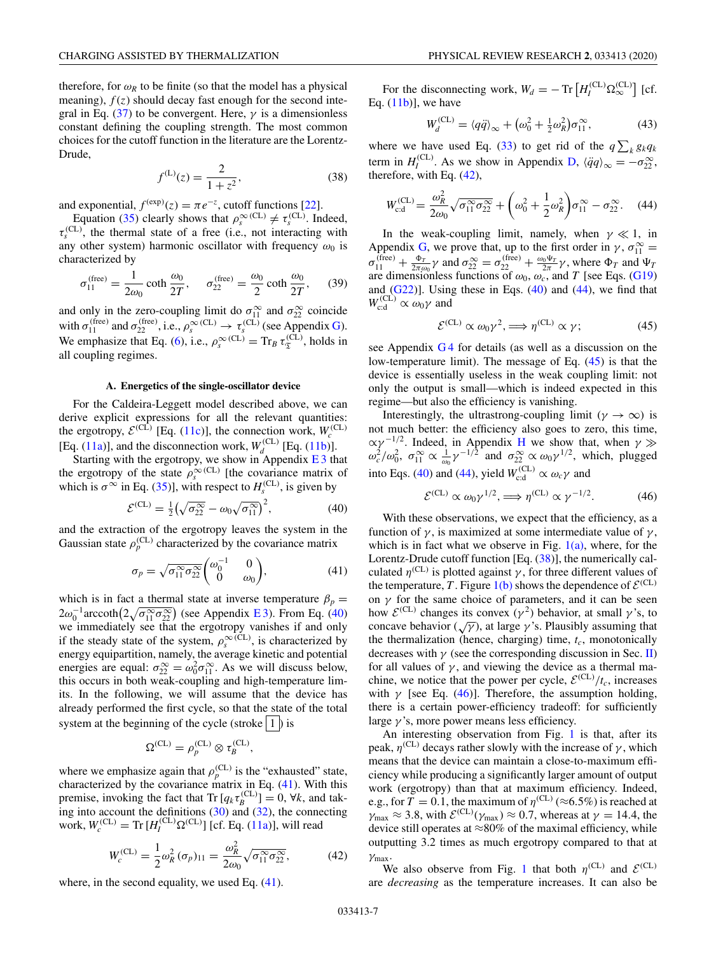<span id="page-6-0"></span>therefore, for  $\omega_R$  to be finite (so that the model has a physical meaning),  $f(z)$  should decay fast enough for the second inte-gral in Eq. [\(37\)](#page-5-0) to be convergent. Here,  $\gamma$  is a dimensionless constant defining the coupling strength. The most common choices for the cutoff function in the literature are the Lorentz-Drude,

$$
f^{(L)}(z) = \frac{2}{1 + z^2},
$$
\n(38)

and exponential,  $f^{(exp)}(z) = \pi e^{-z}$ , cutoff functions [\[22\]](#page-21-0).

Equation [\(35\)](#page-5-0) clearly shows that  $\rho_s^{\infty}$ <sup>(CL)</sup>  $\neq \tau_s^{\text{(CL)}}$ . Indeed,  $\tau_s^{\text{(CL)}}$ , the thermal state of a free (i.e., not interacting with any other system) harmonic oscillator with frequency  $\omega_0$  is characterized by

$$
\sigma_{11}^{\text{(free)}} = \frac{1}{2\omega_0} \coth \frac{\omega_0}{2T}, \quad \sigma_{22}^{\text{(free)}} = \frac{\omega_0}{2} \coth \frac{\omega_0}{2T}, \quad (39)
$$

and only in the zero-coupling limit do  $\sigma_{11}^{\infty}$  and  $\sigma_{22}^{\infty}$  coincide with  $\sigma_{11}^{(\text{free})}$  and  $\sigma_{22}^{(\text{free})}$ , i.e.,  $\rho_s^{\infty}$  (CL)  $\rightarrow \tau_s^{(\text{CL})}$  (see Appendix [G\)](#page-16-0). We emphasize that Eq. [\(6\)](#page-2-0), i.e.,  $\rho_s^{\infty (CL)} = Tr_B \tau_s^{(CL)}$ , holds in all coupling regimes.

### **A. Energetics of the single-oscillator device**

For the Caldeira-Leggett model described above, we can derive explicit expressions for all the relevant quantities: the ergotropy,  $\mathcal{E}^{(CL)}$  [Eq. [\(11c\)](#page-3-0)], the connection work,  $W_c^{(CL)}$ <br>[Eq. [\(11a\)](#page-3-0)], and the disconnection work,  $W_d^{(CL)}$  [Eq. [\(11b\)](#page-3-0)].

Starting with the ergotropy, we show in Appendix  $E_3$  that the ergotropy of the state  $\rho_s^{\infty}$ <sup>(CL)</sup> [the covariance matrix of which is  $\sigma^{\infty}$  in Eq. [\(35\)](#page-5-0)], with respect to  $H_s^{\text{(CL)}}$ , is given by

$$
\mathcal{E}^{(CL)} = \frac{1}{2} \left( \sqrt{\sigma_{22}^{\infty}} - \omega_0 \sqrt{\sigma_{11}^{\infty}} \right)^2, \tag{40}
$$

and the extraction of the ergotropy leaves the system in the Gaussian state  $\rho_p^{\text{(CL)}}$  characterized by the covariance matrix

$$
\sigma_p = \sqrt{\sigma_{11}^{\infty} \sigma_{22}^{\infty}} \begin{pmatrix} \omega_0^{-1} & 0\\ 0 & \omega_0 \end{pmatrix},
$$
 (41)

which is in fact a thermal state at inverse temperature  $\beta_p =$  $2\omega_0^{-1}$  arccoth $\left(2\sqrt{\sigma_{11}^{\infty}\sigma_{22}^{\infty}}\right)$  (see Appendix E3). From Eq. (40) we immediately see that the ergotropy vanishes if and only if the steady state of the system,  $\rho_s^{\infty, (CL)}$ , is characterized by energy equipartition, namely, the average kinetic and potential energies are equal:  $\sigma_{22}^{\infty} = \omega_0^2 \sigma_{11}^{\infty}$ . As we will discuss below, this occurs in both weak-coupling and high-temperature limits. In the following, we will assume that the device has already performed the first cycle, so that the state of the total system at the beginning of the cycle (stroke  $|1|$ ) is

$$
\Omega^{\rm (CL)}=\rho^{\rm (CL)}_p\otimes \tau^{\rm (CL)}_B,
$$

where we emphasize again that  $\rho_p^{\text{(CL)}}$  is the "exhausted" state, characterized by the covariance matrix in Eq. (41). With this premise, invoking the fact that  $\text{Tr} [q_k \tau_B^{\text{(CL)}}] = 0$ ,  $\forall k$ , and taking into account the definitions [\(30\)](#page-5-0) and [\(32\)](#page-5-0), the connecting work,  $W_c^{\text{(CL)}} = \text{Tr} [H_I^{\text{(CL)}} \Omega^{\text{(CL)}}]$  [cf. Eq. [\(11a\)](#page-3-0)], will read

$$
W_c^{(\text{CL})} = \frac{1}{2} \omega_R^2 (\sigma_p)_{11} = \frac{\omega_R^2}{2\omega_0} \sqrt{\sigma_{11}^{\infty} \sigma_{22}^{\infty}},
$$
 (42)

where, in the second equality, we used Eq. (41).

For the disconnecting work,  $W_d = -\text{Tr}\left[H_I^{(CL)}\Omega_\infty^{(CL)}\right]$  [cf. Eq.  $(11b)$ ], we have

$$
W_d^{\text{(CL)}} = \langle q\ddot{q}\rangle_{\infty} + \left(\omega_0^2 + \frac{1}{2}\omega_R^2\right)\sigma_{11}^{\infty},\tag{43}
$$

where we have used Eq. [\(33\)](#page-5-0) to get rid of the  $q \sum_{k} g_{k}q_{k}$ term in  $H_I^{(CL)}$ . As we show in Appendix [D,](#page-12-0)  $\langle \ddot{q} q \rangle_{\infty} = -\sigma_{22}^{\infty}$ , therefore, with Eq. (42),

$$
W_{\text{cd}}^{(\text{CL})} = \frac{\omega_R^2}{2\omega_0} \sqrt{\sigma_{11}^{\infty} \sigma_{22}^{\infty}} + \left(\omega_0^2 + \frac{1}{2}\omega_R^2\right) \sigma_{11}^{\infty} - \sigma_{22}^{\infty}.
$$
 (44)

In the weak-coupling limit, namely, when  $\gamma \ll 1$ , in Appendix [G,](#page-16-0) we prove that, up to the first order in  $\gamma$ ,  $\sigma_{11}^{\infty}$  =  $\sigma_{11}^{(\text{free})} + \frac{\Phi_T}{2\pi \omega_0} \gamma$  and  $\sigma_{22}^{\infty} = \sigma_{22}^{(\text{free})} + \frac{\omega_0 \Psi_T}{2\pi} \gamma$ , where  $\Phi_T$  and  $\Psi_T$ are dimensionless functions of  $\omega_0$ ,  $\omega_c$ , and *T* [see Eqs. [\(G19\)](#page-18-0) and  $(G22)$ ]. Using these in Eqs.  $(40)$  and  $(44)$ , we find that  $W_{c:d}^{(CL)} \propto \omega_0 \gamma$  and

$$
\mathcal{E}^{(\text{CL})} \propto \omega_0 \gamma^2, \Longrightarrow \eta^{(\text{CL})} \propto \gamma; \tag{45}
$$

see Appendix [G 4](#page-19-0) for details (as well as a discussion on the low-temperature limit). The message of Eq. (45) is that the device is essentially useless in the weak coupling limit: not only the output is small—which is indeed expected in this regime—but also the efficiency is vanishing.

Interestingly, the ultrastrong-coupling limit ( $\gamma \to \infty$ ) is not much better: the efficiency also goes to zero, this time,  $\alpha \gamma^{-1/2}$ . Indeed, in Appendix [H](#page-20-0) we show that, when  $\gamma \gg \omega_c^2/\omega_0^2$ ,  $\sigma_{11}^{\infty} \propto \frac{1}{\omega_0} \gamma^{-1/2}$  and  $\sigma_{22}^{\infty} \propto \omega_0 \gamma^{1/2}$ , which, plugged into Eqs. (40) and (44), yield  $W_{\text{c:d}}^{(\text{CL})} \propto \omega_c \gamma$  and

$$
\mathcal{E}^{(\text{CL})} \propto \omega_0 \gamma^{1/2}, \Longrightarrow \eta^{(\text{CL})} \propto \gamma^{-1/2}.
$$
 (46)

With these observations, we expect that the efficiency, as a function of  $\gamma$ , is maximized at some intermediate value of  $\gamma$ , which is in fact what we observe in Fig.  $1(a)$ , where, for the Lorentz-Drude cutoff function [Eq. (38)], the numerically calculated  $\eta^{\text{(CL)}}$  is plotted against  $\gamma$ , for three different values of the temperature, *T*. Figure [1\(b\)](#page-7-0) shows the dependence of  $\mathcal{E}^{(CL)}$ on  $\gamma$  for the same choice of parameters, and it can be seen how  $\mathcal{E}^{(CL)}$  changes its convex  $(\gamma^2)$  behavior, at small  $\gamma$ 's, to concave behavior  $(\sqrt{\gamma})$ , at large  $\gamma$ 's. Plausibly assuming that the thermalization (hence, charging) time,  $t_c$ , monotonically decreases with  $\gamma$  (see the corresponding discussion in Sec. [II\)](#page-1-0) for all values of  $\gamma$ , and viewing the device as a thermal machine, we notice that the power per cycle,  $\mathcal{E}^{(CL)}/t_c$ , increases with  $\gamma$  [see Eq. (46)]. Therefore, the assumption holding, there is a certain power-efficiency tradeoff: for sufficiently large  $\gamma$ 's, more power means less efficiency.

An interesting observation from Fig. [1](#page-7-0) is that, after its peak,  $\eta^{\text{(CL)}}$  decays rather slowly with the increase of  $\gamma$ , which means that the device can maintain a close-to-maximum efficiency while producing a significantly larger amount of output work (ergotropy) than that at maximum efficiency. Indeed, e.g., for  $T = 0.1$ , the maximum of  $\eta^{\text{(CL)}}$  ( $\approx 6.5\%$ ) is reached at  $\gamma_{\text{max}} \approx 3.8$ , with  $\mathcal{E}^{(CL)}(\gamma_{\text{max}}) \approx 0.7$ , whereas at  $\gamma = 14.4$ , the device still operates at  $\approx 80\%$  of the maximal efficiency, while outputting 3.2 times as much ergotropy compared to that at γmax.

We also observe from Fig. [1](#page-7-0) that both  $\eta^{\text{(CL)}}$  and  $\mathcal{E}^{\text{(CL)}}$ are *decreasing* as the temperature increases. It can also be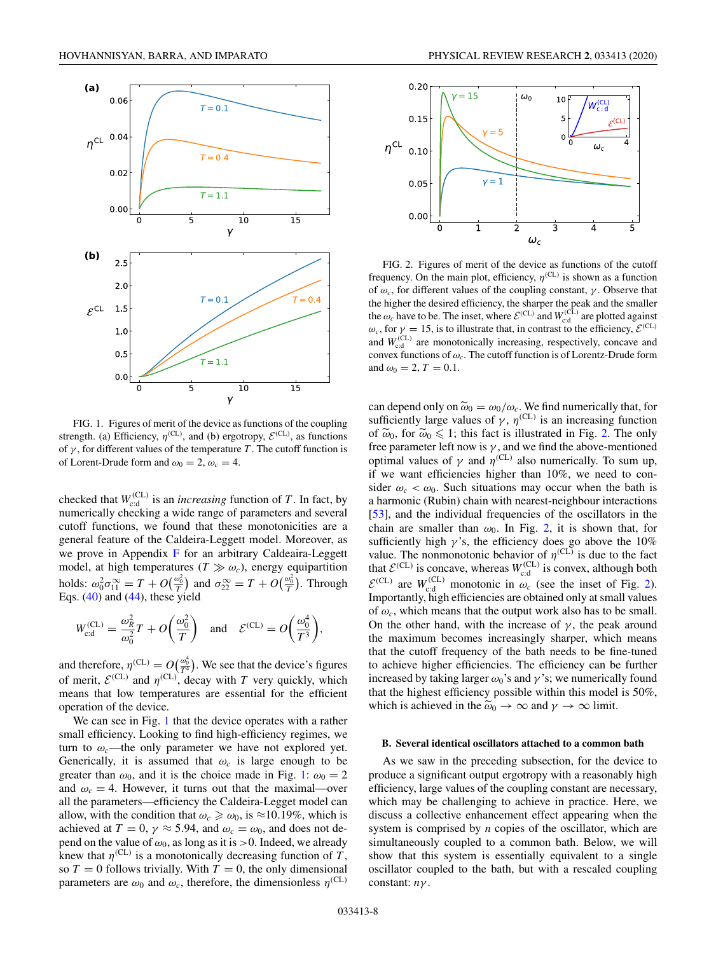<span id="page-7-0"></span>

FIG. 1. Figures of merit of the device as functions of the coupling strength. (a) Efficiency,  $\eta^{\text{(CL)}}$ , and (b) ergotropy,  $\mathcal{E}^{\text{(CL)}}$ , as functions of  $\gamma$ , for different values of the temperature *T*. The cutoff function is of Lorent-Drude form and  $\omega_0 = 2$ ,  $\omega_c = 4$ .

checked that  $W_{\text{c}d}^{(\text{CL})}$  is an *increasing* function of *T*. In fact, by numerically checking a wide range of parameters and several cutoff functions, we found that these monotonicities are a general feature of the Caldeira-Leggett model. Moreover, as we prove in Appendix [F](#page-16-0) for an arbitrary Caldeaira-Leggett model, at high temperatures  $(T \gg \omega_c)$ , energy equipartition holds:  $\omega_0^2 \sigma_{11}^{\infty} = T + O(\frac{\omega_0^2}{T})$  and  $\sigma_{22}^{\infty} = T + O(\frac{\omega_0^2}{T})$ . Through Eqs.  $(40)$  and  $(44)$ , these yield

$$
W_{\text{c:d}}^{(\text{CL})} = \frac{\omega_R^2}{\omega_0^2} T + O\left(\frac{\omega_0^2}{T}\right) \quad \text{and} \quad \mathcal{E}^{(\text{CL})} = O\left(\frac{\omega_0^4}{T^3}\right),
$$

and therefore,  $\eta^{(CL)} = O(\frac{\omega_0^4}{T^4})$ . We see that the device's figures of merit,  $\mathcal{E}^{(CL)}$  and  $\eta^{(CL)}$ , decay with *T* very quickly, which means that low temperatures are essential for the efficient operation of the device.

We can see in Fig. 1 that the device operates with a rather small efficiency. Looking to find high-efficiency regimes, we turn to  $\omega_c$ —the only parameter we have not explored yet. Generically, it is assumed that  $\omega_c$  is large enough to be greater than  $\omega_0$ , and it is the choice made in Fig. 1:  $\omega_0 = 2$ and  $\omega_c = 4$ . However, it turns out that the maximal—over all the parameters—efficiency the Caldeira-Legget model can allow, with the condition that  $\omega_c \geq \omega_0$ , is ≈10.19%, which is achieved at  $T = 0$ ,  $\gamma \approx 5.94$ , and  $\omega_c = \omega_0$ , and does not depend on the value of  $\omega_0$ , as long as it is >0. Indeed, we already knew that  $\eta^{\text{(CL)}}$  is a monotonically decreasing function of *T*, so  $T = 0$  follows trivially. With  $T = 0$ , the only dimensional parameters are  $\omega_0$  and  $\omega_c$ , therefore, the dimensionless  $\eta^{\text{(CL)}}$ 



FIG. 2. Figures of merit of the device as functions of the cutoff frequency. On the main plot, efficiency,  $\eta^{\text{(CL)}}$  is shown as a function of  $\omega_c$ , for different values of the coupling constant,  $\gamma$ . Observe that the higher the desired efficiency, the sharper the peak and the smaller the  $\omega_c$  have to be. The inset, where  $\mathcal{E}^{(CL)}$  and  $W_{\text{c.d}}^{(CL)}$  are plotted against  $\omega_c$ , for  $\gamma = 15$ , is to illustrate that, in contrast to the efficiency,  $\mathcal{E}^{(CL)}$ and  $W_{\text{c,d}}^{(\text{CL})}$  are monotonically increasing, respectively, concave and convex functions of ω*c*. The cutoff function is of Lorentz-Drude form and  $\omega_0 = 2, T = 0.1$ .

can depend only on  $\tilde{\omega}_0 = \omega_0/\omega_c$ . We find numerically that, for sufficiently large values of  $\gamma$ ,  $\eta^{\text{(CL)}}$  is an increasing function of  $\tilde{\omega}_0$ , for  $\tilde{\omega}_0 \le 1$ ; this fact is illustrated in Fig. 2. The only free parameter left now is  $\gamma$ , and we find the above-mentioned optimal values of  $\gamma$  and  $\eta^{\text{(CL)}}$  also numerically. To sum up, if we want efficiencies higher than 10%, we need to consider  $\omega_c < \omega_0$ . Such situations may occur when the bath is a harmonic (Rubin) chain with nearest-neighbour interactions [\[53\]](#page-22-0), and the individual frequencies of the oscillators in the chain are smaller than  $\omega_0$ . In Fig. 2, it is shown that, for sufficiently high  $\gamma$ 's, the efficiency does go above the 10% value. The nonmonotonic behavior of  $\eta^{\text{(CL)}}$  is due to the fact that  $\mathcal{E}^{(CL)}$  is concave, whereas  $W_{\text{c,d}}^{(CL)}$  is convex, although both  $\mathcal{E}^{(CL)}$  are  $W_{\text{cd}}^{(CL)}$  monotonic in  $\omega_c$  (see the inset of Fig. 2). Importantly, high efficiencies are obtained only at small values of  $\omega_c$ , which means that the output work also has to be small. On the other hand, with the increase of  $\gamma$ , the peak around the maximum becomes increasingly sharper, which means that the cutoff frequency of the bath needs to be fine-tuned to achieve higher efficiencies. The efficiency can be further increased by taking larger  $\omega_0$ 's and  $\gamma$ 's; we numerically found that the highest efficiency possible within this model is 50%, which is achieved in the  $\tilde{\omega}_0 \rightarrow \infty$  and  $\gamma \rightarrow \infty$  limit.

#### **B. Several identical oscillators attached to a common bath**

As we saw in the preceding subsection, for the device to produce a significant output ergotropy with a reasonably high efficiency, large values of the coupling constant are necessary, which may be challenging to achieve in practice. Here, we discuss a collective enhancement effect appearing when the system is comprised by *n* copies of the oscillator, which are simultaneously coupled to a common bath. Below, we will show that this system is essentially equivalent to a single oscillator coupled to the bath, but with a rescaled coupling constant: *n*γ .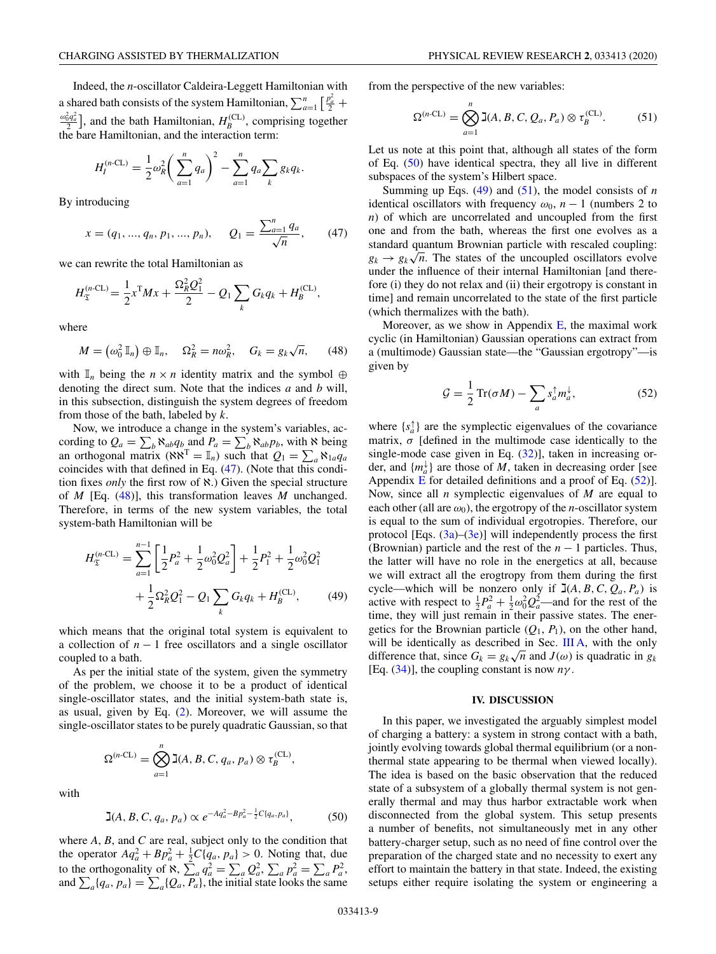$$
H_I^{(n\text{-CL})} = \frac{1}{2} \omega_R^2 \bigg( \sum_{a=1}^n q_a \bigg)^2 - \sum_{a=1}^n q_a \sum_k g_k q_k.
$$

By introducing

$$
x = (q_1, ..., q_n, p_1, ..., p_n),
$$
  $Q_1 = \frac{\sum_{a=1}^{n} q_a}{\sqrt{n}},$  (47)

we can rewrite the total Hamiltonian as

$$
H_{\mathfrak{T}}^{(n\text{-CL})} = \frac{1}{2} x^{\text{T}} M x + \frac{\Omega_R^2 Q_1^2}{2} - Q_1 \sum_k G_k q_k + H_B^{\text{(CL)}},
$$

where

$$
M = (\omega_0^2 \mathbb{I}_n) \oplus \mathbb{I}_n, \quad \Omega_R^2 = n\omega_R^2, \quad G_k = g_k \sqrt{n}, \quad (48)
$$

with  $\mathbb{I}_n$  being the  $n \times n$  identity matrix and the symbol ⊕ denoting the direct sum. Note that the indices *a* and *b* will, in this subsection, distinguish the system degrees of freedom from those of the bath, labeled by *k*.

Now, we introduce a change in the system's variables, according to  $Q_a = \sum_b \aleph_{ab} q_b$  and  $P_a = \sum_b \aleph_{ab} p_b$ , with  $\aleph$  being an orthogonal matrix ( $\aleph \aleph^T = \mathbb{I}_n$ ) such that  $Q_1 = \sum_a \aleph_{1a} q_a$ coincides with that defined in Eq. (47). (Note that this condition fixes *only* the first row of ℵ.) Given the special structure of *M* [Eq. (48)], this transformation leaves *M* unchanged. Therefore, in terms of the new system variables, the total system-bath Hamiltonian will be

$$
H_{\mathfrak{T}}^{(n\text{-CL})} = \sum_{a=1}^{n-1} \left[ \frac{1}{2} P_a^2 + \frac{1}{2} \omega_0^2 Q_a^2 \right] + \frac{1}{2} P_1^2 + \frac{1}{2} \omega_0^2 Q_1^2 + \frac{1}{2} \Omega_R^2 Q_1^2 - Q_1 \sum_k G_k q_k + H_B^{(\text{CL})}, \tag{49}
$$

which means that the original total system is equivalent to a collection of *n* − 1 free oscillators and a single oscillator coupled to a bath.

As per the initial state of the system, given the symmetry of the problem, we choose it to be a product of identical single-oscillator states, and the initial system-bath state is, as usual, given by Eq. [\(2\)](#page-1-0). Moreover, we will assume the single-oscillator states to be purely quadratic Gaussian, so that

$$
\Omega^{(n-CL)} = \bigotimes_{a=1}^{n} \mathbb{J}(A, B, C, q_a, p_a) \otimes \tau_B^{(CL)},
$$

with

$$
\mathbf{I}(A, B, C, q_a, p_a) \propto e^{-A q_a^2 - B p_a^2 - \frac{1}{2} C \{q_a, p_a\}}, \tag{50}
$$

where *A*, *B*, and *C* are real, subject only to the condition that the operator  $Aq_a^2 + Bp_a^2 + \frac{1}{2}C\{q_a, p_a\} > 0$ . Noting that, due to the orthogonality of  $\aleph$ ,  $\sum_a q_a^2 = \sum_a Q_a^2$ ,  $\sum_a p_a^2 = \sum_a P_a^2$ , and  $\sum_{a} \{q_a, p_a\} = \sum_{a} \{Q_a, P_a\}$ , the initial state looks the same

from the perspective of the new variables:

$$
\Omega^{(n-CL)} = \bigotimes_{a=1}^{n} \mathbb{I}(A, B, C, Q_a, P_a) \otimes \tau_B^{(CL)}.
$$
 (51)

Let us note at this point that, although all states of the form of Eq. (50) have identical spectra, they all live in different subspaces of the system's Hilbert space.

Summing up Eqs.  $(49)$  and  $(51)$ , the model consists of *n* identical oscillators with frequency  $\omega_0$ , *n* − 1 (numbers 2 to *n*) of which are uncorrelated and uncoupled from the first one and from the bath, whereas the first one evolves as a standard quantum Brownian particle with rescaled coupling: *g<sub>k</sub>*  $\rightarrow$  *g<sub>k</sub>* $\sqrt{n}$ . The states of the uncoupled oscillators evolve under the influence of their internal Hamiltonian [and therefore (i) they do not relax and (ii) their ergotropy is constant in time] and remain uncorrelated to the state of the first particle (which thermalizes with the bath).

Moreover, as we show in Appendix  $E$ , the maximal work cyclic (in Hamiltonian) Gaussian operations can extract from a (multimode) Gaussian state—the "Gaussian ergotropy"—is given by

$$
\mathcal{G} = \frac{1}{2} \operatorname{Tr}(\sigma M) - \sum_{a} s_a^{\dagger} m_a^{\dagger}, \tag{52}
$$

where  $\{s_a^{\uparrow}\}\$  are the symplectic eigenvalues of the covariance matrix,  $\sigma$  [defined in the multimode case identically to the single-mode case given in Eq.  $(32)$ ], taken in increasing order, and  $\{m_a^{\downarrow}\}\$  are those of *M*, taken in decreasing order [see Appendix  $\overline{E}$  $\overline{E}$  $\overline{E}$  for detailed definitions and a proof of Eq. (52)]. Now, since all *n* symplectic eigenvalues of *M* are equal to each other (all are  $\omega_0$ ), the ergotropy of the *n*-oscillator system is equal to the sum of individual ergotropies. Therefore, our protocol [Eqs.  $(3a)$ – $(3e)$ ] will independently process the first (Brownian) particle and the rest of the *n* − 1 particles. Thus, the latter will have no role in the energetics at all, because we will extract all the erogtropy from them during the first cycle—which will be nonzero only if  $\exists (A, B, C, Q_a, P_a)$  is active with respect to  $\frac{1}{2}P_a^2 + \frac{1}{2}\omega_0^2 Q_a^2$ —and for the rest of the time, they will just remain in their passive states. The energetics for the Brownian particle  $(Q_1, P_1)$ , on the other hand, will be identically as described in Sec. [III A,](#page-6-0) with the only will be identically as described in sec. III A, with the only difference that, since  $G_k = g_k \sqrt{n}$  and  $J(\omega)$  is quadratic in  $g_k$ [Eq.  $(34)$ ], the coupling constant is now  $n\gamma$ .

# **IV. DISCUSSION**

In this paper, we investigated the arguably simplest model of charging a battery: a system in strong contact with a bath, jointly evolving towards global thermal equilibrium (or a nonthermal state appearing to be thermal when viewed locally). The idea is based on the basic observation that the reduced state of a subsystem of a globally thermal system is not generally thermal and may thus harbor extractable work when disconnected from the global system. This setup presents a number of benefits, not simultaneously met in any other battery-charger setup, such as no need of fine control over the preparation of the charged state and no necessity to exert any effort to maintain the battery in that state. Indeed, the existing setups either require isolating the system or engineering a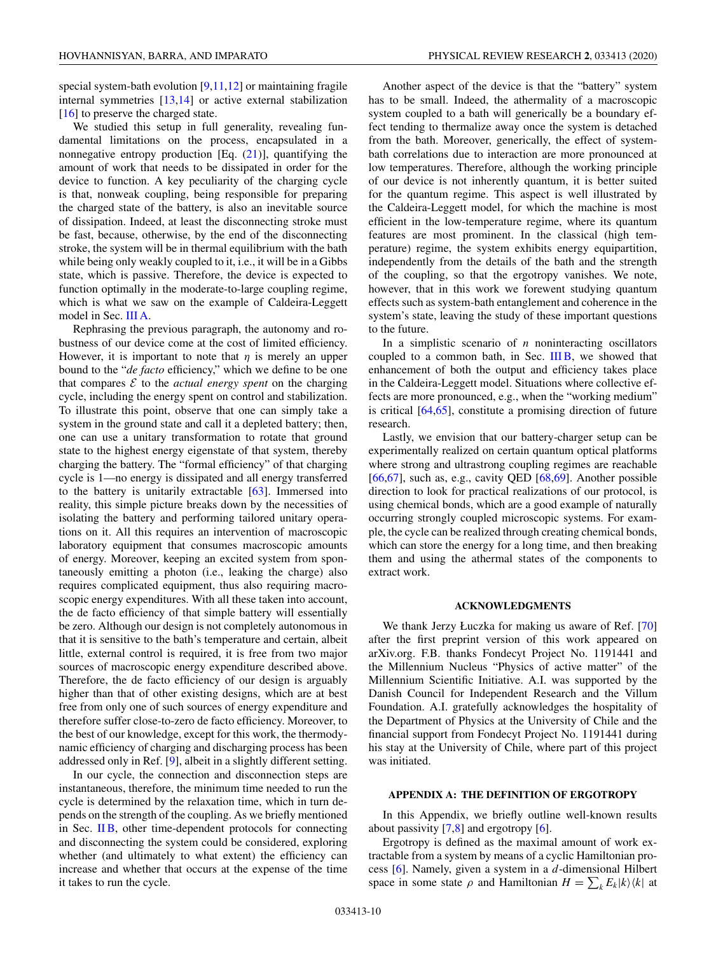<span id="page-9-0"></span>special system-bath evolution [\[9,11,12\]](#page-21-0) or maintaining fragile internal symmetries [\[13,14\]](#page-21-0) or active external stabilization [\[16\]](#page-21-0) to preserve the charged state.

We studied this setup in full generality, revealing fundamental limitations on the process, encapsulated in a nonnegative entropy production [Eq.  $(21)$ ], quantifying the amount of work that needs to be dissipated in order for the device to function. A key peculiarity of the charging cycle is that, nonweak coupling, being responsible for preparing the charged state of the battery, is also an inevitable source of dissipation. Indeed, at least the disconnecting stroke must be fast, because, otherwise, by the end of the disconnecting stroke, the system will be in thermal equilibrium with the bath while being only weakly coupled to it, i.e., it will be in a Gibbs state, which is passive. Therefore, the device is expected to function optimally in the moderate-to-large coupling regime, which is what we saw on the example of Caldeira-Leggett model in Sec. [III A.](#page-6-0)

Rephrasing the previous paragraph, the autonomy and robustness of our device come at the cost of limited efficiency. However, it is important to note that  $\eta$  is merely an upper bound to the "*de facto* efficiency," which we define to be one that compares  $\mathcal E$  to the *actual energy spent* on the charging cycle, including the energy spent on control and stabilization. To illustrate this point, observe that one can simply take a system in the ground state and call it a depleted battery; then, one can use a unitary transformation to rotate that ground state to the highest energy eigenstate of that system, thereby charging the battery. The "formal efficiency" of that charging cycle is 1—no energy is dissipated and all energy transferred to the battery is unitarily extractable [\[63\]](#page-22-0). Immersed into reality, this simple picture breaks down by the necessities of isolating the battery and performing tailored unitary operations on it. All this requires an intervention of macroscopic laboratory equipment that consumes macroscopic amounts of energy. Moreover, keeping an excited system from spontaneously emitting a photon (i.e., leaking the charge) also requires complicated equipment, thus also requiring macroscopic energy expenditures. With all these taken into account, the de facto efficiency of that simple battery will essentially be zero. Although our design is not completely autonomous in that it is sensitive to the bath's temperature and certain, albeit little, external control is required, it is free from two major sources of macroscopic energy expenditure described above. Therefore, the de facto efficiency of our design is arguably higher than that of other existing designs, which are at best free from only one of such sources of energy expenditure and therefore suffer close-to-zero de facto efficiency. Moreover, to the best of our knowledge, except for this work, the thermodynamic efficiency of charging and discharging process has been addressed only in Ref. [\[9\]](#page-21-0), albeit in a slightly different setting.

In our cycle, the connection and disconnection steps are instantaneous, therefore, the minimum time needed to run the cycle is determined by the relaxation time, which in turn depends on the strength of the coupling. As we briefly mentioned in Sec. [II B,](#page-3-0) other time-dependent protocols for connecting and disconnecting the system could be considered, exploring whether (and ultimately to what extent) the efficiency can increase and whether that occurs at the expense of the time it takes to run the cycle.

Another aspect of the device is that the "battery" system has to be small. Indeed, the athermality of a macroscopic system coupled to a bath will generically be a boundary effect tending to thermalize away once the system is detached from the bath. Moreover, generically, the effect of systembath correlations due to interaction are more pronounced at low temperatures. Therefore, although the working principle of our device is not inherently quantum, it is better suited for the quantum regime. This aspect is well illustrated by the Caldeira-Leggett model, for which the machine is most efficient in the low-temperature regime, where its quantum features are most prominent. In the classical (high temperature) regime, the system exhibits energy equipartition, independently from the details of the bath and the strength of the coupling, so that the ergotropy vanishes. We note, however, that in this work we forewent studying quantum effects such as system-bath entanglement and coherence in the system's state, leaving the study of these important questions to the future.

In a simplistic scenario of *n* noninteracting oscillators coupled to a common bath, in Sec. [III B,](#page-7-0) we showed that enhancement of both the output and efficiency takes place in the Caldeira-Leggett model. Situations where collective effects are more pronounced, e.g., when the "working medium" is critical [\[64,65\]](#page-22-0), constitute a promising direction of future research.

Lastly, we envision that our battery-charger setup can be experimentally realized on certain quantum optical platforms where strong and ultrastrong coupling regimes are reachable [\[66,67\]](#page-22-0), such as, e.g., cavity QED [\[68,69\]](#page-22-0). Another possible direction to look for practical realizations of our protocol, is using chemical bonds, which are a good example of naturally occurring strongly coupled microscopic systems. For example, the cycle can be realized through creating chemical bonds, which can store the energy for a long time, and then breaking them and using the athermal states of the components to extract work.

### **ACKNOWLEDGMENTS**

We thank Jerzy Łuczka for making us aware of Ref. [\[70\]](#page-22-0) after the first preprint version of this work appeared on arXiv.org. F.B. thanks Fondecyt Project No. 1191441 and the Millennium Nucleus "Physics of active matter" of the Millennium Scientific Initiative. A.I. was supported by the Danish Council for Independent Research and the Villum Foundation. A.I. gratefully acknowledges the hospitality of the Department of Physics at the University of Chile and the financial support from Fondecyt Project No. 1191441 during his stay at the University of Chile, where part of this project was initiated.

### **APPENDIX A: THE DEFINITION OF ERGOTROPY**

In this Appendix, we briefly outline well-known results about passivity [\[7,8\]](#page-21-0) and ergotropy [\[6\]](#page-21-0).

Ergotropy is defined as the maximal amount of work extractable from a system by means of a cyclic Hamiltonian process [\[6\]](#page-21-0). Namely, given a system in a *d*-dimensional Hilbert space in some state  $\rho$  and Hamiltonian  $H = \sum_k E_k |k\rangle\langle k|$  at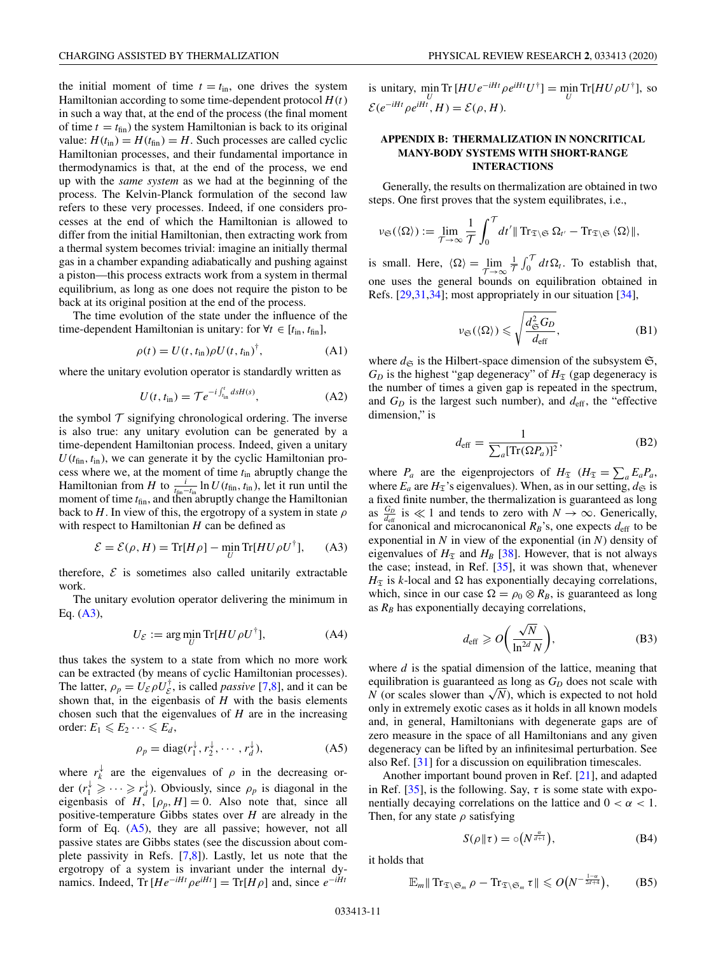<span id="page-10-0"></span>the initial moment of time  $t = t_{\text{in}}$ , one drives the system Hamiltonian according to some time-dependent protocol *H*(*t*) in such a way that, at the end of the process (the final moment of time  $t = t_{fin}$ ) the system Hamiltonian is back to its original value:  $H(t_{\text{in}}) = H(t_{\text{fin}}) = H$ . Such processes are called cyclic Hamiltonian processes, and their fundamental importance in thermodynamics is that, at the end of the process, we end up with the *same system* as we had at the beginning of the process. The Kelvin-Planck formulation of the second law refers to these very processes. Indeed, if one considers processes at the end of which the Hamiltonian is allowed to differ from the initial Hamiltonian, then extracting work from a thermal system becomes trivial: imagine an initially thermal gas in a chamber expanding adiabatically and pushing against a piston—this process extracts work from a system in thermal equilibrium, as long as one does not require the piston to be back at its original position at the end of the process.

The time evolution of the state under the influence of the time-dependent Hamiltonian is unitary: for  $\forall t \in [t_{in}, t_{fin}]$ ,

$$
\rho(t) = U(t, t_{\rm in})\rho U(t, t_{\rm in})^{\dagger},\tag{A1}
$$

where the unitary evolution operator is standardly written as

$$
U(t, t_{\rm in}) = \mathcal{T}e^{-i\int_{t_{\rm in}}^t ds H(s)},\tag{A2}
$$

the symbol  $\mathcal T$  signifying chronological ordering. The inverse is also true: any unitary evolution can be generated by a time-dependent Hamiltonian process. Indeed, given a unitary  $U(t_{\text{fin}}, t_{\text{in}})$ , we can generate it by the cyclic Hamiltonian process where we, at the moment of time *t*in abruptly change the Hamiltonian from *H* to  $\frac{i}{t_{fin}-t_{in}} \ln U(t_{fin}, t_{in})$ , let it run until the moment of time  $t_{fin}$ , and then abruptly change the Hamiltonian back to *H*. In view of this, the ergotropy of a system in state  $\rho$ with respect to Hamiltonian *H* can be defined as

$$
\mathcal{E} = \mathcal{E}(\rho, H) = \text{Tr}[H\rho] - \min_{U} \text{Tr}[H U \rho U^{\dagger}], \quad (A3)
$$

therefore,  $\mathcal E$  is sometimes also called unitarily extractable work.

The unitary evolution operator delivering the minimum in Eq. (A3),

$$
U_{\mathcal{E}} := \arg\min_{U} \text{Tr}[H U \rho U^{\dagger}], \tag{A4}
$$

thus takes the system to a state from which no more work can be extracted (by means of cyclic Hamiltonian processes). The latter,  $\rho_p = U_{\mathcal{E}} \rho U_{\mathcal{E}}^{\dagger}$ , is called *passive* [\[7,8\]](#page-21-0), and it can be shown that, in the eigenbasis of *H* with the basis elements chosen such that the eigenvalues of *H* are in the increasing order:  $E_1 \leqslant E_2 \cdots \leqslant E_d$ ,

$$
\rho_p = \text{diag}(r_1^\downarrow, r_2^\downarrow, \cdots, r_d^\downarrow),\tag{A5}
$$

where  $r_k^{\downarrow}$  are the eigenvalues of  $\rho$  in the decreasing order  $(r_1^{\downarrow} \geqslant \cdots \geqslant r_d^{\downarrow})$ . Obviously, since  $\rho_p$  is diagonal in the eigenbasis of  $H^{\prime}$ ,  $[\rho_p, H] = 0$ . Also note that, since all positive-temperature Gibbs states over *H* are already in the form of Eq.  $(A5)$ , they are all passive; however, not all passive states are Gibbs states (see the discussion about complete passivity in Refs. [\[7,8\]](#page-21-0)). Lastly, let us note that the ergotropy of a system is invariant under the internal dynamics. Indeed,  $\text{Tr} [He^{-iHt} \rho e^{iHt}] = \text{Tr}[H\rho]$  and, since  $e^{-iHt}$ 

is unitary,  $\min_{U} \text{Tr} [H U e^{-iHt} \rho e^{iHt} U^{\dagger}] = \min_{U} \text{Tr} [H U \rho U^{\dagger}],$  so  $\mathcal{E}(e^{-iHt} \rho e^{iHt}, H) = \mathcal{E}(\rho, H).$ 

# **APPENDIX B: THERMALIZATION IN NONCRITICAL MANY-BODY SYSTEMS WITH SHORT-RANGE INTERACTIONS**

Generally, the results on thermalization are obtained in two steps. One first proves that the system equilibrates, i.e.,

$$
\nu_{\mathfrak{S}}(\langle\Omega\rangle) := \lim_{\mathcal{T}\to\infty} \frac{1}{\mathcal{T}} \int_0^{\mathcal{T}} dt' || \operatorname{Tr}_{\mathfrak{T}\setminus\mathfrak{S}} \Omega_{t'} - \operatorname{Tr}_{\mathfrak{T}\setminus\mathfrak{S}} \langle\Omega\rangle ||,
$$

is small. Here,  $\langle \Omega \rangle = \lim_{\mathcal{T} \to \infty}$ 1  $\frac{1}{\tau} \int_0^{\tau} dt \Omega_t$ . To establish that, one uses the general bounds on equilibration obtained in Refs. [\[29,](#page-21-0)[31,34\]](#page-22-0); most appropriately in our situation [\[34\]](#page-22-0),

$$
\nu_{\mathfrak{S}}(\langle \Omega \rangle) \leqslant \sqrt{\frac{d_{\mathfrak{S}}^2 G_D}{d_{\text{eff}}}},\tag{B1}
$$

where  $d_{\mathfrak{S}}$  is the Hilbert-space dimension of the subsystem  $\mathfrak{S}$ ,  $G_D$  is the highest "gap degeneracy" of  $H_{\mathfrak{T}}$  (gap degeneracy is the number of times a given gap is repeated in the spectrum, and  $G_D$  is the largest such number), and  $d_{\text{eff}}$ , the "effective dimension," is

$$
d_{\text{eff}} = \frac{1}{\sum_{a} [\text{Tr}(\Omega P_a)]^2},\tag{B2}
$$

where  $P_a$  are the eigenprojectors of  $H_{\mathfrak{T}}$  ( $H_{\mathfrak{T}} = \sum_a E_a P_a$ , where  $E_a$  are  $H_{\mathfrak{T}}$ 's eigenvalues). When, as in our setting,  $d_{\mathfrak{S}}$  is a fixed finite number, the thermalization is guaranteed as long as  $\frac{G_D}{d_{\text{eff}}}$  is  $\ll 1$  and tends to zero with  $N \to \infty$ . Generically, for canonical and microcanonical  $R_B$ 's, one expects  $d_{\text{eff}}$  to be exponential in *N* in view of the exponential (in *N*) density of eigenvalues of  $H<sub>T</sub>$  and  $H<sub>B</sub>$  [\[38\]](#page-22-0). However, that is not always the case; instead, in Ref. [\[35\]](#page-22-0), it was shown that, whenever  $H_{\mathfrak{T}}$  is *k*-local and  $\Omega$  has exponentially decaying correlations, which, since in our case  $\Omega = \rho_0 \otimes R_B$ , is guaranteed as long as  $R_B$  has exponentially decaying correlations,

$$
d_{\text{eff}} \geqslant O\bigg(\frac{\sqrt{N}}{\ln^{2d} N}\bigg),\tag{B3}
$$

where *d* is the spatial dimension of the lattice, meaning that equilibration is guaranteed as long as  $G<sub>D</sub>$  does not scale with *N* (or scales slower than  $\sqrt{N}$ ), which is expected to not hold only in extremely exotic cases as it holds in all known models and, in general, Hamiltonians with degenerate gaps are of zero measure in the space of all Hamiltonians and any given degeneracy can be lifted by an infinitesimal perturbation. See also Ref. [\[31\]](#page-22-0) for a discussion on equilibration timescales.

Another important bound proven in Ref. [\[21\]](#page-21-0), and adapted in Ref. [\[35\]](#page-22-0), is the following. Say,  $\tau$  is some state with exponentially decaying correlations on the lattice and  $0 < \alpha < 1$ . Then, for any state  $\rho$  satisfying

$$
S(\rho \| \tau) = \circ (N^{\frac{\alpha}{d+1}}), \tag{B4}
$$

it holds that

$$
\mathbb{E}_m \| \operatorname{Tr}_{\mathfrak{T}\setminus\mathfrak{S}_m} \rho - \operatorname{Tr}_{\mathfrak{T}\setminus\mathfrak{S}_m} \tau \| \leqslant O\big(N^{-\frac{1-\alpha}{2d+4}}\big),\qquad( \mathrm{B5})
$$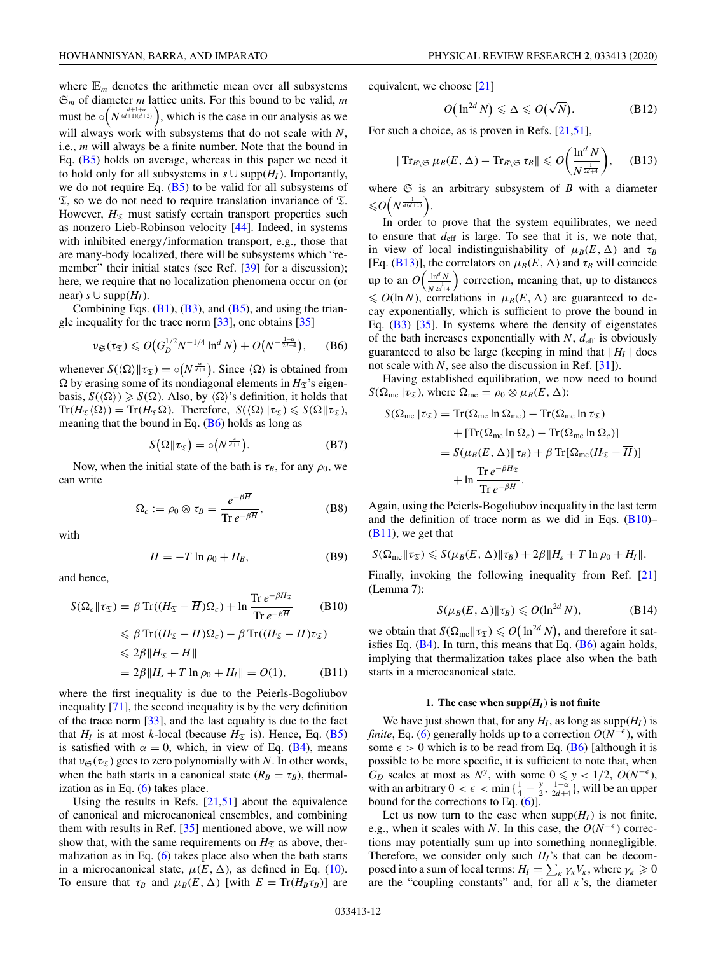<span id="page-11-0"></span>where  $\mathbb{E}_m$  denotes the arithmetic mean over all subsystems S*<sup>m</sup>* of diameter *m* lattice units. For this bound to be valid, *m* must be  $\circ \left( N^{\frac{d+1+\alpha}{(d+1)(d+2)}} \right)$ , which is the case in our analysis as we will always work with subsystems that do not scale with *N*, i.e., *m* will always be a finite number. Note that the bound in Eq.  $(B5)$  holds on average, whereas in this paper we need it to hold only for all subsystems in  $s \cup \text{supp}(H_I)$ . Importantly, we do not require Eq.  $(B5)$  to be valid for all subsystems of  $\mathfrak{T}$ , so we do not need to require translation invariance of  $\mathfrak{T}$ . However,  $H_{\mathfrak{T}}$  must satisfy certain transport properties such as nonzero Lieb-Robinson velocity [\[44\]](#page-22-0). Indeed, in systems with inhibited energy/information transport, e.g., those that are many-body localized, there will be subsystems which "re-member" their initial states (see Ref. [\[39\]](#page-22-0) for a discussion); here, we require that no localization phenomena occur on (or near)  $s$  ∪ supp $(H<sub>I</sub>)$ .

Combining Eqs.  $(B1)$ ,  $(B3)$ , and  $(B5)$ , and using the triangle inequality for the trace norm [\[33\]](#page-22-0), one obtains [\[35\]](#page-22-0)

$$
\nu_{\mathfrak{S}}(\tau_{\mathfrak{T}}) \leqslant O\big(G_D^{1/2} N^{-1/4} \ln^d N\big) + O\big(N^{-\frac{1-\alpha}{2d+4}}\big), \qquad (B6)
$$

whenever  $S(\langle \Omega \rangle || \tau_{\mathfrak{T}}) = \circ(N^{\frac{\alpha}{d+1}})$ . Since  $\langle \Omega \rangle$  is obtained from  $\Omega$  by erasing some of its nondiagonal elements in  $H_{\mathcal{I}}$ 's eigenbasis,  $S(\langle \Omega \rangle) \ge S(\Omega)$ . Also, by  $\langle \Omega \rangle$ 's definition, it holds that  $\mathrm{Tr}(H_{\mathfrak{T}}\langle \Omega \rangle) = \mathrm{Tr}(H_{\mathfrak{T}}\Omega)$ . Therefore,  $S(\langle \Omega | \mathfrak{r}_{\mathfrak{T}}) \leqslant S(\Omega | \mathfrak{r}_{\mathfrak{T}})$ , meaning that the bound in Eq.  $(B6)$  holds as long as

$$
S(\Omega \mid \tau_{\mathfrak{T}}) = \circ(N^{\frac{\alpha}{d+1}}). \tag{B7}
$$

Now, when the initial state of the bath is  $\tau_B$ , for any  $\rho_0$ , we can write

$$
\Omega_c := \rho_0 \otimes \tau_B = \frac{e^{-\beta \overline{H}}}{\text{Tr } e^{-\beta \overline{H}}},
$$
 (B8)

with

$$
\overline{H} = -T \ln \rho_0 + H_B,\tag{B9}
$$

and hence,

$$
S(\Omega_c || \tau_{\mathfrak{T}}) = \beta \operatorname{Tr}((H_{\mathfrak{T}} - \overline{H})\Omega_c) + \ln \frac{\operatorname{Tr} e^{-\beta H_{\mathfrak{T}}}}{\operatorname{Tr} e^{-\beta \overline{H}}} \tag{B10}
$$

$$
\leq \beta \operatorname{Tr}((H_{\mathfrak{T}} - \overline{H})\Omega_c) - \beta \operatorname{Tr}((H_{\mathfrak{T}} - \overline{H})\tau_{\mathfrak{T}})
$$
  

$$
\leq 2\beta \|H_{\mathfrak{T}} - \overline{H}\|
$$
  

$$
= 2\beta \|H_s + T \ln \rho_0 + H_I\| = O(1),
$$
 (B11)

where the first inequality is due to the Peierls-Bogoliubov inequality [\[71\]](#page-22-0), the second inequality is by the very definition of the trace norm [\[33\]](#page-22-0), and the last equality is due to the fact that  $H_I$  is at most *k*-local (because  $H_{\mathfrak{T}}$  is). Hence, Eq. [\(B5\)](#page-10-0) is satisfied with  $\alpha = 0$ , which, in view of Eq. [\(B4\)](#page-10-0), means that  $v_{\mathfrak{S}}(\tau_{\mathfrak{T}})$  goes to zero polynomially with *N*. In other words, when the bath starts in a canonical state  $(R_B = \tau_B)$ , thermalization as in Eq.  $(6)$  takes place.

Using the results in Refs.  $[21,51]$  $[21,51]$  about the equivalence of canonical and microcanonical ensembles, and combining them with results in Ref. [\[35\]](#page-22-0) mentioned above, we will now show that, with the same requirements on  $H<sub>T</sub>$  as above, thermalization as in Eq. [\(6\)](#page-2-0) takes place also when the bath starts in a microcanonical state,  $\mu(E, \Delta)$ , as defined in Eq. [\(10\)](#page-2-0). To ensure that  $\tau_B$  and  $\mu_B(E, \Delta)$  [with  $E = \text{Tr}(H_B \tau_B)$ ] are equivalent, we choose [\[21\]](#page-21-0)

$$
O\big(\ln^{2d} N\big) \leqslant \Delta \leqslant O\big(\sqrt{N}\big). \tag{B12}
$$

For such a choice, as is proven in Refs. [\[21](#page-21-0)[,51\]](#page-22-0),

$$
\|\operatorname{Tr}_{B\setminus\mathfrak{S}}\mu_B(E,\,\Delta)-\operatorname{Tr}_{B\setminus\mathfrak{S}}\tau_B\|\leqslant O\bigg(\frac{\ln^d N}{N^{\frac{1}{2d+4}}}\bigg),\qquad(B13)
$$

where  $\mathfrak S$  is an arbitrary subsystem of *B* with a diameter  $\leqslant O\left(N^{\frac{1}{d(d+1)}}\right).$ 

In order to prove that the system equilibrates, we need to ensure that  $d_{\text{eff}}$  is large. To see that it is, we note that, in view of local indistinguishability of  $\mu_B(E,\Delta)$  and  $\tau_B$ [Eq. (B13)], the correlators on  $\mu_B(E,\Delta)$  and  $\tau_B$  will coincide up to an  $O\left(\frac{\ln^d N}{1}\right)$  $N^{\frac{1}{2d+4}}$ ) correction, meaning that, up to distances  $\leq O(\ln N)$ , correlations in  $\mu_B(E,\Delta)$  are guaranteed to decay exponentially, which is sufficient to prove the bound in Eq. [\(B3\)](#page-10-0) [\[35\]](#page-22-0). In systems where the density of eigenstates of the bath increases exponentially with  $N$ ,  $d_{\text{eff}}$  is obviously guaranteed to also be large (keeping in mind that  $||H_I||$  does not scale with *N*, see also the discussion in Ref. [\[31\]](#page-22-0)).

Having established equilibration, we now need to bound  $S(\Omega_{\text{mc}}||\tau_{\mathfrak{T}})$ , where  $\Omega_{\text{mc}} = \rho_0 \otimes \mu_B(E,\Delta)$ :

$$
S(\Omega_{\rm mc} || \tau_{\mathfrak{T}}) = \text{Tr}(\Omega_{\rm mc} \ln \Omega_{\rm mc}) - \text{Tr}(\Omega_{\rm mc} \ln \tau_{\mathfrak{T}})
$$
  
+ 
$$
[\text{Tr}(\Omega_{\rm mc} \ln \Omega_c) - \text{Tr}(\Omega_{\rm mc} \ln \Omega_c)]
$$
  
= 
$$
S(\mu_B(E, \Delta) || \tau_B) + \beta \text{ Tr}[\Omega_{\rm mc}(H_{\mathfrak{T}} - \overline{H})]
$$
  
+ 
$$
\frac{\text{Tr } e^{-\beta H_{\mathfrak{T}}}}{\text{Tr } e^{-\beta \overline{H}}}.
$$

Again, using the Peierls-Bogoliubov inequality in the last term and the definition of trace norm as we did in Eqs. (B10)–  $(B11)$ , we get that

$$
S(\Omega_{\rm mc}||\tau_{\mathfrak{T}}) \leqslant S(\mu_B(E,\Delta)||\tau_B) + 2\beta||H_s + T \ln \rho_0 + H_I||.
$$

Finally, invoking the following inequality from Ref. [\[21\]](#page-21-0) (Lemma 7):

$$
S(\mu_B(E, \Delta) \| \tau_B) \leqslant O(\ln^{2d} N), \tag{B14}
$$

we obtain that  $S(\Omega_{\text{mc}} || \tau_{\mathfrak{T}}) \leqslant O(|\ln^{2d} N)$ , and therefore it satisfies Eq.  $(B4)$ . In turn, this means that Eq.  $(B6)$  again holds, implying that thermalization takes place also when the bath starts in a microcanonical state.

#### **1.** The case when  $\text{supp}(H_I)$  is not finite

We have just shown that, for any  $H_I$ , as long as supp $(H_I)$  is *finite*, Eq. [\(6\)](#page-2-0) generally holds up to a correction  $O(N^{-\epsilon})$ , with some  $\epsilon > 0$  which is to be read from Eq. (B6) [although it is possible to be more specific, it is sufficient to note that, when  $G_D$  scales at most as  $N^y$ , with some  $0 \le y < 1/2$ ,  $O(N^{-\epsilon})$ , with an arbitrary  $0 < \epsilon < \min\left\{\frac{1}{4} - \frac{y}{2}, \frac{1-\alpha}{2d+4}\right\}$ , will be an upper bound for the corrections to Eq.  $(6)$ ].

Let us now turn to the case when  $\text{supp}(H_I)$  is not finite, e.g., when it scales with *N*. In this case, the  $O(N^{-\epsilon})$  corrections may potentially sum up into something nonnegligible. Therefore, we consider only such  $H_I$ 's that can be decomposed into a sum of local terms:  $H_I = \sum_{\kappa} \gamma_{\kappa} V_{\kappa}$ , where  $\gamma_{\kappa} \geq 0$ are the "coupling constants" and, for all  $\kappa$ 's, the diameter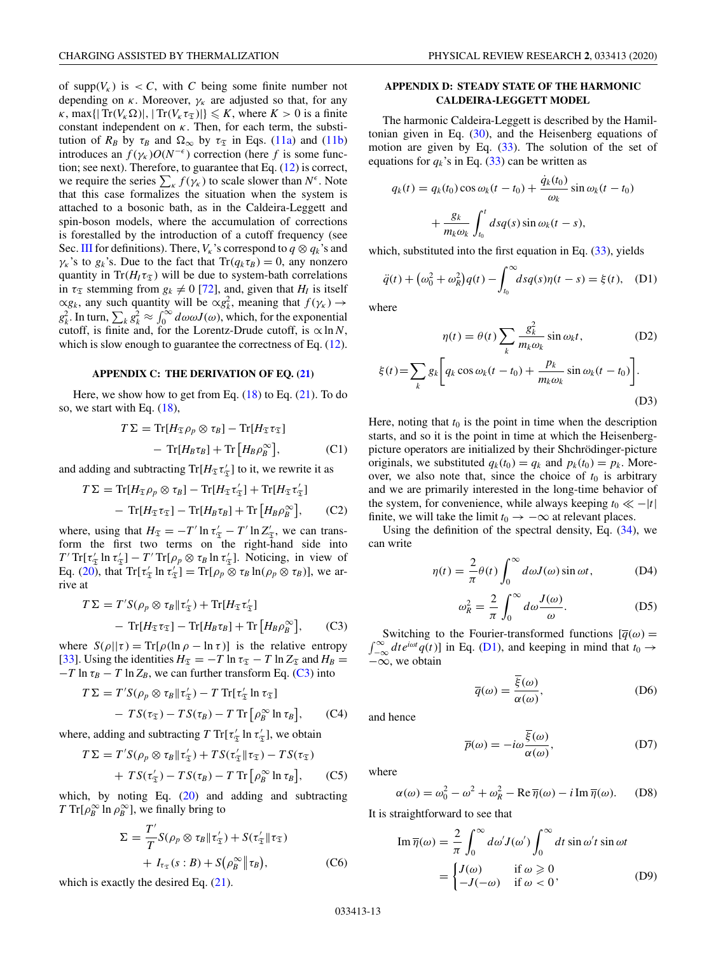<span id="page-12-0"></span>of supp $(V_K)$  is  $\lt C$ , with *C* being some finite number not depending on  $\kappa$ . Moreover,  $\gamma_{\kappa}$  are adjusted so that, for any  $\kappa$ , max{ $|\text{Tr}(V_{\kappa} \Omega)|$ ,  $|\text{Tr}(V_{\kappa} \tau_{\mathfrak{T}})| \leq K$ , where  $K > 0$  is a finite constant independent on  $\kappa$ . Then, for each term, the substitution of  $R_B$  by  $\tau_B$  and  $\Omega_{\infty}$  by  $\tau_{\mathfrak{T}}$  in Eqs. [\(11a\)](#page-3-0) and [\(11b\)](#page-3-0) introduces an  $f(\gamma_k)O(N^{-\epsilon})$  correction (here *f* is some function; see next). Therefore, to guarantee that Eq. [\(12\)](#page-3-0) is correct, we require the series  $\sum_{k} f(\gamma_k)$  to scale slower than  $N^{\epsilon}$ . Note that this case formalizes the situation when the system is attached to a bosonic bath, as in the Caldeira-Leggett and spin-boson models, where the accumulation of corrections is forestalled by the introduction of a cutoff frequency (see Sec. [III](#page-5-0) for definitions). There,  $V_k$ 's correspond to  $q \otimes q_k$ 's and  $\gamma_k$ 's to  $g_k$ 's. Due to the fact that  $\text{Tr}(q_k \tau_B) = 0$ , any nonzero quantity in  $Tr(H_I \tau_{\mathfrak{T}})$  will be due to system-bath correlations in  $\tau_{\mathfrak{T}}$  stemming from  $g_k \neq 0$  [\[72\]](#page-22-0), and, given that  $H_l$  is itself  $\propto g_k$ , any such quantity will be  $\propto g_k^2$ , meaning that  $f(\gamma_k) \to$  $g_k^2$ . In turn,  $\sum_k g_k^2 \approx \int_0^\infty d\omega \omega J(\omega)$ , which, for the exponential cutoff, is finite and, for the Lorentz-Drude cutoff, is  $\propto \ln N$ , which is slow enough to guarantee the correctness of Eq.  $(12)$ .

#### **APPENDIX C: THE DERIVATION OF EQ. [\(21\)](#page-3-0)**

Here, we show how to get from Eq.  $(18)$  to Eq.  $(21)$ . To do so, we start with Eq. [\(18\)](#page-3-0),

$$
T\Sigma = \text{Tr}[H_{\mathfrak{T}}\rho_p \otimes \tau_B] - \text{Tr}[H_{\mathfrak{T}}\tau_{\mathfrak{T}}]
$$

$$
- \text{Tr}[H_B\tau_B] + \text{Tr}[H_B\rho_B^{\infty}], \qquad (C1)
$$

and adding and subtracting  $\text{Tr}[H_{\mathfrak{T}} \tau'_{\mathfrak{T}}]$  to it, we rewrite it as

$$
T\Sigma = \text{Tr}[H_{\mathfrak{T}}\rho_p \otimes \tau_B] - \text{Tr}[H_{\mathfrak{T}}\tau_{\mathfrak{T}}'] + \text{Tr}[H_{\mathfrak{T}}\tau_{\mathfrak{T}}'] - \text{Tr}[H_{\mathfrak{T}}\tau_{\mathfrak{T}}] - \text{Tr}[H_B\tau_B] + \text{Tr}[H_B\rho_B^{\infty}], \quad (C2)
$$

where, using that  $H_{\mathfrak{T}} = -T' \ln \tau'_{\mathfrak{T}} - T' \ln Z'_{\mathfrak{T}}$ , we can transform the first two terms on the right-hand side into  $T'$  Tr[ $\tau_{\mathfrak{T}}'$ ]  $T'$   $T'$  Tr[ $\rho_p \otimes \tau_B$  ln  $\tau_{\mathfrak{T}}'$ ]. Noticing, in view of Eq. [\(20\)](#page-3-0), that  $Tr[\tau'_{\mathfrak{T}} \ln \tau'_{\mathfrak{T}}] = Tr[\rho_p \otimes \tau_B \ln(\rho_p \otimes \tau_B)],$  we arrive at

$$
T\Sigma = T'S(\rho_p \otimes \tau_B || \tau_{\mathfrak{T}}') + \text{Tr}[H_{\mathfrak{T}} \tau_{\mathfrak{T}}'] - \text{Tr}[H_{\mathfrak{T}} \tau_{\mathfrak{T}}] - \text{Tr}[H_B \tau_B] + \text{Tr}[H_B \rho_B^{\infty}], \qquad (C3)
$$

where  $S(\rho||\tau) = \text{Tr}[\rho(\ln \rho - \ln \tau)]$  is the relative entropy [\[33\]](#page-22-0). Using the identities  $H_{\mathfrak{T}} = -T \ln \tau_{\mathfrak{T}} - T \ln Z_{\mathfrak{T}}$  and  $H_B =$  $-T \ln \tau_B - T \ln Z_B$ , we can further transform Eq. (C3) into

$$
T\Sigma = T'S(\rho_p \otimes \tau_B || \tau_{\mathfrak{T}}') - T \operatorname{Tr}[\tau_{\mathfrak{T}}' \ln \tau_{\mathfrak{T}}]
$$

$$
- TS(\tau_{\mathfrak{T}}) - TS(\tau_B) - T \operatorname{Tr}[\rho_B^{\infty} \ln \tau_B], \qquad (C4)
$$

where, adding and subtracting  $T \text{Tr}[\tau'_{\mathfrak{T}} \ln \tau'_{\mathfrak{T}}]$ , we obtain

$$
T\Sigma = T'S(\rho_p \otimes \tau_B || \tau_{\mathfrak{T}}') + TS(\tau_{\mathfrak{T}}' || \tau_{\mathfrak{T}}) - TS(\tau_{\mathfrak{T}})
$$
  
+ 
$$
TS(\tau_{\mathfrak{T}}') - TS(\tau_B) - T \operatorname{Tr} \left[ \rho_B^{\infty} \ln \tau_B \right], \qquad (C5)
$$

which, by noting Eq. [\(20\)](#page-3-0) and adding and subtracting *T* Tr[ $\rho_B^{\infty}$  ln  $\rho_B^{\infty}$ ], we finally bring to

$$
\Sigma = \frac{T'}{T} S(\rho_p \otimes \tau_B || \tau'_{\mathfrak{T}}) + S(\tau'_{\mathfrak{T}} || \tau_{\mathfrak{T}})
$$
  
+  $I_{\tau_{\mathfrak{T}}}(s : B) + S(\rho_B^{\infty} || \tau_B),$  (C6)

which is exactly the desired Eq.  $(21)$ .

# **APPENDIX D: STEADY STATE OF THE HARMONIC CALDEIRA-LEGGETT MODEL**

The harmonic Caldeira-Leggett is described by the Hamiltonian given in Eq.  $(30)$ , and the Heisenberg equations of motion are given by Eq.  $(33)$ . The solution of the set of equations for  $q_k$ 's in Eq. [\(33\)](#page-5-0) can be written as

$$
q_k(t) = q_k(t_0) \cos \omega_k(t - t_0) + \frac{\dot{q}_k(t_0)}{\omega_k} \sin \omega_k(t - t_0)
$$

$$
+ \frac{g_k}{m_k \omega_k} \int_{t_0}^t ds q(s) \sin \omega_k(t - s),
$$

which, substituted into the first equation in Eq. [\(33\)](#page-5-0), yields

$$
\ddot{q}(t) + (\omega_0^2 + \omega_R^2)q(t) - \int_{t_0}^{\infty} ds q(s)\eta(t - s) = \xi(t), \quad (D1)
$$

where

$$
\eta(t) = \theta(t) \sum_{k} \frac{g_k^2}{m_k \omega_k} \sin \omega_k t, \qquad (D2)
$$

$$
\xi(t) = \sum_{k} g_k \left[ q_k \cos \omega_k (t - t_0) + \frac{p_k}{m_k \omega_k} \sin \omega_k (t - t_0) \right]. \qquad (D3)
$$

Here, noting that  $t_0$  is the point in time when the description starts, and so it is the point in time at which the Heisenbergpicture operators are initialized by their Shchrödinger-picture originals, we substituted  $q_k(t_0) = q_k$  and  $p_k(t_0) = p_k$ . Moreover, we also note that, since the choice of  $t_0$  is arbitrary and we are primarily interested in the long-time behavior of the system, for convenience, while always keeping  $t_0 \ll -|t|$ finite, we will take the limit  $t_0 \rightarrow -\infty$  at relevant places.

Using the definition of the spectral density, Eq. [\(34\)](#page-5-0), we can write

$$
\eta(t) = \frac{2}{\pi} \theta(t) \int_0^\infty d\omega J(\omega) \sin \omega t, \tag{D4}
$$

$$
\omega_R^2 = \frac{2}{\pi} \int_0^\infty d\omega \frac{J(\omega)}{\omega}.
$$
 (D5)

 $\int_{-\infty}^{\infty} dt e^{i\omega t} q(t)$  in Eq. (D1), and keeping in mind that  $t_0 \rightarrow$ Switching to the Fourier-transformed functions  $[\bar{q}(\omega)]$  $-\infty$ , we obtain

$$
\overline{q}(\omega) = \frac{\overline{\xi}(\omega)}{\alpha(\omega)},
$$
 (D6)

and hence

$$
\overline{p}(\omega) = -i\omega \frac{\xi(\omega)}{\alpha(\omega)},
$$
 (D7)

where

$$
\alpha(\omega) = \omega_0^2 - \omega^2 + \omega_R^2 - \text{Re}\,\overline{\eta}(\omega) - i\,\text{Im}\,\overline{\eta}(\omega). \tag{D8}
$$

It is straightforward to see that

$$
\operatorname{Im} \overline{\eta}(\omega) = \frac{2}{\pi} \int_0^\infty d\omega' J(\omega') \int_0^\infty dt \sin \omega' t \sin \omega t
$$

$$
= \begin{cases} J(\omega) & \text{if } \omega \ge 0 \\ -J(-\omega) & \text{if } \omega < 0 \end{cases}
$$
(D9)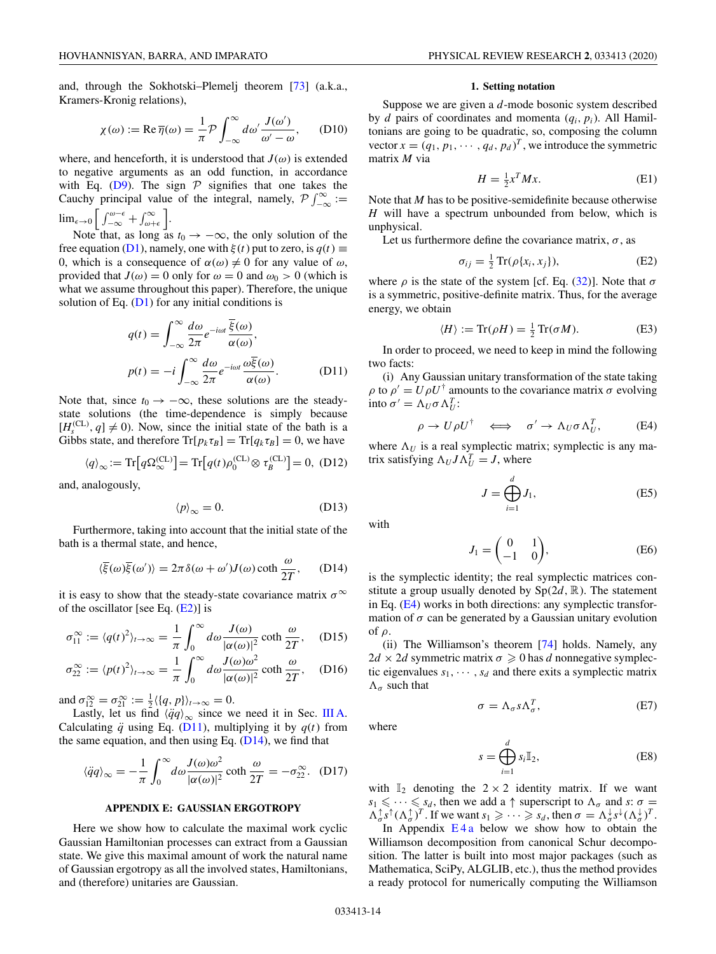<span id="page-13-0"></span>and, through the Sokhotski–Plemelj theorem [\[73\]](#page-22-0) (a.k.a., Kramers-Kronig relations),

$$
\chi(\omega) := \text{Re}\,\overline{\eta}(\omega) = \frac{1}{\pi}\mathcal{P}\int_{-\infty}^{\infty} d\omega' \frac{J(\omega')}{\omega' - \omega},\qquad(D10)
$$

where, and henceforth, it is understood that  $J(\omega)$  is extended to negative arguments as an odd function, in accordance with Eq. [\(D9\)](#page-12-0). The sign  $P$  signifies that one takes the Cauchy principal value of the integral, namely,  $\mathcal{P} \int_{-\infty}^{\infty} :=$  $\lim_{\epsilon \to 0} \int_{-\infty}^{\omega-\epsilon} + \int_{\omega+\epsilon}^{\infty}$ .

Note that, as long as  $t_0 \rightarrow -\infty$ , the only solution of the free equation [\(D1\)](#page-12-0), namely, one with  $\xi(t)$  put to zero, is  $q(t) \equiv$ 0, which is a consequence of  $\alpha(\omega) \neq 0$  for any value of  $\omega$ , provided that  $J(\omega) = 0$  only for  $\omega = 0$  and  $\omega_0 > 0$  (which is what we assume throughout this paper). Therefore, the unique solution of Eq.  $(D1)$  for any initial conditions is

$$
q(t) = \int_{-\infty}^{\infty} \frac{d\omega}{2\pi} e^{-i\omega t} \frac{\overline{\xi}(\omega)}{\alpha(\omega)},
$$
  

$$
p(t) = -i \int_{-\infty}^{\infty} \frac{d\omega}{2\pi} e^{-i\omega t} \frac{\omega \overline{\xi}(\omega)}{\alpha(\omega)}.
$$
 (D11)

Note that, since  $t_0 \rightarrow -\infty$ , these solutions are the steadystate solutions (the time-dependence is simply because  $[H_s^{(CL)}, q] \neq 0$ ). Now, since the initial state of the bath is a Gibbs state, and therefore  $\text{Tr}[p_k \tau_B] = \text{Tr}[q_k \tau_B] = 0$ , we have

$$
\langle q \rangle_{\infty} := \text{Tr}\big[q\Omega_{\infty}^{(\text{CL})}\big] = \text{Tr}\big[q(t)\rho_0^{(\text{CL})} \otimes \tau_B^{(\text{CL})}\big] = 0, \text{ (D12)}
$$

and, analogously,

$$
\langle p \rangle_{\infty} = 0. \tag{D13}
$$

Furthermore, taking into account that the initial state of the bath is a thermal state, and hence,

$$
\langle \overline{\xi}(\omega)\overline{\xi}(\omega')\rangle = 2\pi \delta(\omega + \omega')J(\omega)\coth\frac{\omega}{2T}, \quad (D14)
$$

it is easy to show that the steady-state covariance matrix  $\sigma^{\infty}$ of the oscillator [see Eq.  $(E2)$ ] is

$$
\sigma_{11}^{\infty} := \langle q(t)^2 \rangle_{t \to \infty} = \frac{1}{\pi} \int_0^{\infty} d\omega \frac{J(\omega)}{|\alpha(\omega)|^2} \coth \frac{\omega}{2T}, \quad (D15)
$$

$$
\sigma_{22}^{\infty} := \langle p(t)^2 \rangle_{t \to \infty} = \frac{1}{\pi} \int_0^{\infty} d\omega \frac{J(\omega)\omega^2}{|\alpha(\omega)|^2} \coth \frac{\omega}{2T}, \quad (D16)
$$

and  $\sigma_{12}^{\infty} = \sigma_{21}^{\infty} := \frac{1}{2} \langle \{q, p\} \rangle_{t \to \infty} = 0.$ 

Lastly, let us find  $\langle \ddot{q}q \rangle_{\infty}$  since we need it in Sec. [III A.](#page-6-0) Calculating  $\ddot{q}$  using Eq. (D11), multiplying it by  $q(t)$  from the same equation, and then using Eq.  $(D14)$ , we find that

$$
\langle \ddot{q}q \rangle_{\infty} = -\frac{1}{\pi} \int_0^{\infty} d\omega \frac{J(\omega)\omega^2}{|\alpha(\omega)|^2} \coth \frac{\omega}{2T} = -\sigma_{22}^{\infty}.
$$
 (D17)

## **APPENDIX E: GAUSSIAN ERGOTROPY**

Here we show how to calculate the maximal work cyclic Gaussian Hamiltonian processes can extract from a Gaussian state. We give this maximal amount of work the natural name of Gaussian ergotropy as all the involved states, Hamiltonians, and (therefore) unitaries are Gaussian.

### **1. Setting notation**

Suppose we are given a *d*-mode bosonic system described by *d* pairs of coordinates and momenta (*qi*, *pi*). All Hamiltonians are going to be quadratic, so, composing the column vector  $x = (q_1, p_1, \dots, q_d, p_d)^T$ , we introduce the symmetric matrix *M* via

$$
H = \frac{1}{2}x^T M x. \tag{E1}
$$

Note that *M* has to be positive-semidefinite because otherwise *H* will have a spectrum unbounded from below, which is unphysical.

Let us furthermore define the covariance matrix,  $\sigma$ , as

$$
\sigma_{ij} = \frac{1}{2} \operatorname{Tr}(\rho \{x_i, x_j\}),\tag{E2}
$$

where  $\rho$  is the state of the system [cf. Eq. [\(32\)](#page-5-0)]. Note that  $\sigma$ is a symmetric, positive-definite matrix. Thus, for the average energy, we obtain

$$
\langle H \rangle := \text{Tr}(\rho H) = \frac{1}{2} \text{Tr}(\sigma M). \tag{E3}
$$

In order to proceed, we need to keep in mind the following two facts:

(i) Any Gaussian unitary transformation of the state taking  $\rho$  to  $\rho' = U \rho U^{\dagger}$  amounts to the covariance matrix  $\sigma$  evolving into  $\sigma' = \Lambda_U \sigma \Lambda_U^T$ :

$$
\rho \to U \rho U^{\dagger} \quad \Longleftrightarrow \quad \sigma' \to \Lambda_U \sigma \Lambda_U^T, \tag{E4}
$$

where  $\Lambda_U$  is a real symplectic matrix; symplectic is any matrix satisfying  $\Lambda_U J \Lambda_U^T = J$ , where

$$
J = \bigoplus_{i=1}^{d} J_1,\tag{E5}
$$

with

$$
J_1 = \begin{pmatrix} 0 & 1 \\ -1 & 0 \end{pmatrix}, \tag{E6}
$$

is the symplectic identity; the real symplectic matrices constitute a group usually denoted by  $Sp(2d, \mathbb{R})$ . The statement in Eq. (E4) works in both directions: any symplectic transformation of  $\sigma$  can be generated by a Gaussian unitary evolution of ρ.

(ii) The Williamson's theorem [\[74\]](#page-22-0) holds. Namely, any  $2d \times 2d$  symmetric matrix  $\sigma \geq 0$  has *d* nonnegative symplectic eigenvalues  $s_1, \dots, s_d$  and there exits a symplectic matrix  $\Lambda_{\sigma}$  such that

$$
\sigma = \Lambda_{\sigma} s \Lambda_{\sigma}^T, \tag{E7}
$$

where

$$
s = \bigoplus_{i=1}^{d} s_i \mathbb{I}_2,\tag{E8}
$$

with  $\mathbb{I}_2$  denoting the  $2 \times 2$  identity matrix. If we want  $s_1 \leq \cdots \leq s_d$ , then we add a  $\uparrow$  superscript to  $\Lambda_{\sigma}$  and  $s: \sigma =$  $\Lambda_{\sigma}^{\uparrow} s^{\uparrow} (\Lambda_{\sigma}^{\uparrow})^T$ . If we want  $s_1 \geqslant \cdots \geqslant s_d$ , then  $\sigma = \Lambda_{\sigma}^{\downarrow} s^{\downarrow} (\Lambda_{\sigma}^{\downarrow})^T$ .

In Appendix  $E_4$  below we show how to obtain the Williamson decomposition from canonical Schur decomposition. The latter is built into most major packages (such as Mathematica, SciPy, ALGLIB, etc.), thus the method provides a ready protocol for numerically computing the Williamson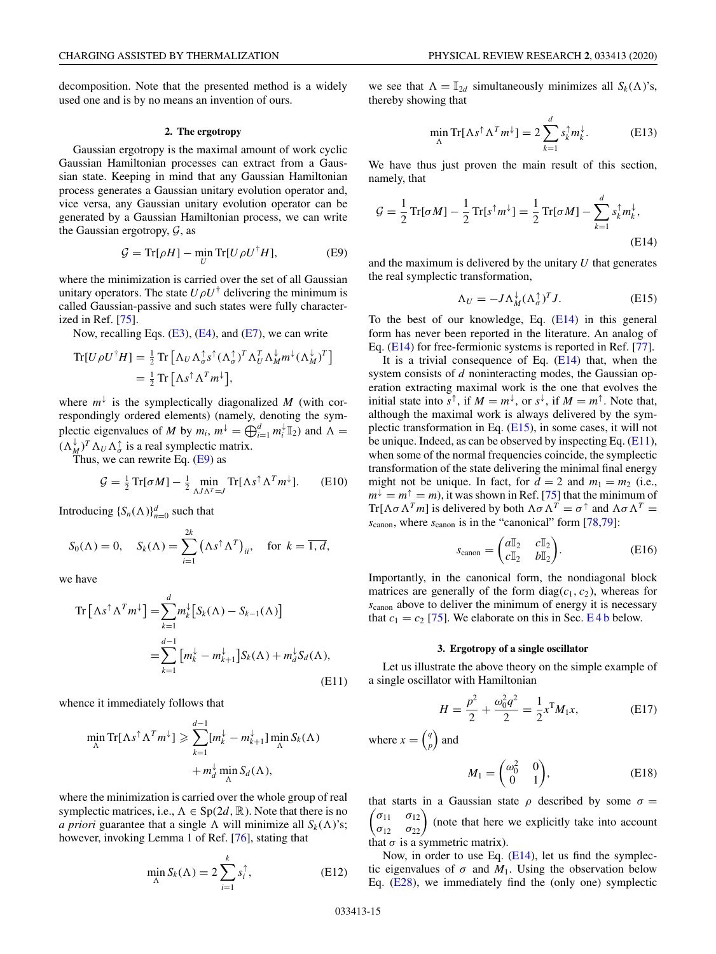<span id="page-14-0"></span>decomposition. Note that the presented method is a widely used one and is by no means an invention of ours.

### **2. The ergotropy**

Gaussian ergotropy is the maximal amount of work cyclic Gaussian Hamiltonian processes can extract from a Gaussian state. Keeping in mind that any Gaussian Hamiltonian process generates a Gaussian unitary evolution operator and, vice versa, any Gaussian unitary evolution operator can be generated by a Gaussian Hamiltonian process, we can write the Gaussian ergotropy,  $\mathcal{G}$ , as

$$
\mathcal{G} = \text{Tr}[\rho H] - \min_{U} \text{Tr}[U \rho U^{\dagger} H],\tag{E9}
$$

where the minimization is carried over the set of all Gaussian unitary operators. The state  $U \rho U^{\dagger}$  delivering the minimum is called Gaussian-passive and such states were fully characterized in Ref. [\[75\]](#page-23-0).

Now, recalling Eqs.  $(E3)$ ,  $(E4)$ , and  $(E7)$ , we can write

$$
\begin{split} \text{Tr}[U \rho U^{\dagger} H] &= \tfrac{1}{2} \text{Tr} \left[ \Lambda_U \Lambda_{\sigma}^{\dagger} s^{\dagger} (\Lambda_{\sigma}^{\dagger})^T \Lambda_U^T \Lambda_M^{\dagger} m^{\dagger} (\Lambda_M^{\dagger})^T \right] \\ &= \tfrac{1}{2} \text{Tr} \left[ \Lambda s^{\dagger} \Lambda^T m^{\dagger} \right], \end{split}
$$

where  $m^{\downarrow}$  is the symplectically diagonalized *M* (with correspondingly ordered elements) (namely, denoting the symplectic eigenvalues of *M* by  $m_i$ ,  $m^{\downarrow} = \bigoplus_{i=1}^d m_i^{\downarrow} \mathbb{I}_2$  and  $\Lambda =$  $(\Lambda_M^{\downarrow})^T \Lambda_U \Lambda_{\sigma}^{\uparrow}$  is a real symplectic matrix.

Thus, we can rewrite Eq. (E9) as

$$
\mathcal{G} = \frac{1}{2} \operatorname{Tr}[\sigma M] - \frac{1}{2} \min_{\Lambda J \Lambda^T = J} \operatorname{Tr}[\Lambda s^{\uparrow} \Lambda^T m^{\downarrow}]. \tag{E10}
$$

Introducing  $\{S_n(\Lambda)\}_{n=0}^d$  such that

$$
S_0(\Lambda) = 0, \quad S_k(\Lambda) = \sum_{i=1}^{2k} \left( \Lambda s^{\uparrow} \Lambda^T \right)_{ii}, \quad \text{for } k = \overline{1, d},
$$

*d*

we have

$$
\operatorname{Tr}\left[\Lambda s^{\uparrow} \Lambda^{T} m^{\downarrow}\right] = \sum_{k=1}^{a} m_{k}^{\downarrow} \left[S_{k}(\Lambda) - S_{k-1}(\Lambda)\right]
$$

$$
= \sum_{k=1}^{d-1} \left[m_{k}^{\downarrow} - m_{k+1}^{\downarrow}\right] S_{k}(\Lambda) + m_{d}^{\downarrow} S_{d}(\Lambda), \tag{E11}
$$

whence it immediately follows that

$$
\min_{\Lambda} \text{Tr}[\Lambda s^{\uparrow} \Lambda^T m^{\downarrow}] \geq \sum_{k=1}^{d-1} [m_k^{\downarrow} - m_{k+1}^{\downarrow}] \min_{\Lambda} S_k(\Lambda) + m_d^{\downarrow} \min_{\Lambda} S_d(\Lambda),
$$

where the minimization is carried over the whole group of real symplectic matrices, i.e.,  $\Lambda \in Sp(2d, \mathbb{R})$ . Note that there is no *a priori* guarantee that a single  $\Lambda$  will minimize all  $S_k(\Lambda)$ 's; however, invoking Lemma 1 of Ref. [\[76\]](#page-23-0), stating that

$$
\min_{\Lambda} S_k(\Lambda) = 2 \sum_{i=1}^k s_i^{\uparrow},
$$
 (E12)

we see that  $\Lambda = \mathbb{I}_{2d}$  simultaneously minimizes all  $S_k(\Lambda)$ 's, thereby showing that

$$
\min_{\Lambda} \text{Tr}[\Lambda s^{\uparrow} \Lambda^T m^{\downarrow}] = 2 \sum_{k=1}^d s_k^{\uparrow} m_k^{\downarrow}.
$$
 (E13)

We have thus just proven the main result of this section, namely, that

$$
\mathcal{G} = \frac{1}{2} \operatorname{Tr}[\sigma M] - \frac{1}{2} \operatorname{Tr}[s^{\dagger} m^{\downarrow}] = \frac{1}{2} \operatorname{Tr}[\sigma M] - \sum_{k=1}^{d} s_k^{\dagger} m_k^{\downarrow},
$$
(E14)

and the maximum is delivered by the unitary *U* that generates the real symplectic transformation,

$$
\Lambda_U = -J \Lambda_M^{\downarrow} (\Lambda_\sigma^{\uparrow})^T J. \tag{E15}
$$

To the best of our knowledge, Eq.  $(E14)$  in this general form has never been reported in the literature. An analog of Eq. (E14) for free-fermionic systems is reported in Ref. [\[77\]](#page-23-0).

It is a trivial consequence of Eq.  $(E14)$  that, when the system consists of *d* noninteracting modes, the Gaussian operation extracting maximal work is the one that evolves the initial state into  $s^{\uparrow}$ , if  $M = m^{\downarrow}$ , or  $s^{\downarrow}$ , if  $M = m^{\uparrow}$ . Note that, although the maximal work is always delivered by the symplectic transformation in Eq. (E15), in some cases, it will not be unique. Indeed, as can be observed by inspecting Eq.  $(E11)$ , when some of the normal frequencies coincide, the symplectic transformation of the state delivering the minimal final energy might not be unique. In fact, for  $d = 2$  and  $m_1 = m_2$  (i.e.,  $m^{\downarrow} = m^{\uparrow} = m$ , it was shown in Ref. [\[75\]](#page-23-0) that the minimum of  $T = mT = m_1$ , it was shown in Fig. ( $C_1$  and  $m_2$  must  $T = \text{Tr}[\Lambda \sigma \Lambda^T m]$  is delivered by both  $\Lambda \sigma \Lambda^T = \sigma^{\uparrow}$  and  $\Lambda \sigma \Lambda^T =$ *s*canon, where *s*canon is in the "canonical" form [\[78,79\]](#page-23-0):

$$
s_{\text{canon}} = \begin{pmatrix} a\mathbb{I}_2 & c\mathbb{I}_2 \\ c\mathbb{I}_2 & b\mathbb{I}_2 \end{pmatrix} . \tag{E16}
$$

Importantly, in the canonical form, the nondiagonal block matrices are generally of the form diag( $c_1, c_2$ ), whereas for *s*canon above to deliver the minimum of energy it is necessary that  $c_1 = c_2$  [\[75\]](#page-23-0). We elaborate on this in Sec.  $E$  4 b below.

### **3. Ergotropy of a single oscillator**

Let us illustrate the above theory on the simple example of a single oscillator with Hamiltonian

$$
H = \frac{p^2}{2} + \frac{\omega_0^2 q^2}{2} = \frac{1}{2} x^{\mathrm{T}} M_1 x,\tag{E17}
$$

where  $x = \begin{pmatrix} q \\ r \end{pmatrix}$ *p* ) and

$$
M_1 = \begin{pmatrix} \omega_0^2 & 0 \\ 0 & 1 \end{pmatrix}, \tag{E18}
$$

 $\begin{pmatrix} \sigma_{11} & \sigma_{12} \\ \sigma_{12} & \sigma_{22} \end{pmatrix}$  (note that here we explicitly take into account that starts in a Gaussian state  $\rho$  described by some  $\sigma =$ that  $\sigma$  is a symmetric matrix).

Now, in order to use Eq. (E14), let us find the symplectic eigenvalues of  $\sigma$  and  $M_1$ . Using the observation below Eq. [\(E28\)](#page-15-0), we immediately find the (only one) symplectic

 $\overline{)}$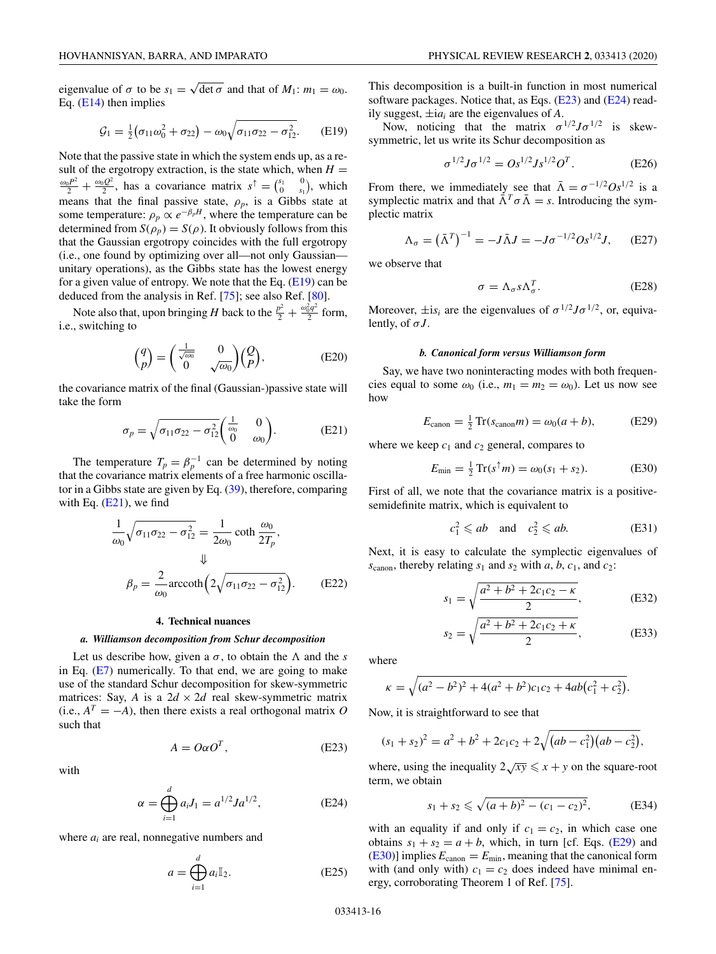<span id="page-15-0"></span>eigenvalue of  $\sigma$  to be  $s_1 = \sqrt{\det \sigma}$  and that of  $M_1: m_1 = \omega_0$ . Eq. [\(E14\)](#page-14-0) then implies

$$
G_1 = \frac{1}{2} (\sigma_{11} \omega_0^2 + \sigma_{22}) - \omega_0 \sqrt{\sigma_{11} \sigma_{22} - \sigma_{12}^2}.
$$
 (E19)

Note that the passive state in which the system ends up, as a result of the ergotropy extraction, is the state which, when  $H =$  $\frac{\omega_0 P^2}{2} + \frac{\omega_0 Q^2}{2}$ , has a covariance matrix  $s^{\uparrow} = \begin{pmatrix} s_1 & 0 \\ 0 & s_1 \end{pmatrix}$ , which means that the final passive state,  $\rho_p$ , is a Gibbs state at some temperature:  $\rho_p \propto e^{-\beta_p H}$ , where the temperature can be determined from  $S(\rho_p) = S(\rho)$ . It obviously follows from this that the Gaussian ergotropy coincides with the full ergotropy (i.e., one found by optimizing over all—not only Gaussian unitary operations), as the Gibbs state has the lowest energy for a given value of entropy. We note that the Eq.  $(E19)$  can be deduced from the analysis in Ref. [\[75\]](#page-23-0); see also Ref. [\[80\]](#page-23-0).

Note also that, upon bringing *H* back to the  $\frac{p^2}{2} + \frac{\omega_0^2 q^2}{2}$  form, i.e., switching to

$$
\begin{pmatrix} q \\ p \end{pmatrix} = \begin{pmatrix} \frac{1}{\sqrt{\omega_0}} & 0 \\ 0 & \sqrt{\omega_0} \end{pmatrix} \begin{pmatrix} Q \\ P \end{pmatrix},
$$
 (E20)

the covariance matrix of the final (Gaussian-)passive state will take the form

$$
\sigma_p = \sqrt{\sigma_{11}\sigma_{22} - \sigma_{12}^2} \begin{pmatrix} \frac{1}{\omega_0} & 0\\ 0 & \omega_0 \end{pmatrix} .
$$
 (E21)

The temperature  $T_p = \beta_p^{-1}$  can be determined by noting that the covariance matrix elements of a free harmonic oscillator in a Gibbs state are given by Eq. [\(39\)](#page-6-0), therefore, comparing with Eq. (E21), we find

$$
\frac{1}{\omega_0} \sqrt{\sigma_{11} \sigma_{22} - \sigma_{12}^2} = \frac{1}{2\omega_0} \coth \frac{\omega_0}{2T_p},
$$
  

$$
\Downarrow
$$
  

$$
\beta_p = \frac{2}{\omega_0} \operatorname{arccoth} \left( 2\sqrt{\sigma_{11} \sigma_{22} - \sigma_{12}^2} \right).
$$
 (E22)

#### **4. Technical nuances**

#### *a. Williamson decomposition from Schur decomposition*

Let us describe how, given a  $\sigma$ , to obtain the  $\Lambda$  and the *s* in Eq. [\(E7\)](#page-13-0) numerically. To that end, we are going to make use of the standard Schur decomposition for skew-symmetric matrices: Say, *A* is a  $2d \times 2d$  real skew-symmetric matrix (i.e.,  $A<sup>T</sup> = -A$ ), then there exists a real orthogonal matrix *O* such that

$$
A = O\alpha O^T, \tag{E23}
$$

with

$$
\alpha = \bigoplus_{i=1}^{d} a_i J_1 = a^{1/2} J a^{1/2}, \tag{E24}
$$

where  $a_i$  are real, nonnegative numbers and

$$
a = \bigoplus_{i=1}^{d} a_i \mathbb{I}_2. \tag{E25}
$$

This decomposition is a built-in function in most numerical software packages. Notice that, as Eqs.  $(E23)$  and  $(E24)$  readily suggest,  $\pm i a_i$  are the eigenvalues of A.

Now, noticing that the matrix  $\sigma^{1/2}J\sigma^{1/2}$  is skewsymmetric, let us write its Schur decomposition as

$$
\sigma^{1/2} J \sigma^{1/2} = O s^{1/2} J s^{1/2} O^T.
$$
 (E26)

From there, we immediately see that  $\bar{\Lambda} = \sigma^{-1/2} O s^{1/2}$  is a symplectic matrix and that  $\overline{\Lambda}^T \sigma \overline{\Lambda} = s$ . Introducing the symplectic matrix

$$
\Lambda_{\sigma} = (\bar{\Lambda}^{T})^{-1} = -J\bar{\Lambda}J = -J\sigma^{-1/2}Os^{1/2}J, \quad (E27)
$$

we observe that

$$
\sigma = \Lambda_{\sigma} s \Lambda_{\sigma}^T. \tag{E28}
$$

Moreover,  $\pm$ is<sub>i</sub> are the eigenvalues of  $\sigma^{1/2} J \sigma^{1/2}$ , or, equivalently, of  $\sigma J$ .

#### *b. Canonical form versus Williamson form*

Say, we have two noninteracting modes with both frequencies equal to some  $\omega_0$  (i.e.,  $m_1 = m_2 = \omega_0$ ). Let us now see how

$$
E_{\text{canon}} = \frac{1}{2} \operatorname{Tr}(s_{\text{canon}} m) = \omega_0 (a + b), \tag{E29}
$$

where we keep  $c_1$  and  $c_2$  general, compares to

$$
E_{\min} = \frac{1}{2} \operatorname{Tr}(s^{\uparrow} m) = \omega_0 (s_1 + s_2). \tag{E30}
$$

First of all, we note that the covariance matrix is a positivesemidefinite matrix, which is equivalent to

$$
c_1^2 \le ab
$$
 and  $c_2^2 \le ab$ . (E31)

Next, it is easy to calculate the symplectic eigenvalues of  $s_{\text{canon}}$ , thereby relating  $s_1$  and  $s_2$  with *a*, *b*,  $c_1$ , and  $c_2$ :

$$
s_1 = \sqrt{\frac{a^2 + b^2 + 2c_1c_2 - \kappa}{2}},
$$
 (E32)

$$
s_2 = \sqrt{\frac{a^2 + b^2 + 2c_1c_2 + \kappa}{2}},
$$
 (E33)

where

$$
\kappa = \sqrt{(a^2 - b^2)^2 + 4(a^2 + b^2)c_1c_2 + 4ab(c_1^2 + c_2^2)}.
$$

Now, it is straightforward to see that

$$
(s_1 + s_2)^2 = a^2 + b^2 + 2c_1c_2 + 2\sqrt{(ab - c_1^2)(ab - c_2^2)},
$$

where, using the inequality  $2\sqrt{xy} \leq x + y$  on the square-root term, we obtain

$$
s_1 + s_2 \leqslant \sqrt{(a+b)^2 - (c_1 - c_2)^2},
$$
 (E34)

with an equality if and only if  $c_1 = c_2$ , in which case one obtains  $s_1 + s_2 = a + b$ , which, in turn [cf. Eqs. (E29) and  $(E30)$ ] implies  $E_{\text{canon}} = E_{\text{min}}$ , meaning that the canonical form with (and only with)  $c_1 = c_2$  does indeed have minimal energy, corroborating Theorem 1 of Ref. [\[75\]](#page-23-0).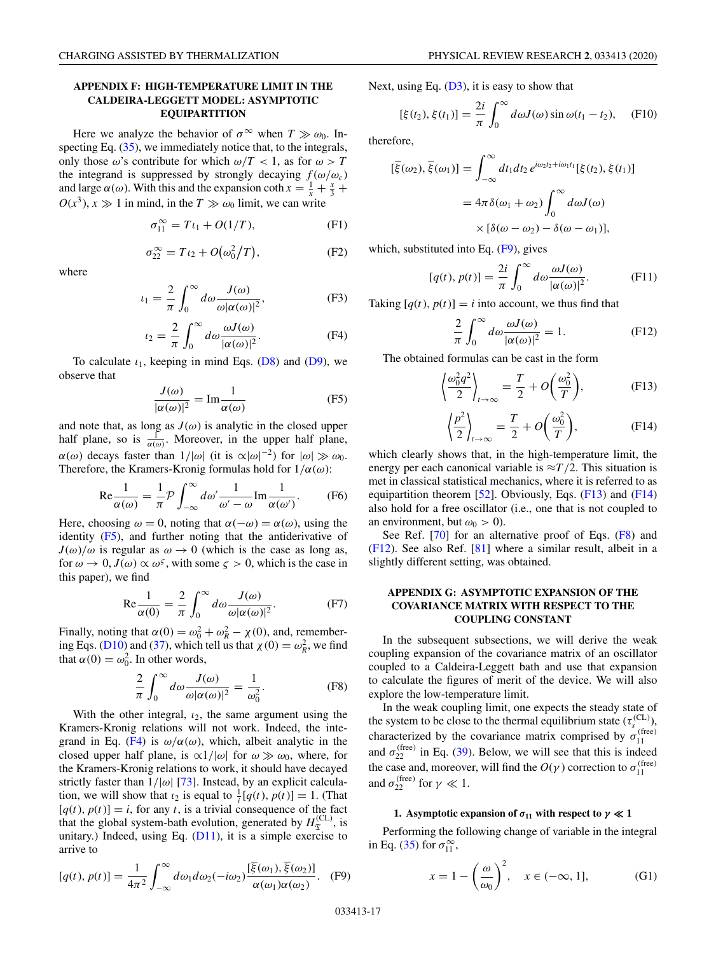# <span id="page-16-0"></span>**APPENDIX F: HIGH-TEMPERATURE LIMIT IN THE CALDEIRA-LEGGETT MODEL: ASYMPTOTIC EQUIPARTITION**

Here we analyze the behavior of  $\sigma^{\infty}$  when  $T \gg \omega_0$ . Inspecting Eq.  $(35)$ , we immediately notice that, to the integrals, only those  $\omega$ 's contribute for which  $\omega/T < 1$ , as for  $\omega > T$ the integrand is suppressed by strongly decaying  $f(\omega/\omega_c)$ and large  $\alpha(\omega)$ . With this and the expansion coth  $x = \frac{1}{x} + \frac{x}{3} + \frac{y}{3}$  $O(x^3)$ ,  $x \gg 1$  in mind, in the  $T \gg \omega_0$  limit, we can write

$$
\sigma_{11}^{\infty} = T\iota_1 + O(1/T),\tag{F1}
$$

$$
\sigma_{22}^{\infty} = T \iota_2 + O(\omega_0^2/T), \tag{F2}
$$

where

$$
u_1 = \frac{2}{\pi} \int_0^\infty d\omega \frac{J(\omega)}{\omega |\alpha(\omega)|^2},
$$
 (F3)

$$
t_2 = \frac{2}{\pi} \int_0^\infty d\omega \frac{\omega J(\omega)}{|\alpha(\omega)|^2}.
$$
 (F4)

To calculate  $\iota_1$ , keeping in mind Eqs. [\(D8\)](#page-12-0) and [\(D9\)](#page-12-0), we observe that

$$
\frac{J(\omega)}{|\alpha(\omega)|^2} = \text{Im}\frac{1}{\alpha(\omega)}\tag{F5}
$$

and note that, as long as  $J(\omega)$  is analytic in the closed upper half plane, so is  $\frac{1}{\alpha(\omega)}$ . Moreover, in the upper half plane,  $\alpha(\omega)$  decays faster than  $1/|\omega|$  (it is  $\alpha|\omega|^{-2}$ ) for  $|\omega| \gg \omega_0$ . Therefore, the Kramers-Kronig formulas hold for  $1/\alpha(\omega)$ :

$$
\text{Re}\frac{1}{\alpha(\omega)} = \frac{1}{\pi} \mathcal{P} \int_{-\infty}^{\infty} d\omega' \frac{1}{\omega' - \omega} \text{Im}\frac{1}{\alpha(\omega')}.
$$
 (F6)

Here, choosing  $\omega = 0$ , noting that  $\alpha(-\omega) = \alpha(\omega)$ , using the identity (F5), and further noting that the antiderivative of  $J(\omega)/\omega$  is regular as  $\omega \to 0$  (which is the case as long as, for  $\omega \to 0$ ,  $J(\omega) \propto \omega^{\varsigma}$ , with some  $\varsigma > 0$ , which is the case in this paper), we find

$$
\text{Re}\frac{1}{\alpha(0)} = \frac{2}{\pi} \int_0^\infty d\omega \frac{J(\omega)}{\omega |\alpha(\omega)|^2}.
$$
 (F7)

Finally, noting that  $\alpha(0) = \omega_0^2 + \omega_R^2 - \chi(0)$ , and, remember-ing Eqs. [\(D10\)](#page-13-0) and [\(37\)](#page-5-0), which tell us that  $\chi(0) = \omega_R^2$ , we find that  $\alpha(0) = \omega_0^2$ . In other words,

$$
\frac{2}{\pi} \int_0^\infty d\omega \frac{J(\omega)}{\omega |\alpha(\omega)|^2} = \frac{1}{\omega_0^2}.
$$
 (F8)

With the other integral,  $\iota_2$ , the same argument using the Kramers-Kronig relations will not work. Indeed, the integrand in Eq. (F4) is  $\omega/\alpha(\omega)$ , which, albeit analytic in the closed upper half plane, is  $\alpha 1/|\omega|$  for  $\omega \gg \omega_0$ , where, for the Kramers-Kronig relations to work, it should have decayed strictly faster than  $1/|\omega|$  [\[73\]](#page-22-0). Instead, by an explicit calculation, we will show that  $i_2$  is equal to  $\frac{1}{i}[q(t), p(t)] = 1$ . (That  $[q(t), p(t)] = i$ , for any *t*, is a trivial consequence of the fact that the global system-bath evolution, generated by  $H_{\mathcal{I}}^{(\text{CL})}$ , is unitary.) Indeed, using Eq.  $(D11)$ , it is a simple exercise to arrive to

$$
[q(t), p(t)] = \frac{1}{4\pi^2} \int_{-\infty}^{\infty} d\omega_1 d\omega_2(-i\omega_2) \frac{[\overline{\xi}(\omega_1), \overline{\xi}(\omega_2)]}{\alpha(\omega_1)\alpha(\omega_2)}.
$$
 (F9)

Next, using Eq.  $(D3)$ , it is easy to show that

$$
[\xi(t_2), \xi(t_1)] = \frac{2i}{\pi} \int_0^\infty d\omega J(\omega) \sin \omega(t_1 - t_2), \quad \text{(F10)}
$$

therefore,

$$
\begin{aligned} [\overline{\xi}(\omega_2), \overline{\xi}(\omega_1)] &= \int_{-\infty}^{\infty} dt_1 dt_2 \, e^{i\omega_2 t_2 + i\omega_1 t_1} [\xi(t_2), \xi(t_1)] \\ &= 4\pi \delta(\omega_1 + \omega_2) \int_0^{\infty} d\omega J(\omega) \\ &\times [\delta(\omega - \omega_2) - \delta(\omega - \omega_1)], \end{aligned}
$$

which, substituted into Eq.  $(F9)$ , gives

$$
[q(t), p(t)] = \frac{2i}{\pi} \int_0^\infty d\omega \frac{\omega J(\omega)}{|\alpha(\omega)|^2}.
$$
 (F11)

Taking  $[q(t), p(t)] = i$  into account, we thus find that

$$
\frac{2}{\pi} \int_0^\infty d\omega \frac{\omega J(\omega)}{|\alpha(\omega)|^2} = 1.
$$
 (F12)

The obtained formulas can be cast in the form

$$
\left\langle \frac{\omega_0^2 q^2}{2} \right\rangle_{t \to \infty} = \frac{T}{2} + O\left(\frac{\omega_0^2}{T}\right),
$$
 (F13)

$$
\left\langle \frac{p^2}{2} \right\rangle_{t \to \infty} = \frac{T}{2} + O\left(\frac{\omega_0^2}{T}\right),\tag{F14}
$$

which clearly shows that, in the high-temperature limit, the energy per each canonical variable is  $\approx T/2$ . This situation is met in classical statistical mechanics, where it is referred to as equipartition theorem [\[52\]](#page-22-0). Obviously, Eqs.  $(F13)$  and  $(F14)$ also hold for a free oscillator (i.e., one that is not coupled to an environment, but  $\omega_0 > 0$ ).

See Ref. [\[70\]](#page-22-0) for an alternative proof of Eqs. (F8) and (F12). See also Ref. [\[81\]](#page-23-0) where a similar result, albeit in a slightly different setting, was obtained.

# **APPENDIX G: ASYMPTOTIC EXPANSION OF THE COVARIANCE MATRIX WITH RESPECT TO THE COUPLING CONSTANT**

In the subsequent subsections, we will derive the weak coupling expansion of the covariance matrix of an oscillator coupled to a Caldeira-Leggett bath and use that expansion to calculate the figures of merit of the device. We will also explore the low-temperature limit.

In the weak coupling limit, one expects the steady state of the system to be close to the thermal equilibrium state  $(\tau_s^{\text{(CL)}})$ , characterized by the covariance matrix comprised by  $\sigma_{11}^{(\text{free})}$ and  $\sigma_{22}^{(\text{free})}$  in Eq. [\(39\)](#page-6-0). Below, we will see that this is indeed the case and, moreover, will find the  $O(\gamma)$  correction to  $\sigma_{11}^{\text{(free)}}$ and  $\sigma_{22}^{\text{(free)}}$  for  $\gamma \ll 1$ .

# **1.** Asymptotic expansion of  $\sigma_{11}$  with respect to  $\gamma \ll 1$

Performing the following change of variable in the integral in Eq. [\(35\)](#page-5-0) for  $\sigma_{11}^{\infty}$ ,

$$
x = 1 - \left(\frac{\omega}{\omega_0}\right)^2, \quad x \in (-\infty, 1],\tag{G1}
$$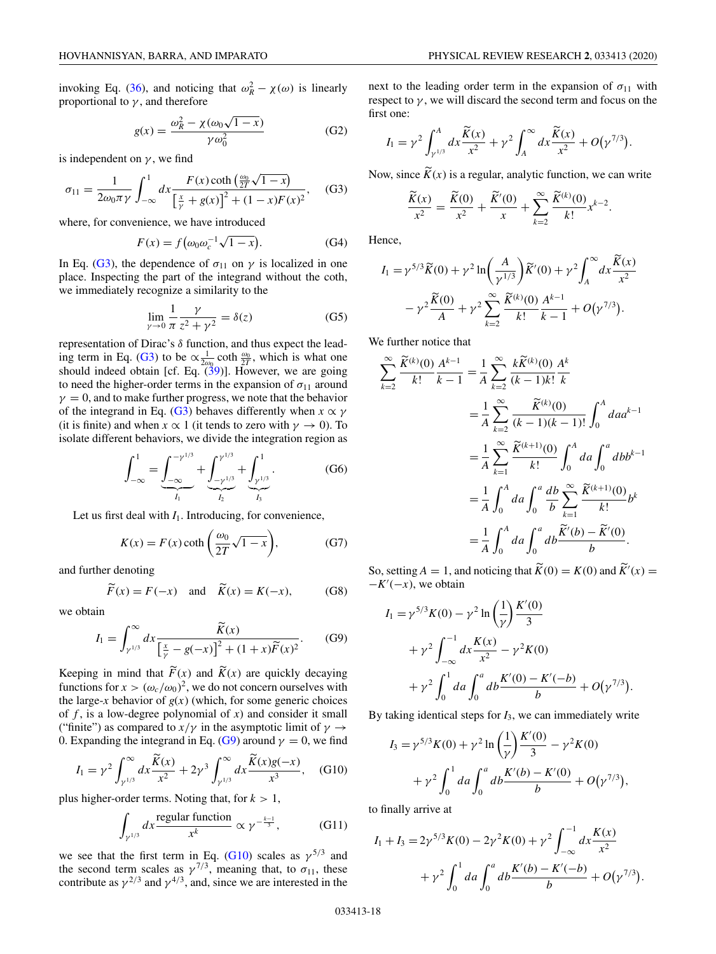<span id="page-17-0"></span>invoking Eq. [\(36\)](#page-5-0), and noticing that  $\omega_R^2 - \chi(\omega)$  is linearly proportional to  $\gamma$ , and therefore

$$
g(x) = \frac{\omega_R^2 - \chi(\omega_0 \sqrt{1 - x})}{\gamma \omega_0^2}
$$
 (G2)

is independent on  $\nu$ , we find

$$
\sigma_{11} = \frac{1}{2\omega_0 \pi \gamma} \int_{-\infty}^1 dx \frac{F(x) \coth\left(\frac{\omega_0}{2T}\sqrt{1-x}\right)}{\left[\frac{x}{\gamma} + g(x)\right]^2 + (1-x)F(x)^2}, \quad (G3)
$$

where, for convenience, we have introduced

$$
F(x) = f\left(\omega_0 \omega_c^{-1} \sqrt{1 - x}\right). \tag{G4}
$$

In Eq. (G3), the dependence of  $\sigma_{11}$  on  $\gamma$  is localized in one place. Inspecting the part of the integrand without the coth, we immediately recognize a similarity to the

$$
\lim_{\gamma \to 0} \frac{1}{\pi} \frac{\gamma}{z^2 + \gamma^2} = \delta(z) \tag{G5}
$$

representation of Dirac's  $\delta$  function, and thus expect the leading term in Eq. (G3) to be  $\propto \frac{1}{2\omega_0} \coth \frac{\omega_0}{2T}$ , which is what one should indeed obtain [cf. Eq.  $(39)$ ]. However, we are going to need the higher-order terms in the expansion of  $\sigma_{11}$  around  $\gamma = 0$ , and to make further progress, we note that the behavior of the integrand in Eq. (G3) behaves differently when  $x \propto \gamma$ (it is finite) and when  $x \propto 1$  (it tends to zero with  $\gamma \to 0$ ). To isolate different behaviors, we divide the integration region as

$$
\int_{-\infty}^{1} = \underbrace{\int_{-\infty}^{-\gamma^{1/3}}}_{I_1} + \underbrace{\int_{-\gamma^{1/3}}^{\gamma^{1/3}}}_{I_2} + \underbrace{\int_{\gamma^{1/3}}^{1}}_{I_3}.
$$
 (G6)

Let us first deal with  $I_1$ . Introducing, for convenience,

$$
K(x) = F(x) \coth\left(\frac{\omega_0}{2T}\sqrt{1-x}\right),\tag{G7}
$$

and further denoting *F*

$$
\widetilde{F}(x) = F(-x)
$$
 and  $\widetilde{K}(x) = K(-x)$ , (G8)

we obtain

$$
I_1 = \int_{\gamma^{1/3}}^{\infty} dx \frac{\widetilde{K}(x)}{\left[\frac{x}{\gamma} - g(-x)\right]^2 + (1+x)\widetilde{F}(x)^2}.
$$
 (G9)

Keeping in mind that  $F(x)$  and  $K(x)$  are quickly decaying functions for  $x > (\omega_c/\omega_0)^2$ , we do not concern ourselves with the large-*x* behavior of  $g(x)$  (which, for some generic choices of *f* , is a low-degree polynomial of *x*) and consider it small ("finite") as compared to  $x/\gamma$  in the asymptotic limit of  $\gamma \rightarrow$ 0. Expanding the integrand in Eq. (G9) around  $\gamma = 0$ , we find

$$
I_1 = \gamma^2 \int_{\gamma^{1/3}}^{\infty} dx \frac{\widetilde{K}(x)}{x^2} + 2\gamma^3 \int_{\gamma^{1/3}}^{\infty} dx \frac{\widetilde{K}(x)g(-x)}{x^3}, \quad \text{(G10)}
$$

plus higher-order terms. Noting that, for  $k > 1$ ,

$$
\int_{\gamma^{1/3}} dx \frac{\text{regular function}}{x^k} \propto \gamma^{-\frac{k-1}{3}},\tag{G11}
$$

we see that the first term in Eq. (G10) scales as  $\gamma^{5/3}$  and the second term scales as  $\gamma^{7/3}$ , meaning that, to  $\sigma_{11}$ , these contribute as  $\gamma^{2/3}$  and  $\gamma^{4/3}$ , and, since we are interested in the next to the leading order term in the expansion of  $\sigma_{11}$  with respect to  $\gamma$ , we will discard the second term and focus on the first one:

$$
I_1 = \gamma^2 \int_{\gamma^{1/3}}^A dx \frac{\widetilde{K}(x)}{x^2} + \gamma^2 \int_A^\infty dx \frac{\widetilde{K}(x)}{x^2} + O(\gamma^{7/3}).
$$

Now, since  $K(x)$  is a regular, analytic function, we can write

$$
\frac{\widetilde{K}(x)}{x^2} = \frac{\widetilde{K}(0)}{x^2} + \frac{\widetilde{K}'(0)}{x} + \sum_{k=2}^{\infty} \frac{\widetilde{K}^{(k)}(0)}{k!} x^{k-2}.
$$

Hence,

$$
I_1 = \gamma^{5/3} \widetilde{K}(0) + \gamma^2 \ln \left( \frac{A}{\gamma^{1/3}} \right) \widetilde{K}'(0) + \gamma^2 \int_A^\infty dx \frac{\widetilde{K}(x)}{x^2} - \gamma^2 \frac{\widetilde{K}(0)}{A} + \gamma^2 \sum_{k=2}^\infty \frac{\widetilde{K}^{(k)}(0)}{k!} \frac{A^{k-1}}{k-1} + O(\gamma^{7/3}).
$$

We further notice that

$$
\sum_{k=2}^{\infty} \frac{\widetilde{K}^{(k)}(0)}{k!} \frac{A^{k-1}}{k-1} = \frac{1}{A} \sum_{k=2}^{\infty} \frac{k \widetilde{K}^{(k)}(0)}{(k-1)k!} \frac{A^k}{k}
$$
  

$$
= \frac{1}{A} \sum_{k=2}^{\infty} \frac{\widetilde{K}^{(k)}(0)}{(k-1)(k-1)!} \int_0^A da a^{k-1}
$$
  

$$
= \frac{1}{A} \sum_{k=1}^{\infty} \frac{\widetilde{K}^{(k+1)}(0)}{k!} \int_0^A da \int_0^a dbb^{k-1}
$$
  

$$
= \frac{1}{A} \int_0^A da \int_0^a \frac{db}{b} \sum_{k=1}^{\infty} \frac{\widetilde{K}^{(k+1)}(0)}{k!} b^k
$$
  

$$
= \frac{1}{A} \int_0^A da \int_0^a db \frac{\widetilde{K}'(b) - \widetilde{K}'(0)}{b}.
$$

So, setting  $A = 1$ , and noticing that  $\widetilde{K}(0) = K(0)$  and  $\widetilde{K}'(x) =$  $-K'(-x)$ , we obtain

$$
I_1 = \gamma^{5/3} K(0) - \gamma^2 \ln\left(\frac{1}{\gamma}\right) \frac{K'(0)}{3}
$$
  
+ 
$$
\gamma^2 \int_{-\infty}^{-1} dx \frac{K(x)}{x^2} - \gamma^2 K(0)
$$
  
+ 
$$
\gamma^2 \int_0^1 da \int_0^a db \frac{K'(0) - K'(-b)}{b} + O(\gamma^{7/3}).
$$

By taking identical steps for *I*3, we can immediately write

$$
I_3 = \gamma^{5/3} K(0) + \gamma^2 \ln\left(\frac{1}{\gamma}\right) \frac{K'(0)}{3} - \gamma^2 K(0)
$$
  
+ 
$$
\gamma^2 \int_0^1 da \int_0^a db \frac{K'(b) - K'(0)}{b} + O(\gamma^{7/3}),
$$

to finally arrive at

$$
I_1 + I_3 = 2\gamma^{5/3} K(0) - 2\gamma^2 K(0) + \gamma^2 \int_{-\infty}^{-1} dx \frac{K(x)}{x^2} + \gamma^2 \int_0^1 da \int_0^a db \frac{K'(b) - K'(-b)}{b} + O(\gamma^{7/3}).
$$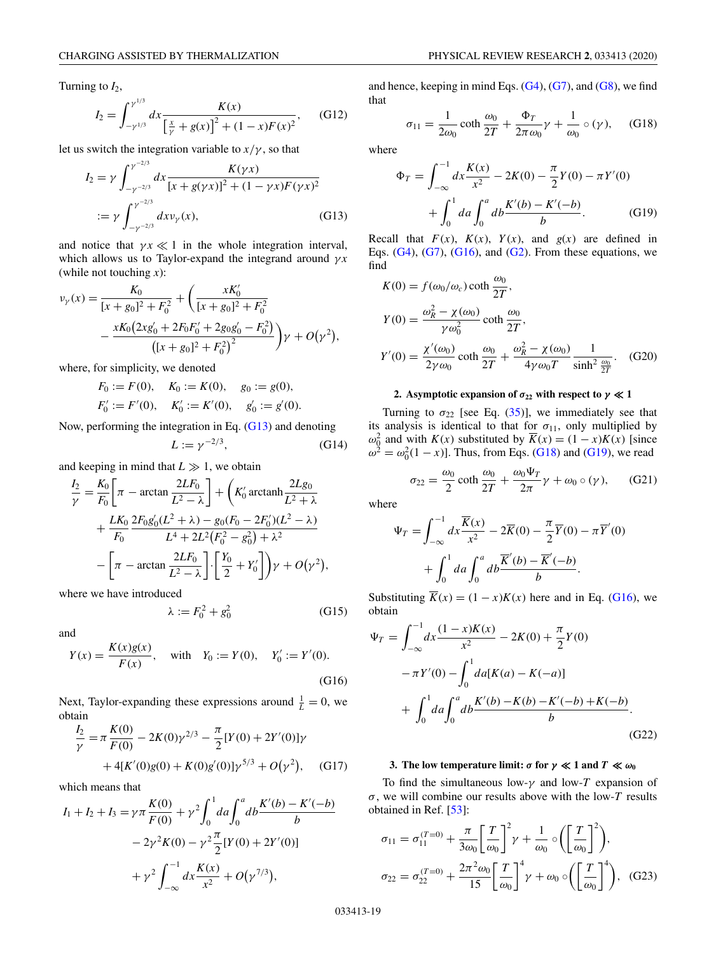<span id="page-18-0"></span>Turning to  $I_2$ ,

$$
I_2 = \int_{-\gamma^{1/3}}^{\gamma^{1/3}} dx \frac{K(x)}{\left[\frac{x}{\gamma} + g(x)\right]^2 + (1 - x)F(x)^2},
$$
 (G12)

let us switch the integration variable to  $x/\gamma$ , so that

$$
I_2 = \gamma \int_{-\gamma^{-2/3}}^{\gamma^{-2/3}} dx \frac{K(\gamma x)}{[x + g(\gamma x)]^2 + (1 - \gamma x)F(\gamma x)^2}
$$
  
 :=  $\gamma \int_{-\gamma^{-2/3}}^{\gamma^{-2/3}} dx \nu_\gamma(x),$  (G13)

and notice that  $\gamma x \ll 1$  in the whole integration interval, which allows us to Taylor-expand the integrand around  $\gamma x$ (while not touching *x*):

$$
\nu_{\gamma}(x) = \frac{K_0}{[x + g_0]^2 + F_0^2} + \left(\frac{xK_0'}{[x + g_0]^2 + F_0^2}\right)
$$

$$
-\frac{xK_0(2xg_0' + 2F_0F_0' + 2g_0g_0' - F_0^2)}{([x + g_0]^2 + F_0^2)^2}\gamma + O(\gamma^2),
$$

where, for simplicity, we denoted

$$
F_0 := F(0), \quad K_0 := K(0), \quad g_0 := g(0),
$$
  
\n $F'_0 := F'(0), \quad K'_0 := K'(0), \quad g'_0 := g'(0).$ 

Now, performing the integration in Eq. (G13) and denoting

$$
L := \gamma^{-2/3},\tag{G14}
$$

and keeping in mind that  $L \gg 1$ , we obtain

λ := *F*<sup>2</sup>

$$
\frac{I_2}{\gamma} = \frac{K_0}{F_0} \left[ \pi - \arctan \frac{2LF_0}{L^2 - \lambda} \right] + \left( K_0' \operatorname{arctanh} \frac{2Lg_0}{L^2 + \lambda} + \frac{LK_0}{F_0} \frac{2F_0g_0'(L^2 + \lambda) - g_0(F_0 - 2F_0')(L^2 - \lambda)}{L^4 + 2L^2(F_0^2 - g_0^2) + \lambda^2} - \left[ \pi - \arctan \frac{2LF_0}{L^2 - \lambda} \right] \cdot \left[ \frac{Y_0}{2} + Y_0' \right] \gamma + O(\gamma^2),
$$

where we have introduced

$$
:= F_0^2 + g_0^2 \tag{G15}
$$

and

$$
Y(x) = \frac{K(x)g(x)}{F(x)}, \quad \text{with} \quad Y_0 := Y(0), \quad Y'_0 := Y'(0).
$$
\n(G16)

Next, Taylor-expanding these expressions around  $\frac{1}{L} = 0$ , we obtain

$$
\frac{I_2}{\gamma} = \pi \frac{K(0)}{F(0)} - 2K(0)\gamma^{2/3} - \frac{\pi}{2} [Y(0) + 2Y'(0)]\gamma
$$
  
+ 4[K'(0)g(0) + K(0)g'(0)]\gamma^{5/3} + O(\gamma^2), (G17)

which means that

$$
I_1 + I_2 + I_3 = \gamma \pi \frac{K(0)}{F(0)} + \gamma^2 \int_0^1 da \int_0^a db \frac{K'(b) - K'(-b)}{b}
$$
  

$$
-2\gamma^2 K(0) - \gamma^2 \frac{\pi}{2} [Y(0) + 2Y'(0)]
$$
  

$$
+ \gamma^2 \int_{-\infty}^{-1} dx \frac{K(x)}{x^2} + O(\gamma^{7/3}),
$$

and hence, keeping in mind Eqs.  $(G4)$ ,  $(G7)$ , and  $(G8)$ , we find that

$$
\sigma_{11} = \frac{1}{2\omega_0} \coth \frac{\omega_0}{2T} + \frac{\Phi_T}{2\pi \omega_0} \gamma + \frac{1}{\omega_0} \circ (\gamma), \quad \text{(G18)}
$$

where

$$
\Phi_T = \int_{-\infty}^{-1} dx \frac{K(x)}{x^2} - 2K(0) - \frac{\pi}{2} Y(0) - \pi Y'(0) \n+ \int_0^1 da \int_0^a db \frac{K'(b) - K'(-b)}{b}.
$$
\n(G19)

Recall that  $F(x)$ ,  $K(x)$ ,  $Y(x)$ , and  $g(x)$  are defined in Eqs.  $(G4)$ ,  $(G7)$ ,  $(G16)$ , and  $(G2)$ . From these equations, we find

$$
K(0) = f(\omega_0/\omega_c) \coth \frac{\omega_0}{2T},
$$
  
\n
$$
Y(0) = \frac{\omega_R^2 - \chi(\omega_0)}{\gamma \omega_0^2} \coth \frac{\omega_0}{2T},
$$
  
\n
$$
Y'(0) = \frac{\chi'(\omega_0)}{2\gamma \omega_0} \coth \frac{\omega_0}{2T} + \frac{\omega_R^2 - \chi(\omega_0)}{4\gamma \omega_0 T} \frac{1}{\sinh^2 \frac{\omega_0}{2T}}.
$$
 (G20)

# **2.** Asymptotic expansion of  $\sigma_{22}$  with respect to  $\gamma \ll 1$

Turning to  $\sigma_{22}$  [see Eq. [\(35\)](#page-5-0)], we immediately see that its analysis is identical to that for  $\sigma_{11}$ , only multiplied by  $ω_0^2$  and with *K*(*x*) substituted by  $\overline{K}(x) = (1 - x)K(x)$  [since  $\omega^2 = \omega_0^2(1-x)$ . Thus, from Eqs. (G18) and (G19), we read

$$
\sigma_{22} = \frac{\omega_0}{2} \coth \frac{\omega_0}{2T} + \frac{\omega_0 \Psi_T}{2\pi} \gamma + \omega_0 \circ (\gamma), \quad \text{(G21)}
$$

where

$$
\Psi_T = \int_{-\infty}^{-1} dx \frac{\overline{K}(x)}{x^2} - 2\overline{K}(0) - \frac{\pi}{2} \overline{Y}(0) - \pi \overline{Y}'(0) \n+ \int_0^1 da \int_0^a db \frac{\overline{K}'(b) - \overline{K}'(-b)}{b}.
$$

Substituting  $\overline{K}(x) = (1 - x)K(x)$  here and in Eq. (G16), we obtain

$$
\Psi_T = \int_{-\infty}^{-1} dx \frac{(1-x)K(x)}{x^2} - 2K(0) + \frac{\pi}{2} Y(0)
$$

$$
- \pi Y'(0) - \int_0^1 da[K(a) - K(-a)]
$$

$$
+ \int_0^1 da \int_0^a db \frac{K'(b) - K(b) - K'(-b) + K(-b)}{b}.
$$
(G22)

# **3.** The low temperature limit:  $\sigma$  for  $\gamma \ll 1$  and  $T \ll \omega_0$

To find the simultaneous low- $\gamma$  and low-T expansion of σ, we will combine our results above with the low-*T* results obtained in Ref. [\[53\]](#page-22-0):

$$
\sigma_{11} = \sigma_{11}^{(T=0)} + \frac{\pi}{3\omega_0} \left[\frac{T}{\omega_0}\right]^2 \gamma + \frac{1}{\omega_0} \circ \left(\left[\frac{T}{\omega_0}\right]^2\right),
$$
  

$$
\sigma_{22} = \sigma_{22}^{(T=0)} + \frac{2\pi^2 \omega_0}{15} \left[\frac{T}{\omega_0}\right]^4 \gamma + \omega_0 \circ \left(\left[\frac{T}{\omega_0}\right]^4\right), \quad (G23)
$$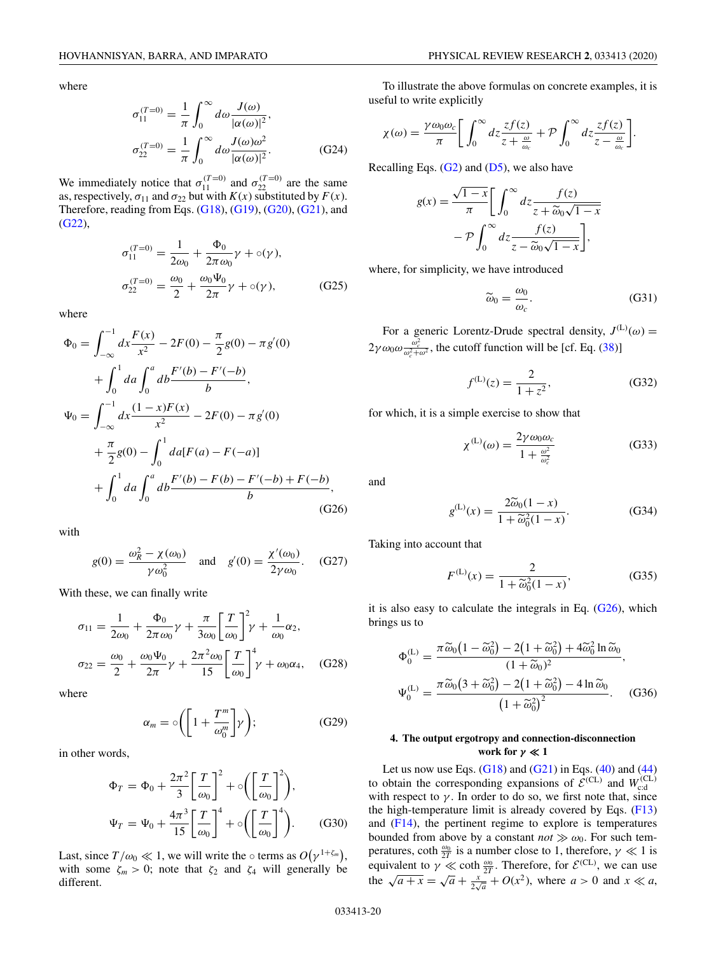<span id="page-19-0"></span>where

$$
\sigma_{11}^{(T=0)} = \frac{1}{\pi} \int_0^\infty d\omega \frac{J(\omega)}{|\alpha(\omega)|^2},
$$
  

$$
\sigma_{22}^{(T=0)} = \frac{1}{\pi} \int_0^\infty d\omega \frac{J(\omega)\omega^2}{|\alpha(\omega)|^2}.
$$
 (G24)

We immediately notice that  $\sigma_{11}^{(T=0)}$  and  $\sigma_{22}^{(T=0)}$  are the same as, respectively,  $\sigma_{11}$  and  $\sigma_{22}$  but with *K*(*x*) substituted by *F*(*x*). Therefore, reading from Eqs.  $(G18)$ ,  $(G19)$ ,  $(G20)$ ,  $(G21)$ , and [\(G22\)](#page-18-0),

$$
\sigma_{11}^{(T=0)} = \frac{1}{2\omega_0} + \frac{\Phi_0}{2\pi \omega_0} \gamma + o(\gamma),
$$
  
\n
$$
\sigma_{22}^{(T=0)} = \frac{\omega_0}{2} + \frac{\omega_0 \Psi_0}{2\pi} \gamma + o(\gamma),
$$
 (G25)

where

$$
\Phi_0 = \int_{-\infty}^{-1} dx \frac{F(x)}{x^2} - 2F(0) - \frac{\pi}{2}g(0) - \pi g'(0)
$$
  
+ 
$$
\int_0^1 da \int_0^a db \frac{F'(b) - F'(-b)}{b},
$$
  

$$
\Psi_0 = \int_{-\infty}^{-1} dx \frac{(1 - x)F(x)}{x^2} - 2F(0) - \pi g'(0)
$$
  
+ 
$$
\frac{\pi}{2}g(0) - \int_0^1 da[F(a) - F(-a)]
$$
  
+ 
$$
\int_0^1 da \int_0^a db \frac{F'(b) - F(b) - F'(-b) + F(-b)}{b},
$$
(G26)

with

$$
g(0) = \frac{\omega_R^2 - \chi(\omega_0)}{\gamma \omega_0^2}
$$
 and  $g'(0) = \frac{\chi'(\omega_0)}{2\gamma \omega_0}$ . (G27)

With these, we can finally write

$$
\sigma_{11} = \frac{1}{2\omega_0} + \frac{\Phi_0}{2\pi\omega_0} \gamma + \frac{\pi}{3\omega_0} \left[\frac{T}{\omega_0}\right]^2 \gamma + \frac{1}{\omega_0} \alpha_2,
$$
  

$$
\sigma_{22} = \frac{\omega_0}{2} + \frac{\omega_0 \Psi_0}{2\pi} \gamma + \frac{2\pi^2 \omega_0}{15} \left[\frac{T}{\omega_0}\right]^4 \gamma + \omega_0 \alpha_4, \quad (G28)
$$

where

$$
\alpha_m = \circ \left( \left[ 1 + \frac{T^m}{\omega_0^m} \right] \gamma \right); \tag{G29}
$$

in other words,

$$
\Phi_T = \Phi_0 + \frac{2\pi^2}{3} \left[ \frac{T}{\omega_0} \right]^2 + \left( \left[ \frac{T}{\omega_0} \right]^2 \right),
$$
  

$$
\Psi_T = \Psi_0 + \frac{4\pi^3}{15} \left[ \frac{T}{\omega_0} \right]^4 + \left( \left[ \frac{T}{\omega_0} \right]^4 \right).
$$
 (G30)

Last, since  $T/\omega_0 \ll 1$ , we will write the  $\circ$  terms as  $O(\gamma^{1+\zeta_m})$ , with some  $\zeta_m > 0$ ; note that  $\zeta_2$  and  $\zeta_4$  will generally be different.

To illustrate the above formulas on concrete examples, it is useful to write explicitly

$$
\chi(\omega) = \frac{\gamma \omega_0 \omega_c}{\pi} \bigg[ \int_0^\infty dz \frac{zf(z)}{z + \frac{\omega}{\omega_c}} + \mathcal{P} \int_0^\infty dz \frac{zf(z)}{z - \frac{\omega}{\omega_c}} \bigg].
$$

Recalling Eqs.  $(G2)$  and  $(D5)$ , we also have

$$
g(x) = \frac{\sqrt{1-x}}{\pi} \left[ \int_0^\infty dz \frac{f(z)}{z + \widetilde{\omega}_0 \sqrt{1-x}} - \mathcal{P} \int_0^\infty dz \frac{f(z)}{z - \widetilde{\omega}_0 \sqrt{1-x}} \right],
$$

where, for simplicity, we have introduced

$$
\widetilde{\omega}_0 = \frac{\omega_0}{\omega_c}.\tag{G31}
$$

For a generic Lorentz-Drude spectral density,  $J^{(L)}(\omega) =$  $2\gamma\omega_0\omega \frac{\omega_c^2}{\omega_c^2+\omega^2}$ , the cutoff function will be [cf. Eq. [\(38\)](#page-6-0)]

$$
f^{(L)}(z) = \frac{2}{1 + z^2},
$$
 (G32)

for which, it is a simple exercise to show that

$$
\chi^{(L)}(\omega) = \frac{2\gamma\omega_0\omega_c}{1 + \frac{\omega^2}{\omega_c^2}}\tag{G33}
$$

and

$$
g^{(L)}(x) = \frac{2\tilde{\omega}_0(1-x)}{1 + \tilde{\omega}_0^2(1-x)}.
$$
 (G34)

Taking into account that

$$
F^{(L)}(x) = \frac{2}{1 + \tilde{\omega}_0^2 (1 - x)},
$$
 (G35)

it is also easy to calculate the integrals in Eq.  $(G26)$ , which brings us to

$$
\Phi_0^{(\text{L})} = \frac{\pi \widetilde{\omega}_0 \left(1 - \widetilde{\omega}_0^2\right) - 2\left(1 + \widetilde{\omega}_0^2\right) + 4\widetilde{\omega}_0^2 \ln \widetilde{\omega}_0}{(1 + \widetilde{\omega}_0)^2},
$$
\n
$$
\Psi_0^{(\text{L})} = \frac{\pi \widetilde{\omega}_0 \left(3 + \widetilde{\omega}_0^2\right) - 2\left(1 + \widetilde{\omega}_0^2\right) - 4 \ln \widetilde{\omega}_0}{\left(1 + \widetilde{\omega}_0^2\right)^2}.
$$
\n(G36)

# **4. The output ergotropy and connection-disconnection work for**  $\gamma \ll 1$

Let us now use Eqs. [\(G18\)](#page-18-0) and [\(G21\)](#page-18-0) in Eqs. [\(40\)](#page-6-0) and  $(44)$ to obtain the corresponding expansions of  $\mathcal{E}^{(CL)}$  and  $W_{\text{cd}}^{(CL)}$ with respect to  $\gamma$ . In order to do so, we first note that, since the high-temperature limit is already covered by Eqs.  $(F13)$ and  $(F14)$ , the pertinent regime to explore is temperatures bounded from above by a constant  $not \gg \omega_0$ . For such temperatures, coth  $\frac{\omega_0}{2T}$  is a number close to 1, therefore,  $\gamma \ll 1$  is equivalent to  $\gamma \ll \coth \frac{\omega_0}{2T}$ . Therefore, for  $\mathcal{E}^{(CL)}$ , we can use the  $\sqrt{a+x} = \sqrt{a} + \frac{x}{2\sqrt{a}} + O(x^2)$ , where  $a > 0$  and  $x \ll a$ ,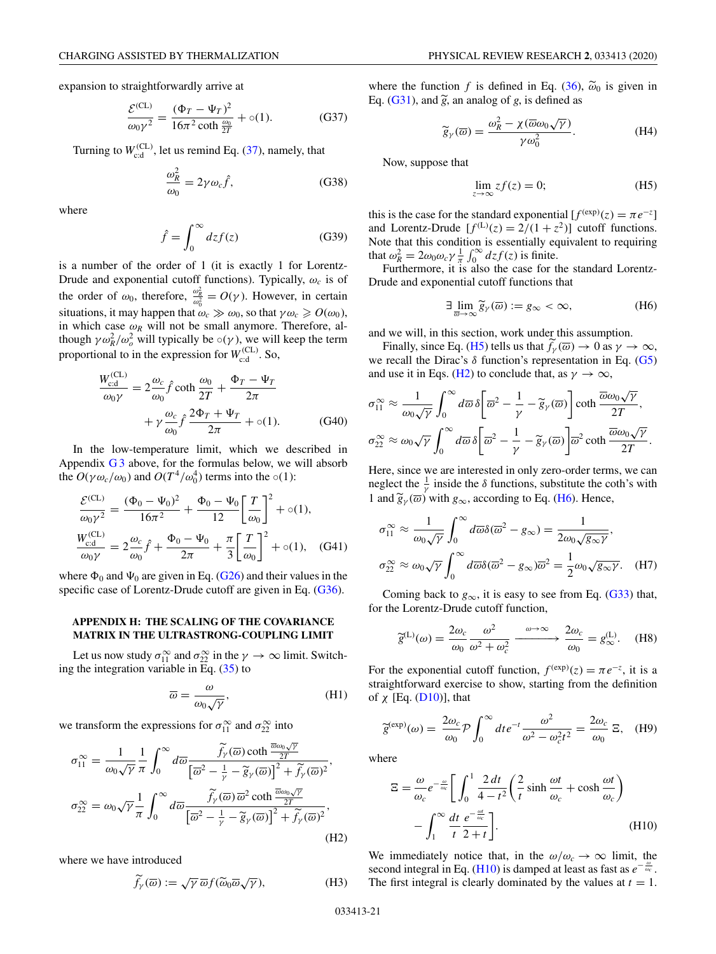<span id="page-20-0"></span>expansion to straightforwardly arrive at

$$
\frac{\mathcal{E}^{(CL)}}{\omega_0 \gamma^2} = \frac{(\Phi_T - \Psi_T)^2}{16\pi^2 \coth \frac{\omega_0}{2T}} + o(1).
$$
 (G37)

Turning to  $W_{\text{cd}}^{(\text{CL})}$ , let us remind Eq. [\(37\)](#page-5-0), namely, that

$$
\frac{\omega_R^2}{\omega_0} = 2\gamma \omega_c \hat{f},\qquad(G38)
$$

where

$$
\hat{f} = \int_0^\infty dz f(z) \tag{G39}
$$

is a number of the order of 1 (it is exactly 1 for Lorentz-Drude and exponential cutoff functions). Typically,  $\omega_c$  is of the order of  $\omega_0$ , therefore,  $\frac{\omega_R^2}{\omega_0^2} = O(\gamma)$ . However, in certain situations, it may happen that  $\omega_c \gg \omega_0$ , so that  $\gamma \omega_c \geq O(\omega_0)$ , in which case  $\omega_R$  will not be small anymore. Therefore, although  $\gamma \omega_R^2 / \omega_o^2$  will typically be  $\circ(\gamma)$ , we will keep the term proportional to in the expression for  $W_{\text{c:d}}^{(\text{CL})}$ . So,

$$
\frac{W_{\text{cd}}^{(\text{CL})}}{\omega_0 \gamma} = 2 \frac{\omega_c}{\omega_0} \hat{f} \coth \frac{\omega_0}{2T} + \frac{\Phi_T - \Psi_T}{2\pi} \n+ \gamma \frac{\omega_c}{\omega_0} \hat{f} \frac{2\Phi_T + \Psi_T}{2\pi} + o(1).
$$
\n(G40)

In the low-temperature limit, which we described in Appendix  $G_3$  above, for the formulas below, we will absorb the  $O(\gamma \omega_c/\omega_0)$  and  $O(T^4/\omega_0^4)$  terms into the  $\circ(1)$ :

$$
\frac{\mathcal{E}^{(\text{CL})}}{\omega_0 \gamma^2} = \frac{(\Phi_0 - \Psi_0)^2}{16\pi^2} + \frac{\Phi_0 - \Psi_0}{12} \left[ \frac{T}{\omega_0} \right]^2 + o(1),
$$
\n
$$
\frac{W_{\text{cd}}^{(\text{CL})}}{\omega_0 \gamma} = 2 \frac{\omega_c}{\omega_0} \hat{f} + \frac{\Phi_0 - \Psi_0}{2\pi} + \frac{\pi}{3} \left[ \frac{T}{\omega_0} \right]^2 + o(1), \quad \text{(G41)}
$$

where  $\Phi_0$  and  $\Psi_0$  are given in Eq. [\(G26\)](#page-19-0) and their values in the specific case of Lorentz-Drude cutoff are given in Eq. [\(G36\)](#page-19-0).

### **APPENDIX H: THE SCALING OF THE COVARIANCE MATRIX IN THE ULTRASTRONG-COUPLING LIMIT**

Let us now study  $\sigma_{11}^{\infty}$  and  $\sigma_{22}^{\infty}$  in the  $\gamma \to \infty$  limit. Switching the integration variable in Eq. [\(35\)](#page-5-0) to

$$
\overline{\omega} = \frac{\omega}{\omega_0 \sqrt{\gamma}},\tag{H1}
$$

we transform the expressions for  $\sigma_{11}^{\infty}$  and  $\sigma_{22}^{\infty}$  into

$$
\sigma_{11}^{\infty} = \frac{1}{\omega_0 \sqrt{\gamma}} \frac{1}{\pi} \int_0^{\infty} d\overline{\omega} \frac{\tilde{f}_\gamma(\overline{\omega}) \coth \frac{\overline{\omega_0} \sqrt{\gamma}}{2T}}{\left[\overline{\omega}^2 - \frac{1}{\gamma} - \tilde{g}_\gamma(\overline{\omega})\right]^2 + \tilde{f}_\gamma(\overline{\omega})^2},
$$
  

$$
\sigma_{22}^{\infty} = \omega_0 \sqrt{\gamma} \frac{1}{\pi} \int_0^{\infty} d\overline{\omega} \frac{\tilde{f}_\gamma(\overline{\omega}) \overline{\omega}^2 \coth \frac{\overline{\omega_0} \sqrt{\gamma}}{2T}}{\left[\overline{\omega}^2 - \frac{1}{\gamma} - \tilde{g}_\gamma(\overline{\omega})\right]^2 + \tilde{f}_\gamma(\overline{\omega})^2},
$$
(H2)

where we have introduced

$$
\widetilde{f}_{\gamma}(\overline{\omega}) := \sqrt{\gamma} \,\overline{\omega} f(\widetilde{\omega}_0 \overline{\omega} \sqrt{\gamma}), \tag{H3}
$$

where the function *f* is defined in Eq. [\(36\)](#page-5-0),  $\tilde{\omega}_0$  is given in Eq. [\(G31\)](#page-19-0), and  $\tilde{g}$ , an analog of *g*, is defined as

$$
\widetilde{g}_{\gamma}(\overline{\omega}) = \frac{\omega_R^2 - \chi(\overline{\omega}\omega_0\sqrt{\gamma})}{\gamma\omega_0^2}.
$$
 (H4)

Now, suppose that

$$
\lim_{z \to \infty} z f(z) = 0; \tag{H5}
$$

this is the case for the standard exponential  $[f^{(exp)}(z) = \pi e^{-z}]$ and Lorentz-Drude  $[f^{(L)}(z) = 2/(1 + z^2)]$  cutoff functions. Note that this condition is essentially equivalent to requiring that  $\omega_R^2 = 2\omega_0 \omega_c \gamma \frac{1}{\pi} \int_0^\infty dz f(z)$  is finite.

Furthermore, it is also the case for the standard Lorentz-Drude and exponential cutoff functions that

$$
\exists \lim_{\overline{\omega} \to \infty} \widetilde{g}_{\gamma}(\overline{\omega}) := g_{\infty} < \infty,\tag{H6}
$$

and we will, in this section, work under this assumption.

Finally, since Eq. (H5) tells us that  $f_{\gamma}(\overline{\omega}) \to 0$  as  $\gamma \to \infty$ , we recall the Dirac's  $\delta$  function's representation in Eq. [\(G5\)](#page-17-0) and use it in Eqs. (H2) to conclude that, as  $\gamma \to \infty$ ,

$$
\sigma_{11}^{\infty} \approx \frac{1}{\omega_0 \sqrt{\gamma}} \int_0^{\infty} d\overline{\omega} \, \delta \left[ \overline{\omega}^2 - \frac{1}{\gamma} - \widetilde{g}_{\gamma}(\overline{\omega}) \right] \coth \frac{\overline{\omega} \omega_0 \sqrt{\gamma}}{2T},
$$
  

$$
\sigma_{22}^{\infty} \approx \omega_0 \sqrt{\gamma} \int_0^{\infty} d\overline{\omega} \, \delta \left[ \overline{\omega}^2 - \frac{1}{\gamma} - \widetilde{g}_{\gamma}(\overline{\omega}) \right] \overline{\omega}^2 \coth \frac{\overline{\omega} \omega_0 \sqrt{\gamma}}{2T}.
$$

Here, since we are interested in only zero-order terms, we can neglect the  $\frac{1}{\gamma}$  inside the  $\delta$  functions, substitute the coth's with 1 and  $\widetilde{g}_{\gamma}(\overline{\omega})$  with  $g_{\infty}$ , according to Eq. (H6). Hence,

$$
\sigma_{11}^{\infty} \approx \frac{1}{\omega_0 \sqrt{\gamma}} \int_0^{\infty} d\overline{\omega} \delta(\overline{\omega}^2 - g_{\infty}) = \frac{1}{2\omega_0 \sqrt{g_{\infty} \gamma}},
$$
  

$$
\sigma_{22}^{\infty} \approx \omega_0 \sqrt{\gamma} \int_0^{\infty} d\overline{\omega} \delta(\overline{\omega}^2 - g_{\infty}) \overline{\omega}^2 = \frac{1}{2} \omega_0 \sqrt{g_{\infty} \gamma}. \quad (H7)
$$

Coming back to  $g_{\infty}$ , it is easy to see from Eq. [\(G33\)](#page-19-0) that, for the Lorentz-Drude cutoff function,

$$
\widetilde{g}^{(\text{L})}(\omega) = \frac{2\omega_c}{\omega_0} \frac{\omega^2}{\omega^2 + \omega_c^2} \xrightarrow{\omega \to \infty} \frac{2\omega_c}{\omega_0} = g_{\infty}^{(\text{L})}. \quad (H8)
$$

For the exponential cutoff function,  $f^{(exp)}(z) = \pi e^{-z}$ , it is a straightforward exercise to show, starting from the definition of  $\chi$  [Eq. [\(D10\)](#page-13-0)], that

$$
\widetilde{g}^{(\exp)}(\omega) = \frac{2\omega_c}{\omega_0} \mathcal{P} \int_0^\infty dt \, e^{-t} \frac{\omega^2}{\omega^2 - \omega_c^2 t^2} = \frac{2\omega_c}{\omega_0} \Xi, \quad (H9)
$$

where

$$
\Xi = \frac{\omega}{\omega_c} e^{-\frac{\omega}{\omega_c}} \left[ \int_0^1 \frac{2 dt}{4 - t^2} \left( \frac{2}{t} \sinh \frac{\omega t}{\omega_c} + \cosh \frac{\omega t}{\omega_c} \right) - \int_1^\infty \frac{dt}{t} \frac{e^{-\frac{\omega t}{\omega_c}}}{2 + t} \right].
$$
\n(H10)

We immediately notice that, in the  $\omega/\omega_c \rightarrow \infty$  limit, the second integral in Eq. (H10) is damped at least as fast as  $e^{-\frac{\omega}{\omega_c}}$ . The first integral is clearly dominated by the values at  $t = 1$ .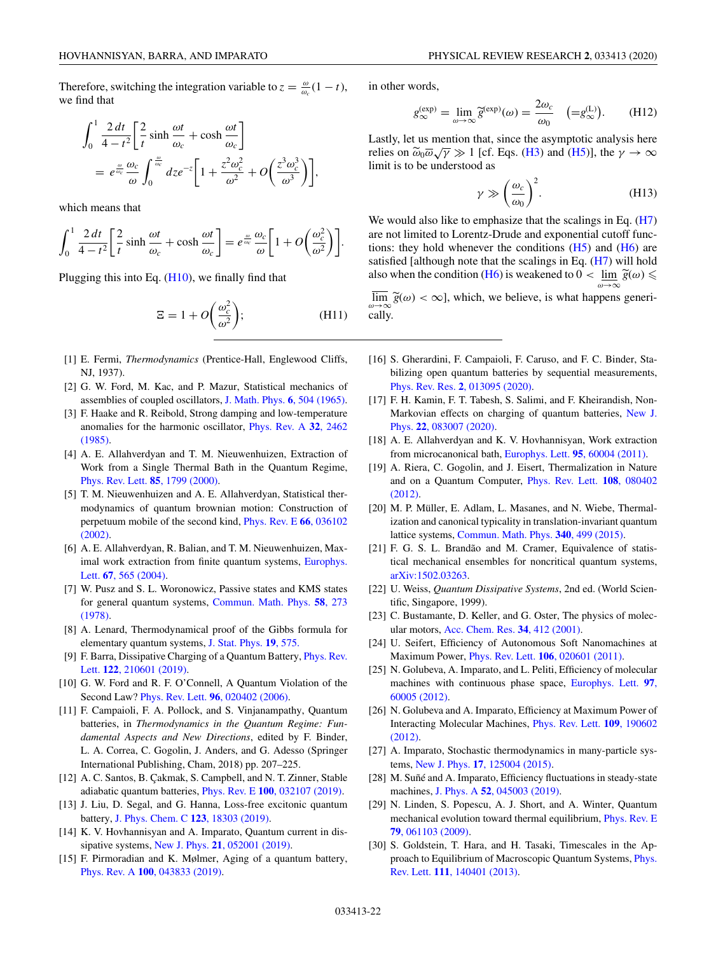<span id="page-21-0"></span>Therefore, switching the integration variable to  $z = \frac{\omega}{\omega_c}(1 - t)$ , we find that

$$
\int_0^1 \frac{2 dt}{4 - t^2} \left[ \frac{2}{t} \sinh \frac{\omega t}{\omega_c} + \cosh \frac{\omega t}{\omega_c} \right]
$$
  
=  $e^{\frac{\omega}{\omega_c}} \frac{\omega_c}{\omega} \int_0^{\frac{\omega}{\omega_c}} dz e^{-z} \left[ 1 + \frac{z^2 \omega_c^2}{\omega^2} + O\left(\frac{z^3 \omega_c^3}{\omega^3}\right) \right],$ 

which means that

$$
\int_0^1 \frac{2 dt}{4-t^2} \left[ \frac{2}{t} \sinh \frac{\omega t}{\omega_c} + \cosh \frac{\omega t}{\omega_c} \right] = e^{\frac{\omega}{\omega_c}} \frac{\omega_c}{\omega} \left[ 1 + O\left( \frac{\omega_c^2}{\omega^2} \right) \right].
$$

Plugging this into Eq. [\(H10\)](#page-20-0), we finally find that

$$
\Xi = 1 + O\left(\frac{\omega_c^2}{\omega^2}\right); \tag{H11}
$$

- [1] E. Fermi, *Thermodynamics* (Prentice-Hall, Englewood Cliffs, NJ, 1937).
- [2] G. W. Ford, M. Kac, and P. Mazur, Statistical mechanics of assemblies of coupled oscillators, [J. Math. Phys.](https://doi.org/10.1063/1.1704304) **6**, 504 (1965).
- [3] F. Haake and R. Reibold, Strong damping and low-temperature [anomalies for the harmonic oscillator,](https://doi.org/10.1103/PhysRevA.32.2462) Phys. Rev. A **32**, 2462 (1985).
- [4] A. E. Allahverdyan and T. M. Nieuwenhuizen, Extraction of Work from a Single Thermal Bath in the Quantum Regime, [Phys. Rev. Lett.](https://doi.org/10.1103/PhysRevLett.85.1799) **85**, 1799 (2000).
- [5] T. M. Nieuwenhuizen and A. E. Allahverdyan, Statistical thermodynamics of quantum brownian motion: Construction of [perpetuum mobile of the second kind,](https://doi.org/10.1103/PhysRevE.66.036102) Phys. Rev. E **66**, 036102 (2002).
- [6] A. E. Allahverdyan, R. Balian, and T. M. Nieuwenhuizen, Max[imal work extraction from finite quantum systems,](https://doi.org/10.1209/epl/i2004-10101-2) Europhys. Lett. **67**, 565 (2004).
- [7] W. Pusz and S. L. Woronowicz, Passive states and KMS states [for general quantum systems,](https://doi.org/10.1007/BF01614224) Commun. Math. Phys. **58**, 273 (1978).
- [8] A. Lenard, Thermodynamical proof of the Gibbs formula for elementary quantum systems, [J. Stat. Phys.](https://doi.org/10.1007/BF01011769) **19**, 575.
- [9] [F. Barra, Dissipative Charging of a Quantum Battery,](https://doi.org/10.1103/PhysRevLett.122.210601) Phys. Rev. Lett. **122**, 210601 (2019).
- [10] G. W. Ford and R. F. O'Connell, A Quantum Violation of the Second Law? Phys. Rev. Lett. **96**[, 020402 \(2006\).](https://doi.org/10.1103/PhysRevLett.96.020402)
- [11] F. Campaioli, F. A. Pollock, and S. Vinjanampathy, Quantum batteries, in *Thermodynamics in the Quantum Regime: Fundamental Aspects and New Directions*, edited by F. Binder, L. A. Correa, C. Gogolin, J. Anders, and G. Adesso (Springer International Publishing, Cham, 2018) pp. 207–225.
- [12] A. C. Santos, B. Çakmak, S. Campbell, and N. T. Zinner, Stable adiabatic quantum batteries, Phys. Rev. E **100**[, 032107 \(2019\).](https://doi.org/10.1103/PhysRevE.100.032107)
- [13] J. Liu, D. Segal, and G. Hanna, Loss-free excitonic quantum battery, [J. Phys. Chem. C](https://doi.org/10.1021/acs.jpcc.9b06373) **123**, 18303 (2019).
- [14] K. V. Hovhannisyan and A. Imparato, Quantum current in dissipative systems, New J. Phys. **21**[, 052001 \(2019\).](https://doi.org/10.1088/1367-2630/ab1731)
- [15] F. Pirmoradian and K. Mølmer, Aging of a quantum battery, Phys. Rev. A **100**[, 043833 \(2019\).](https://doi.org/10.1103/PhysRevA.100.043833)

in other words,

$$
g_{\infty}^{(\exp)} = \lim_{\omega \to \infty} \widetilde{g}^{(\exp)}(\omega) = \frac{2\omega_c}{\omega_0} \quad (=\mathbf{g}_{\infty}^{(\mathbf{L})}). \tag{H12}
$$

Lastly, let us mention that, since the asymptotic analysis here Lastry, for us infinition that, since the asymptotic analysis liete<br>relies on  $\tilde{\omega}_0 \overline{\omega} \sqrt{\gamma} \gg 1$  [cf. Eqs. [\(H3\)](#page-20-0) and [\(H5\)](#page-20-0)], the  $\gamma \to \infty$ limit is to be understood as

$$
\gamma \gg \left(\frac{\omega_c}{\omega_0}\right)^2. \tag{H13}
$$

We would also like to emphasize that the scalings in Eq.  $(H7)$ are not limited to Lorentz-Drude and exponential cutoff functions: they hold whenever the conditions  $(H5)$  and  $(H6)$  are satisfied [although note that the scalings in Eq. [\(H7\)](#page-20-0) will hold also when the condition [\(H6\)](#page-20-0) is weakened to  $0 < \lim_{\omega \to \infty} \widetilde{g}(\omega) \le$ 

 $\lim_{\omega \to \infty} \tilde{g}(\omega) < \infty$ , which, we believe, is what happens generically.

- [16] S. Gherardini, F. Campaioli, F. Caruso, and F. C. Binder, Stabilizing open quantum batteries by sequential measurements, Phys. Rev. Res. **2**[, 013095 \(2020\).](https://doi.org/10.1103/PhysRevResearch.2.013095)
- [17] F. H. Kamin, F. T. Tabesh, S. Salimi, and F. Kheirandish, Non-[Markovian effects on charging of quantum batteries,](https://doi.org/10.1088/1367-2630/ab9ee2) New J. Phys. **22**, 083007 (2020).
- [18] A. E. Allahverdyan and K. V. Hovhannisyan, Work extraction from microcanonical bath, [Europhys. Lett.](https://doi.org/10.1209/0295-5075/95/60004) **95**, 60004 (2011).
- [19] A. Riera, C. Gogolin, and J. Eisert, Thermalization in Nature [and on a Quantum Computer,](https://doi.org/10.1103/PhysRevLett.108.080402) Phys. Rev. Lett. **108**, 080402 (2012).
- [20] M. P. Müller, E. Adlam, L. Masanes, and N. Wiebe, Thermalization and canonical typicality in translation-invariant quantum lattice systems, [Commun. Math. Phys.](https://doi.org/10.1007/s00220-015-2473-y) **340**, 499 (2015).
- [21] F. G. S. L. Brandão and M. Cramer, Equivalence of statistical mechanical ensembles for noncritical quantum systems, [arXiv:1502.03263.](http://arxiv.org/abs/arXiv:1502.03263)
- [22] U. Weiss, *Quantum Dissipative Systems*, 2nd ed. (World Scientific, Singapore, 1999).
- [23] C. Bustamante, D. Keller, and G. Oster, The physics of molecular motors, [Acc. Chem. Res.](https://doi.org/10.1021/ar0001719) **34**, 412 (2001).
- [24] U. Seifert, Efficiency of Autonomous Soft Nanomachines at Maximum Power, Phys. Rev. Lett. **106**[, 020601 \(2011\).](https://doi.org/10.1103/PhysRevLett.106.020601)
- [25] N. Golubeva, A. Imparato, and L. Peliti, Efficiency of molecular [machines with continuous phase space,](https://doi.org/10.1209/0295-5075/97/60005) Europhys. Lett. **97**, 60005 (2012).
- [26] N. Golubeva and A. Imparato, Efficiency at Maximum Power of [Interacting Molecular Machines,](https://doi.org/10.1103/PhysRevLett.109.190602) Phys. Rev. Lett. **109**, 190602 (2012).
- [27] A. Imparato, Stochastic thermodynamics in many-particle systems, New J. Phys. **17**[, 125004 \(2015\).](https://doi.org/10.1088/1367-2630/17/12/125004)
- [28] M. Suñé and A. Imparato, Efficiency fluctuations in steady-state machines, J. Phys. A **52**[, 045003 \(2019\).](https://doi.org/10.1088/1751-8121/aaf2f8)
- [29] N. Linden, S. Popescu, A. J. Short, and A. Winter, Quantum [mechanical evolution toward thermal equilibrium,](https://doi.org/10.1103/PhysRevE.79.061103) Phys. Rev. E **79**, 061103 (2009).
- [30] S. Goldstein, T. Hara, and H. Tasaki, Timescales in the Ap[proach to Equilibrium of Macroscopic Quantum Systems,](https://doi.org/10.1103/PhysRevLett.111.140401) Phys. Rev. Lett. **111**, 140401 (2013).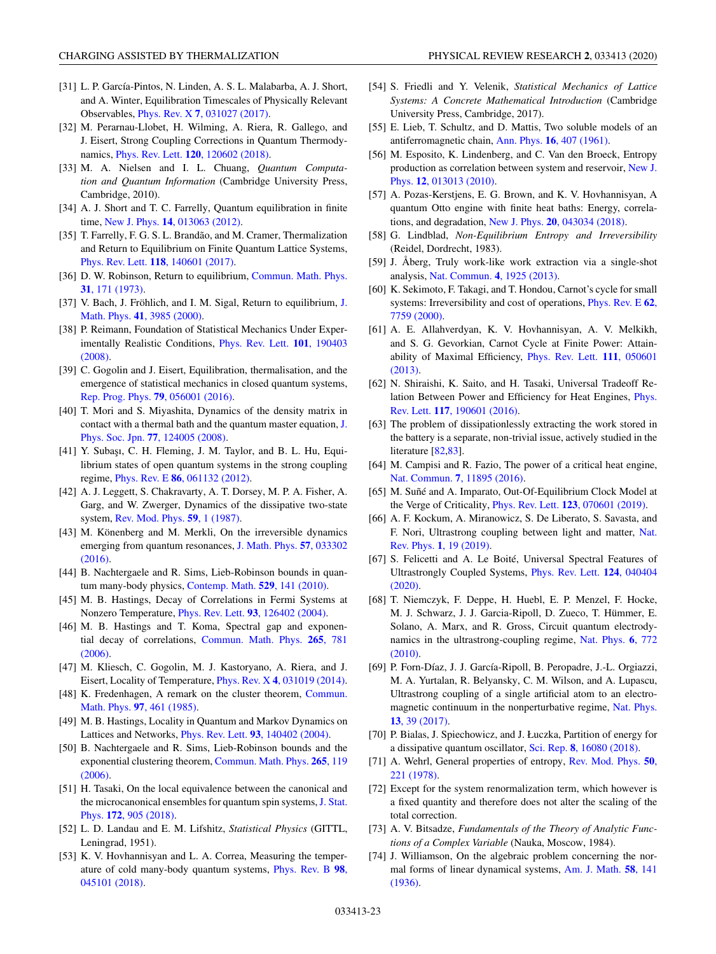- <span id="page-22-0"></span>[31] L. P. García-Pintos, N. Linden, A. S. L. Malabarba, A. J. Short, and A. Winter, Equilibration Timescales of Physically Relevant Observables, Phys. Rev. X **7**[, 031027 \(2017\).](https://doi.org/10.1103/PhysRevX.7.031027)
- [32] M. Perarnau-Llobet, H. Wilming, A. Riera, R. Gallego, and J. Eisert, Strong Coupling Corrections in Quantum Thermodynamics, Phys. Rev. Lett. **120**[, 120602 \(2018\).](https://doi.org/10.1103/PhysRevLett.120.120602)
- [33] M. A. Nielsen and I. L. Chuang, *Quantum Computation and Quantum Information* (Cambridge University Press, Cambridge, 2010).
- [34] A. J. Short and T. C. Farrelly, Quantum equilibration in finite time, New J. Phys. **14**[, 013063 \(2012\).](https://doi.org/10.1088/1367-2630/14/1/013063)
- [35] T. Farrelly, F. G. S. L. Brandão, and M. Cramer, Thermalization and Return to Equilibrium on Finite Quantum Lattice Systems, Phys. Rev. Lett. **118**[, 140601 \(2017\).](https://doi.org/10.1103/PhysRevLett.118.140601)
- [36] [D. W. Robinson, Return to equilibrium,](https://doi.org/10.1007/BF01646264) Commun. Math. Phys. **31**, 171 (1973).
- [37] [V. Bach, J. Fröhlich, and I. M. Sigal, Return to equilibrium,](https://doi.org/10.1063/1.533334) J. Math. Phys. **41**, 3985 (2000).
- [38] P. Reimann, Foundation of Statistical Mechanics Under Exper[imentally Realistic Conditions,](https://doi.org/10.1103/PhysRevLett.101.190403) Phys. Rev. Lett. **101**, 190403 (2008).
- [39] C. Gogolin and J. Eisert, Equilibration, thermalisation, and the emergence of statistical mechanics in closed quantum systems, [Rep. Prog. Phys.](https://doi.org/10.1088/0034-4885/79/5/056001) **79**, 056001 (2016).
- [40] T. Mori and S. Miyashita, Dynamics of the density matrix in [contact with a thermal bath and the quantum master equation,](https://doi.org/10.1143/JPSJ.77.124005) J. Phys. Soc. Jpn. **77**, 124005 (2008).
- [41] Y. Subaşı, C. H. Fleming, J. M. Taylor, and B. L. Hu, Equilibrium states of open quantum systems in the strong coupling regime, Phys. Rev. E **86**[, 061132 \(2012\).](https://doi.org/10.1103/PhysRevE.86.061132)
- [42] A. J. Leggett, S. Chakravarty, A. T. Dorsey, M. P. A. Fisher, A. Garg, and W. Zwerger, Dynamics of the dissipative two-state system, [Rev. Mod. Phys.](https://doi.org/10.1103/RevModPhys.59.1) **59**, 1 (1987).
- [43] M. Könenberg and M. Merkli, On the irreversible dynamics [emerging from quantum resonances,](https://doi.org/10.1063/1.4944614) J. Math. Phys. **57**, 033302 (2016).
- [44] B. Nachtergaele and R. Sims, Lieb-Robinson bounds in quantum many-body physics, [Contemp. Math.](https://doi.org/10.1090/conm/529/10429) **529**, 141 (2010).
- [45] M. B. Hastings, Decay of Correlations in Fermi Systems at Nonzero Temperature, Phys. Rev. Lett. **93**[, 126402 \(2004\).](https://doi.org/10.1103/PhysRevLett.93.126402)
- [46] M. B. Hastings and T. Koma, Spectral gap and exponen[tial decay of correlations,](https://doi.org/10.1007/s00220-006-0030-4) Commun. Math. Phys. **265**, 781 (2006).
- [47] M. Kliesch, C. Gogolin, M. J. Kastoryano, A. Riera, and J. Eisert, Locality of Temperature, Phys. Rev. X **4**[, 031019 \(2014\).](https://doi.org/10.1103/PhysRevX.4.031019)
- [48] [K. Fredenhagen, A remark on the cluster theorem,](https://doi.org/10.1007/BF01213409) Commun. Math. Phys. **97**, 461 (1985).
- [49] M. B. Hastings, Locality in Quantum and Markov Dynamics on Lattices and Networks, Phys. Rev. Lett. **93**[, 140402 \(2004\).](https://doi.org/10.1103/PhysRevLett.93.140402)
- [50] B. Nachtergaele and R. Sims, Lieb-Robinson bounds and the [exponential clustering theorem,](https://doi.org/10.1007/s00220-006-1556-1) Commun. Math. Phys. **265**, 119 (2006).
- [51] H. Tasaki, On the local equivalence between the canonical and the microcanonical ensembles for quantum spin systems, J. Stat. Phys. **172**, 905 (2018).
- [52] L. D. Landau and E. M. Lifshitz, *Statistical Physics* (GITTL, Leningrad, 1951).
- [53] K. V. Hovhannisyan and L. A. Correa, Measuring the temper[ature of cold many-body quantum systems,](https://doi.org/10.1103/PhysRevB.98.045101) Phys. Rev. B **98**, 045101 (2018).
- [54] S. Friedli and Y. Velenik, *Statistical Mechanics of Lattice Systems: A Concrete Mathematical Introduction* (Cambridge University Press, Cambridge, 2017).
- [55] E. Lieb, T. Schultz, and D. Mattis, Two soluble models of an antiferromagnetic chain, Ann. Phys. **16**[, 407 \(1961\).](https://doi.org/10.1016/0003-4916(61)90115-4)
- [56] M. Esposito, K. Lindenberg, and C. Van den Broeck, Entropy [production as correlation between system and reservoir,](https://doi.org/10.1088/1367-2630/12/1/013013) New J. Phys. **12**, 013013 (2010).
- [57] A. Pozas-Kerstjens, E. G. Brown, and K. V. Hovhannisyan, A quantum Otto engine with finite heat baths: Energy, correlations, and degradation, New J. Phys. **20**[, 043034 \(2018\).](https://doi.org/10.1088/1367-2630/aaba02)
- [58] G. Lindblad, *Non-Equilibrium Entropy and Irreversibility* (Reidel, Dordrecht, 1983).
- [59] J. Åberg, Truly work-like work extraction via a single-shot analysis, [Nat. Commun.](https://doi.org/10.1038/ncomms2712) **4**, 1925 (2013).
- [60] K. Sekimoto, F. Takagi, and T. Hondou, Carnot's cycle for small [systems: Irreversibility and cost of operations,](https://doi.org/10.1103/PhysRevE.62.7759) Phys. Rev. E **62**, 7759 (2000).
- [61] A. E. Allahverdyan, K. V. Hovhannisyan, A. V. Melkikh, and S. G. Gevorkian, Carnot Cycle at Finite Power: Attain[ability of Maximal Efficiency,](https://doi.org/10.1103/PhysRevLett.111.050601) Phys. Rev. Lett. **111**, 050601 (2013).
- [62] N. Shiraishi, K. Saito, and H. Tasaki, Universal Tradeoff Re[lation Between Power and Efficiency for Heat Engines,](https://doi.org/10.1103/PhysRevLett.117.190601) Phys. Rev. Lett. **117**, 190601 (2016).
- [63] The problem of dissipationlessly extracting the work stored in the battery is a separate, non-trivial issue, actively studied in the literature [\[82,83\]](#page-23-0).
- [64] M. Campisi and R. Fazio, The power of a critical heat engine, Nat. Commun. **7**[, 11895 \(2016\).](https://doi.org/10.1038/ncomms11895)
- [65] M. Suñé and A. Imparato, Out-Of-Equilibrium Clock Model at the Verge of Criticality, Phys. Rev. Lett. **123**[, 070601 \(2019\).](https://doi.org/10.1103/PhysRevLett.123.070601)
- [66] A. F. Kockum, A. Miranowicz, S. De Liberato, S. Savasta, and [F. Nori, Ultrastrong coupling between light and matter,](https://doi.org/10.1038/s42254-018-0006-2) Nat. Rev. Phys. **1**, 19 (2019).
- [67] S. Felicetti and A. Le Boité, Universal Spectral Features of [Ultrastrongly Coupled Systems,](https://doi.org/10.1103/PhysRevLett.124.040404) Phys. Rev. Lett. **124**, 040404 (2020).
- [68] T. Niemczyk, F. Deppe, H. Huebl, E. P. Menzel, F. Hocke, M. J. Schwarz, J. J. Garcia-Ripoll, D. Zueco, T. Hümmer, E. Solano, A. Marx, and R. Gross, Circuit quantum electrody[namics in the ultrastrong-coupling regime,](https://doi.org/10.1038/nphys1730) Nat. Phys. **6**, 772 (2010).
- [69] P. Forn-Díaz, J. J. García-Ripoll, B. Peropadre, J.-L. Orgiazzi, M. A. Yurtalan, R. Belyansky, C. M. Wilson, and A. Lupascu, Ultrastrong coupling of a single artificial atom to an electro[magnetic continuum in the nonperturbative regime,](https://doi.org/10.1038/nphys3905) Nat. Phys. **13**, 39 (2017).
- [70] P. Bialas, J. Spiechowicz, and J. Łuczka, Partition of energy for a dissipative quantum oscillator, Sci. Rep. **8**[, 16080 \(2018\).](https://doi.org/10.1038/s41598-018-34385-9)
- [71] [A. Wehrl, General properties of entropy,](https://doi.org/10.1103/RevModPhys.50.221) Rev. Mod. Phys. **50**, 221 (1978).
- [72] Except for the system renormalization term, which however is a fixed quantity and therefore does not alter the scaling of the total correction.
- [73] A. V. Bitsadze, *Fundamentals of the Theory of Analytic Functions of a Complex Variable* (Nauka, Moscow, 1984).
- [74] J. Williamson, On the algebraic problem concerning the nor[mal forms of linear dynamical systems,](https://doi.org/10.2307/2371062) Am. J. Math. **58**, 141 (1936).